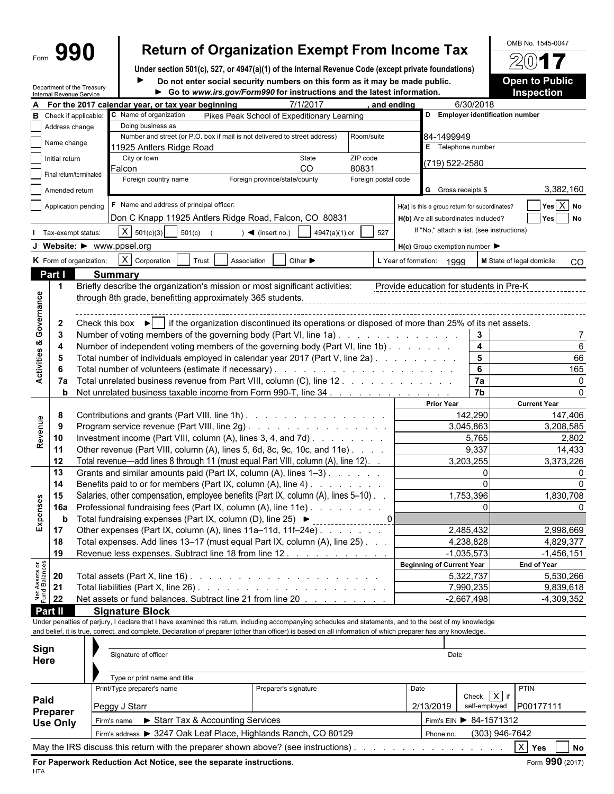# Form **990 Return of Organization Exempt From Income Tax**  $\frac{60\text{dB No. }1545-0047}{20}$

**Under section 501(c), 527, or 4947(a)(1) of the Internal Revenue Code (except private foundations) Do not enter social security numbers on this form as it may be made public. Open to Public**

|                                |                 | Department of the Treasury<br>Internal Revenue Service | $1000$ villet vooral vooring transports on ting form as it may be made<br>Go to www.irs.gov/Form990 for instructions and the latest information.             |                               |               |                     |                                  |                                  |                                               | <b>Inspection</b>          |              |  |  |
|--------------------------------|-----------------|--------------------------------------------------------|--------------------------------------------------------------------------------------------------------------------------------------------------------------|-------------------------------|---------------|---------------------|----------------------------------|----------------------------------|-----------------------------------------------|----------------------------|--------------|--|--|
| А                              |                 |                                                        | For the 2017 calendar year, or tax year beginning                                                                                                            |                               | 7/1/2017      |                     | and ending                       |                                  | 6/30/2018                                     |                            |              |  |  |
| в                              |                 | Check if applicable:                                   | C Name of organization<br>Pikes Peak School of Expeditionary Learning                                                                                        |                               |               |                     | D Employer identification number |                                  |                                               |                            |              |  |  |
|                                | Address change  |                                                        | Doing business as                                                                                                                                            |                               |               |                     |                                  |                                  |                                               |                            |              |  |  |
|                                | Name change     |                                                        | Number and street (or P.O. box if mail is not delivered to street address)                                                                                   |                               |               | Room/suite          |                                  | 84-1499949                       |                                               |                            |              |  |  |
|                                |                 |                                                        | 11925 Antlers Ridge Road                                                                                                                                     |                               |               |                     |                                  | <b>E</b> Telephone number        |                                               |                            |              |  |  |
|                                | Initial return  |                                                        | City or town<br>Falcon                                                                                                                                       |                               | State<br>CO   | ZIP code<br>80831   |                                  | (719) 522-2580                   |                                               |                            |              |  |  |
|                                |                 | Final return/terminated                                | Foreign country name                                                                                                                                         | Foreign province/state/county |               | Foreign postal code |                                  |                                  |                                               |                            |              |  |  |
|                                | Amended return  |                                                        |                                                                                                                                                              |                               |               |                     |                                  | G Gross receipts \$              |                                               |                            | 3,382,160    |  |  |
|                                |                 |                                                        |                                                                                                                                                              |                               |               |                     |                                  |                                  |                                               |                            |              |  |  |
|                                |                 | Application pending                                    | F Name and address of principal officer:                                                                                                                     |                               |               |                     |                                  |                                  | H(a) Is this a group return for subordinates? |                            | Yes $X$ No   |  |  |
|                                |                 |                                                        | Don C Knapp 11925 Antlers Ridge Road, Falcon, CO 80831                                                                                                       |                               |               |                     |                                  |                                  | H(b) Are all subordinates included?           | Yes                        | No           |  |  |
|                                |                 | Tax-exempt status:                                     | $X \mid 501(c)(3)$<br>501(c)                                                                                                                                 | $\sim$ (insert no.)           | 4947(a)(1) or | 527                 |                                  |                                  | If "No," attach a list. (see instructions)    |                            |              |  |  |
|                                |                 |                                                        | Website: $\blacktriangleright$ www.ppsel.org                                                                                                                 |                               |               |                     |                                  | $H(c)$ Group exemption number    |                                               |                            |              |  |  |
|                                |                 | K Form of organization:                                | X Corporation<br>Trust<br>Association                                                                                                                        | Other $\blacktriangleright$   |               |                     | L Year of formation:             | 1999                             |                                               | M State of legal domicile: | CO           |  |  |
|                                | Part I          |                                                        |                                                                                                                                                              |                               |               |                     |                                  |                                  |                                               |                            |              |  |  |
|                                | 1               |                                                        | <b>Summary</b><br>Briefly describe the organization's mission or most significant activities:                                                                |                               |               |                     |                                  |                                  | Provide education for students in Pre-K       |                            |              |  |  |
|                                |                 |                                                        | through 8th grade, benefitting approximately 365 students.                                                                                                   |                               |               |                     |                                  |                                  |                                               |                            |              |  |  |
| Governance                     |                 |                                                        |                                                                                                                                                              |                               |               |                     |                                  |                                  |                                               |                            |              |  |  |
|                                |                 |                                                        |                                                                                                                                                              |                               |               |                     |                                  |                                  |                                               |                            |              |  |  |
|                                | $\mathbf{z}$    |                                                        | Check this box $\blacktriangleright$   if the organization discontinued its operations or disposed of more than 25% of its net assets.                       |                               |               |                     |                                  |                                  |                                               |                            |              |  |  |
| œ                              | 3               |                                                        | Number of voting members of the governing body (Part VI, line 1a).                                                                                           |                               |               |                     |                                  |                                  | 3                                             |                            | 7            |  |  |
|                                | 4               |                                                        | Number of independent voting members of the governing body (Part VI, line 1b).                                                                               |                               |               |                     |                                  |                                  | 4                                             |                            | 6            |  |  |
| Activities                     | 5               |                                                        | Total number of individuals employed in calendar year 2017 (Part V, line 2a)                                                                                 |                               |               |                     |                                  |                                  | 5                                             |                            | 66           |  |  |
|                                | 6               |                                                        |                                                                                                                                                              |                               |               |                     |                                  |                                  | 6                                             |                            | 165          |  |  |
|                                | 7a              |                                                        | Total unrelated business revenue from Part VIII, column (C), line 12.                                                                                        |                               |               | 7a                  |                                  | 0                                |                                               |                            |              |  |  |
|                                | b               |                                                        | Net unrelated business taxable income from Form 990-T, line 34                                                                                               |                               |               |                     |                                  |                                  | 7b                                            |                            | 0            |  |  |
|                                |                 |                                                        |                                                                                                                                                              |                               |               |                     |                                  | <b>Prior Year</b>                |                                               | <b>Current Year</b>        |              |  |  |
|                                | 8               |                                                        | Contributions and grants (Part VIII, line 1h)                                                                                                                |                               |               |                     |                                  |                                  | 142,290                                       |                            | 147,406      |  |  |
| Revenue                        | 9               |                                                        | Program service revenue (Part VIII, line 2g)                                                                                                                 |                               |               |                     |                                  |                                  | 3,045,863                                     |                            | 3,208,585    |  |  |
|                                | 10              |                                                        | Investment income (Part VIII, column (A), lines 3, 4, and 7d)                                                                                                |                               |               |                     |                                  |                                  |                                               | 2,802                      |              |  |  |
|                                | 11              |                                                        | Other revenue (Part VIII, column (A), lines 5, 6d, 8c, 9c, 10c, and 11e)                                                                                     |                               |               |                     |                                  |                                  | 9,337                                         |                            | 14,433       |  |  |
|                                | 12              |                                                        | Total revenue—add lines 8 through 11 (must equal Part VIII, column (A), line 12). .                                                                          |                               |               |                     |                                  |                                  | 3,203,255                                     |                            | 3,373,226    |  |  |
|                                | 13              |                                                        | Grants and similar amounts paid (Part IX, column (A), lines 1-3)                                                                                             |                               |               |                     |                                  |                                  | 0                                             |                            | 0            |  |  |
|                                | 14              |                                                        | Benefits paid to or for members (Part IX, column (A), line 4)                                                                                                |                               |               |                     |                                  |                                  | $\Omega$                                      |                            | 0            |  |  |
|                                | 15              |                                                        | Salaries, other compensation, employee benefits (Part IX, column (A), lines 5-10).                                                                           |                               |               |                     |                                  |                                  | 1,753,396                                     | 1,830,708                  |              |  |  |
|                                | 16a             |                                                        | Professional fundraising fees (Part IX, column (A), line 11e)                                                                                                |                               |               |                     |                                  | $\Omega$                         |                                               |                            | 0            |  |  |
| Expenses                       | b               |                                                        | Total fundraising expenses (Part IX, column (D), line 25) ▶                                                                                                  |                               |               | 0                   |                                  |                                  |                                               |                            |              |  |  |
|                                | 17              |                                                        | Other expenses (Part IX, column (A), lines 11a-11d, 11f-24e)                                                                                                 |                               |               |                     |                                  |                                  | 2,485,432                                     |                            | 2,998,669    |  |  |
|                                | 18              |                                                        | Total expenses. Add lines 13–17 (must equal Part IX, column (A), line 25).                                                                                   |                               |               |                     |                                  |                                  | 4,238,828                                     |                            | 4,829,377    |  |  |
|                                | 19              |                                                        | Revenue less expenses. Subtract line 18 from line 12.                                                                                                        |                               |               |                     |                                  |                                  | $-1,035,573$                                  |                            | $-1,456,151$ |  |  |
| Net Assets or<br>Fund Balances |                 |                                                        |                                                                                                                                                              |                               |               |                     |                                  | <b>Beginning of Current Year</b> |                                               | End of Year                |              |  |  |
|                                | 20              |                                                        |                                                                                                                                                              |                               |               |                     |                                  |                                  | 5,322,737                                     |                            | 5,530,266    |  |  |
|                                | 21              |                                                        |                                                                                                                                                              |                               |               |                     |                                  |                                  | 7,990,235                                     |                            | 9,839,618    |  |  |
|                                | 22              |                                                        | Net assets or fund balances. Subtract line 21 from line 20                                                                                                   |                               |               |                     |                                  |                                  | $-2,667,498$                                  |                            | $-4,309,352$ |  |  |
|                                | Part II         |                                                        | <b>Signature Block</b>                                                                                                                                       |                               |               |                     |                                  |                                  |                                               |                            |              |  |  |
|                                |                 |                                                        | Under penalties of perjury, I declare that I have examined this return, including accompanying schedules and statements, and to the best of my knowledge     |                               |               |                     |                                  |                                  |                                               |                            |              |  |  |
|                                |                 |                                                        | and belief, it is true, correct, and complete. Declaration of preparer (other than officer) is based on all information of which preparer has any knowledge. |                               |               |                     |                                  |                                  |                                               |                            |              |  |  |
| Sign                           |                 |                                                        |                                                                                                                                                              |                               |               |                     |                                  |                                  |                                               |                            |              |  |  |
| Here                           |                 |                                                        | Signature of officer                                                                                                                                         |                               |               |                     |                                  | Date                             |                                               |                            |              |  |  |
|                                |                 |                                                        |                                                                                                                                                              |                               |               |                     |                                  |                                  |                                               |                            |              |  |  |
|                                |                 |                                                        | Type or print name and title                                                                                                                                 |                               |               |                     |                                  |                                  |                                               |                            |              |  |  |
|                                |                 |                                                        | Print/Type preparer's name                                                                                                                                   | Preparer's signature          |               |                     | Date                             |                                  |                                               | PTIN                       |              |  |  |
| Paid                           |                 |                                                        | Peggy J Starr                                                                                                                                                |                               |               |                     |                                  | 2/13/2019                        | $ X $ if<br>Check<br>self-employed            | P00177111                  |              |  |  |
|                                | Preparer        |                                                        |                                                                                                                                                              |                               |               |                     |                                  |                                  |                                               |                            |              |  |  |
|                                | <b>Use Only</b> |                                                        | Starr Tax & Accounting Services<br>Firm's name                                                                                                               |                               |               |                     |                                  |                                  | Firm's EIN > 84-1571312                       |                            |              |  |  |
|                                |                 |                                                        | Firm's address > 3247 Oak Leaf Place, Highlands Ranch, CO 80129                                                                                              |                               |               |                     |                                  | Phone no.                        | (303) 946-7642                                |                            |              |  |  |
|                                |                 |                                                        | May the IRS discuss this return with the preparer shown above? (see instructions).                                                                           |                               |               |                     |                                  |                                  |                                               | X<br>Yes                   | No           |  |  |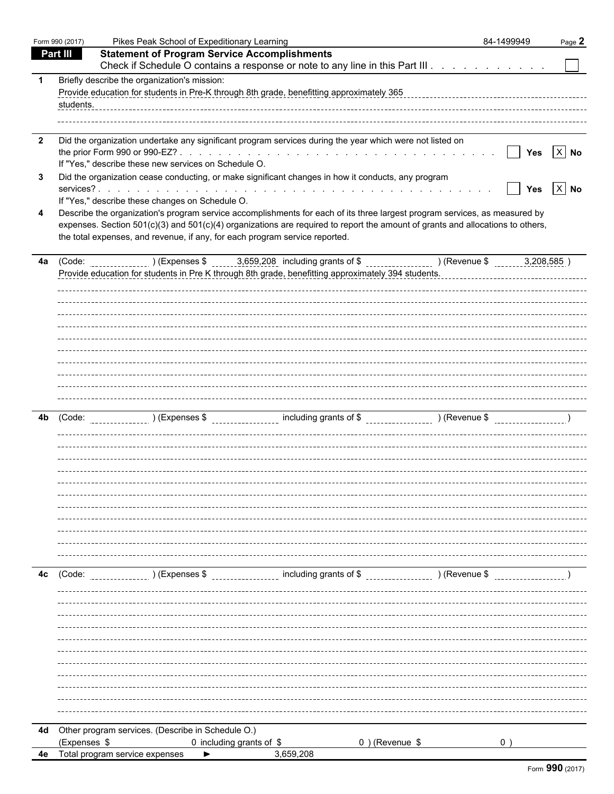|    | Form 990 (2017) |                                                                                                                                                                                                                                                                                                                                             | Pikes Peak School of Expeditionary Learning |                                                                                       |                | 84-1499949 | Page 2 |
|----|-----------------|---------------------------------------------------------------------------------------------------------------------------------------------------------------------------------------------------------------------------------------------------------------------------------------------------------------------------------------------|---------------------------------------------|---------------------------------------------------------------------------------------|----------------|------------|--------|
|    | Part III        | <b>Statement of Program Service Accomplishments</b>                                                                                                                                                                                                                                                                                         |                                             |                                                                                       |                |            |        |
|    |                 | Check if Schedule O contains a response or note to any line in this Part III                                                                                                                                                                                                                                                                |                                             |                                                                                       |                |            |        |
| 1  | students.       | Briefly describe the organization's mission:<br>Provide education for students in Pre-K through 8th grade, benefitting approximately 365                                                                                                                                                                                                    |                                             |                                                                                       |                |            |        |
| 2  |                 | Did the organization undertake any significant program services during the year which were not listed on<br>If "Yes," describe these new services on Schedule O.                                                                                                                                                                            |                                             |                                                                                       |                | <b>Yes</b> | $X$ No |
| 3  |                 | Did the organization cease conducting, or make significant changes in how it conducts, any program<br>If "Yes," describe these changes on Schedule O.                                                                                                                                                                                       |                                             |                                                                                       |                | <b>Yes</b> | $X$ No |
| 4  |                 | Describe the organization's program service accomplishments for each of its three largest program services, as measured by<br>expenses. Section 501(c)(3) and 501(c)(4) organizations are required to report the amount of grants and allocations to others,<br>the total expenses, and revenue, if any, for each program service reported. |                                             |                                                                                       |                |            |        |
| 4a |                 | (Code:<br>Provide education for students in Pre K through 8th grade, benefitting approximately 394 students.                                                                                                                                                                                                                                |                                             | (Expenses \$ 1, 3,659,208 including grants of \$ 1, 1, 2008) (Revenue \$ 1, 208,585 ) |                |            |        |
|    |                 |                                                                                                                                                                                                                                                                                                                                             |                                             |                                                                                       |                |            |        |
|    |                 |                                                                                                                                                                                                                                                                                                                                             |                                             |                                                                                       |                |            |        |
| 4b |                 | $(Code:$ (Code: $(Code:$ ) (Expenses \$ $(Code:$ including grants of \$ $(Code:$ ) (Revenue \$ $(Code:$                                                                                                                                                                                                                                     |                                             |                                                                                       |                |            |        |
|    |                 |                                                                                                                                                                                                                                                                                                                                             |                                             |                                                                                       |                |            |        |
|    |                 |                                                                                                                                                                                                                                                                                                                                             |                                             |                                                                                       |                |            |        |
|    |                 |                                                                                                                                                                                                                                                                                                                                             |                                             |                                                                                       |                |            |        |
|    |                 |                                                                                                                                                                                                                                                                                                                                             |                                             |                                                                                       |                |            |        |
| 4c | (Code:          | $(1, 1)$ (Expenses \$ $(2, 1)$ including grants of \$ $(3, 1)$ (Revenue \$                                                                                                                                                                                                                                                                  |                                             |                                                                                       |                |            |        |
|    |                 |                                                                                                                                                                                                                                                                                                                                             |                                             |                                                                                       |                |            |        |
|    |                 |                                                                                                                                                                                                                                                                                                                                             |                                             |                                                                                       |                |            |        |
|    |                 |                                                                                                                                                                                                                                                                                                                                             |                                             |                                                                                       |                |            |        |
|    |                 |                                                                                                                                                                                                                                                                                                                                             |                                             |                                                                                       |                |            |        |
|    |                 |                                                                                                                                                                                                                                                                                                                                             |                                             |                                                                                       |                |            |        |
| 4d | (Expenses \$    | Other program services. (Describe in Schedule O.)                                                                                                                                                                                                                                                                                           | 0 including grants of \$                    |                                                                                       | 0) (Revenue \$ | 0)         |        |
| 4e |                 | Total program service expenses                                                                                                                                                                                                                                                                                                              |                                             | 3,659,208                                                                             |                |            |        |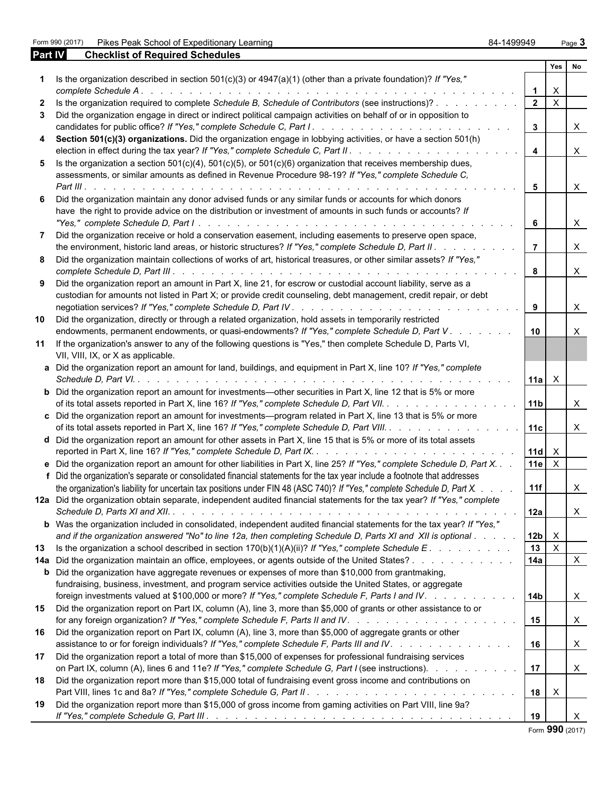Form 990 (2017) Pikes Peak School of Expeditionary Learning **84-1499949** Page 3

| <b>Part IV</b> | <b>Checklist of Required Schedules</b>                                                                                                                                                                                                              |                 |                |              |
|----------------|-----------------------------------------------------------------------------------------------------------------------------------------------------------------------------------------------------------------------------------------------------|-----------------|----------------|--------------|
|                |                                                                                                                                                                                                                                                     |                 | Yes            | No           |
| 1              | Is the organization described in section $501(c)(3)$ or $4947(a)(1)$ (other than a private foundation)? If "Yes,"                                                                                                                                   |                 |                |              |
|                | complete Schedule A.<br>a de la caractería de la caractería de la caractería de la caractería de la caractería de la caractería                                                                                                                     | 1               | X              |              |
| 2              | Is the organization required to complete Schedule B, Schedule of Contributors (see instructions)?                                                                                                                                                   | $\mathbf 2$     | $\sf X$        |              |
| 3              | Did the organization engage in direct or indirect political campaign activities on behalf of or in opposition to                                                                                                                                    | 3               |                | X            |
| 4              | Section 501(c)(3) organizations. Did the organization engage in lobbying activities, or have a section 501(h)<br>election in effect during the tax year? If "Yes," complete Schedule C, Part II.                                                    | 4               |                | $\mathsf{X}$ |
| 5              | Is the organization a section $501(c)(4)$ , $501(c)(5)$ , or $501(c)(6)$ organization that receives membership dues,<br>assessments, or similar amounts as defined in Revenue Procedure 98-19? If "Yes," complete Schedule C,                       |                 |                |              |
|                |                                                                                                                                                                                                                                                     | 5               |                | X            |
| 6              | Did the organization maintain any donor advised funds or any similar funds or accounts for which donors<br>have the right to provide advice on the distribution or investment of amounts in such funds or accounts? If                              |                 |                |              |
| 7              | Did the organization receive or hold a conservation easement, including easements to preserve open space,                                                                                                                                           | 6               |                | $\mathsf{X}$ |
|                | the environment, historic land areas, or historic structures? If "Yes," complete Schedule D, Part II.                                                                                                                                               | 7               |                | X            |
| 8              | Did the organization maintain collections of works of art, historical treasures, or other similar assets? If "Yes,"                                                                                                                                 | 8               |                | X            |
| 9              | Did the organization report an amount in Part X, line 21, for escrow or custodial account liability, serve as a<br>custodian for amounts not listed in Part X; or provide credit counseling, debt management, credit repair, or debt                |                 |                |              |
| 10             | Did the organization, directly or through a related organization, hold assets in temporarily restricted                                                                                                                                             | 9               |                | X            |
|                | endowments, permanent endowments, or quasi-endowments? If "Yes," complete Schedule D, Part V.                                                                                                                                                       | 10              |                | X            |
| 11             | If the organization's answer to any of the following questions is "Yes," then complete Schedule D, Parts VI,<br>VII, VIII, IX, or X as applicable.                                                                                                  |                 |                |              |
|                | Did the organization report an amount for land, buildings, and equipment in Part X, line 10? If "Yes," complete                                                                                                                                     | 11a             | X              |              |
|                | <b>b</b> Did the organization report an amount for investments—other securities in Part X, line 12 that is 5% or more<br>of its total assets reported in Part X, line 16? If "Yes," complete Schedule D, Part VII.                                  | 11 <sub>b</sub> |                | X            |
|                | c Did the organization report an amount for investments—program related in Part X, line 13 that is 5% or more<br>of its total assets reported in Part X, line 16? If "Yes," complete Schedule D, Part VIII.                                         | 11c             |                | X            |
|                | d Did the organization report an amount for other assets in Part X, line 15 that is 5% or more of its total assets                                                                                                                                  | 11d             | X              |              |
| f              | e Did the organization report an amount for other liabilities in Part X, line 25? If "Yes," complete Schedule D, Part X.<br>Did the organization's separate or consolidated financial statements for the tax year include a footnote that addresses | 11e             | $\pmb{\times}$ |              |
|                | the organization's liability for uncertain tax positions under FIN 48 (ASC 740)? If "Yes," complete Schedule D, Part X.<br>12a Did the organization obtain separate, independent audited financial statements for the tax year? If "Yes," complete  | 11f             |                | X            |
|                |                                                                                                                                                                                                                                                     | 12a             |                | X            |
|                | <b>b</b> Was the organization included in consolidated, independent audited financial statements for the tax year? If "Yes,"<br>and if the organization answered "No" to line 12a, then completing Schedule D, Parts XI and XII is optional         | 12 <sub>b</sub> | X              |              |
| 13             | Is the organization a school described in section $170(b)(1)(A)(ii)$ ? If "Yes," complete Schedule E.                                                                                                                                               | 13              | $\pmb{\times}$ |              |
| 14a            | Did the organization maintain an office, employees, or agents outside of the United States?                                                                                                                                                         | 14a             |                | X            |
|                | <b>b</b> Did the organization have aggregate revenues or expenses of more than \$10,000 from grantmaking,                                                                                                                                           |                 |                |              |
|                | fundraising, business, investment, and program service activities outside the United States, or aggregate                                                                                                                                           |                 |                |              |
|                | foreign investments valued at \$100,000 or more? If "Yes," complete Schedule F, Parts I and IV.                                                                                                                                                     | 14b             |                | X            |
| 15             | Did the organization report on Part IX, column (A), line 3, more than \$5,000 of grants or other assistance to or                                                                                                                                   | 15              |                | X            |
| 16             | Did the organization report on Part IX, column (A), line 3, more than \$5,000 of aggregate grants or other<br>assistance to or for foreign individuals? If "Yes," complete Schedule F, Parts III and IV.                                            | 16              |                | X            |
| 17             | Did the organization report a total of more than \$15,000 of expenses for professional fundraising services<br>on Part IX, column (A), lines 6 and 11e? If "Yes," complete Schedule G, Part I (see instructions).                                   | 17              |                | X            |
| 18             | Did the organization report more than \$15,000 total of fundraising event gross income and contributions on                                                                                                                                         |                 |                |              |
| 19             | Did the organization report more than \$15,000 of gross income from gaming activities on Part VIII, line 9a?                                                                                                                                        | 18              | X              |              |
|                |                                                                                                                                                                                                                                                     | 19              |                | X            |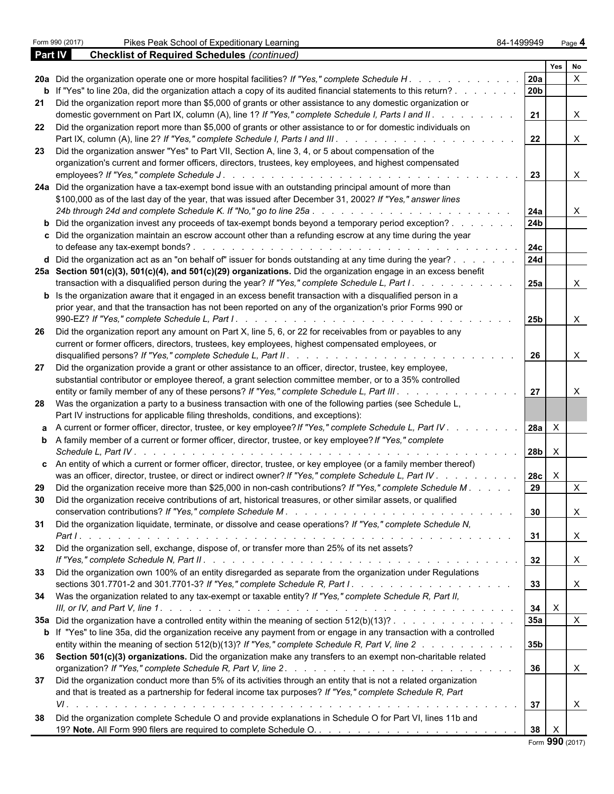|         | Form 990 (2017)<br>84-1499949<br>Pikes Peak School of Expeditionary Learning                                                                                                                                                         |                 |                                   | Page 4       |
|---------|--------------------------------------------------------------------------------------------------------------------------------------------------------------------------------------------------------------------------------------|-----------------|-----------------------------------|--------------|
| Part IV | <b>Checklist of Required Schedules (continued)</b>                                                                                                                                                                                   |                 |                                   |              |
|         |                                                                                                                                                                                                                                      |                 | Yes                               | No           |
|         | 20a Did the organization operate one or more hospital facilities? If "Yes," complete Schedule H.                                                                                                                                     | 20a             |                                   | X            |
| 21      | <b>b</b> If "Yes" to line 20a, did the organization attach a copy of its audited financial statements to this return?<br>Did the organization report more than \$5,000 of grants or other assistance to any domestic organization or | 20 <sub>b</sub> |                                   |              |
|         | domestic government on Part IX, column (A), line 1? If "Yes," complete Schedule I, Parts I and II.                                                                                                                                   | 21              |                                   | X            |
| 22      | Did the organization report more than \$5,000 of grants or other assistance to or for domestic individuals on                                                                                                                        |                 |                                   |              |
|         |                                                                                                                                                                                                                                      | 22              |                                   | X            |
| 23      | Did the organization answer "Yes" to Part VII, Section A, line 3, 4, or 5 about compensation of the                                                                                                                                  |                 |                                   |              |
|         | organization's current and former officers, directors, trustees, key employees, and highest compensated                                                                                                                              |                 |                                   |              |
|         |                                                                                                                                                                                                                                      | 23              |                                   | X            |
|         | 24a Did the organization have a tax-exempt bond issue with an outstanding principal amount of more than<br>\$100,000 as of the last day of the year, that was issued after December 31, 2002? If "Yes," answer lines                 |                 |                                   |              |
|         |                                                                                                                                                                                                                                      | 24a             |                                   | X.           |
|         | <b>b</b> Did the organization invest any proceeds of tax-exempt bonds beyond a temporary period exception?                                                                                                                           | 24b             |                                   |              |
|         | c Did the organization maintain an escrow account other than a refunding escrow at any time during the year                                                                                                                          |                 |                                   |              |
|         |                                                                                                                                                                                                                                      | 24c             |                                   |              |
|         | d Did the organization act as an "on behalf of" issuer for bonds outstanding at any time during the year?                                                                                                                            | <b>24d</b>      |                                   |              |
|         | 25a Section 501(c)(3), 501(c)(4), and 501(c)(29) organizations. Did the organization engage in an excess benefit                                                                                                                     |                 |                                   |              |
|         | transaction with a disqualified person during the year? If "Yes," complete Schedule L, Part I.                                                                                                                                       | 25a             |                                   | X.           |
|         | <b>b</b> Is the organization aware that it engaged in an excess benefit transaction with a disqualified person in a<br>prior year, and that the transaction has not been reported on any of the organization's prior Forms 990 or    |                 |                                   |              |
|         |                                                                                                                                                                                                                                      | 25 <sub>b</sub> |                                   | X            |
| 26      | Did the organization report any amount on Part X, line 5, 6, or 22 for receivables from or payables to any                                                                                                                           |                 |                                   |              |
|         | current or former officers, directors, trustees, key employees, highest compensated employees, or                                                                                                                                    |                 |                                   |              |
|         |                                                                                                                                                                                                                                      | 26              |                                   | X            |
| 27      | Did the organization provide a grant or other assistance to an officer, director, trustee, key employee,                                                                                                                             |                 |                                   |              |
|         | substantial contributor or employee thereof, a grant selection committee member, or to a 35% controlled<br>entity or family member of any of these persons? If "Yes," complete Schedule L, Part III.                                 | 27              |                                   | X            |
| 28      | Was the organization a party to a business transaction with one of the following parties (see Schedule L,                                                                                                                            |                 |                                   |              |
|         | Part IV instructions for applicable filing thresholds, conditions, and exceptions):                                                                                                                                                  |                 |                                   |              |
| a       | A current or former officer, director, trustee, or key employee? If "Yes," complete Schedule L, Part IV                                                                                                                              | 28a             | X                                 |              |
| b       | A family member of a current or former officer, director, trustee, or key employee? If "Yes," complete                                                                                                                               |                 |                                   |              |
|         | Schedule L. Part IV                                                                                                                                                                                                                  | 28 <sub>b</sub> | X                                 |              |
| c       | An entity of which a current or former officer, director, trustee, or key employee (or a family member thereof)<br>was an officer, director, trustee, or direct or indirect owner? If "Yes," complete Schedule L, Part IV            | 28c             | X                                 |              |
| 29      | Did the organization receive more than \$25,000 in non-cash contributions? If "Yes," complete Schedule M.                                                                                                                            | 29              |                                   | X            |
| 30      | Did the organization receive contributions of art, historical treasures, or other similar assets, or qualified                                                                                                                       |                 |                                   |              |
|         |                                                                                                                                                                                                                                      | 30              |                                   | $\mathsf{X}$ |
| 31      | Did the organization liquidate, terminate, or dissolve and cease operations? If "Yes," complete Schedule N,                                                                                                                          |                 |                                   |              |
|         |                                                                                                                                                                                                                                      | 31              |                                   | X            |
| 32      | Did the organization sell, exchange, dispose of, or transfer more than 25% of its net assets?                                                                                                                                        | 32              |                                   | X            |
| 33      | Did the organization own 100% of an entity disregarded as separate from the organization under Regulations                                                                                                                           |                 |                                   |              |
|         |                                                                                                                                                                                                                                      | 33              |                                   | X            |
| 34      | Was the organization related to any tax-exempt or taxable entity? If "Yes," complete Schedule R, Part II,                                                                                                                            |                 |                                   |              |
|         |                                                                                                                                                                                                                                      | 34              | X                                 |              |
|         | <b>35a</b> Did the organization have a controlled entity within the meaning of section $512(b)(13)?$                                                                                                                                 | 35a             |                                   | X            |
|         | <b>b</b> If "Yes" to line 35a, did the organization receive any payment from or engage in any transaction with a controlled                                                                                                          |                 |                                   |              |
| 36      | entity within the meaning of section 512(b)(13)? If "Yes," complete Schedule R, Part V, line 2<br>Section 501(c)(3) organizations. Did the organization make any transfers to an exempt non-charitable related                       | 35 <sub>b</sub> |                                   |              |
|         |                                                                                                                                                                                                                                      | 36              |                                   | X            |
| 37      | Did the organization conduct more than 5% of its activities through an entity that is not a related organization                                                                                                                     |                 |                                   |              |
|         | and that is treated as a partnership for federal income tax purposes? If "Yes," complete Schedule R, Part                                                                                                                            |                 |                                   |              |
|         |                                                                                                                                                                                                                                      | 37              |                                   | X            |
| 38      | Did the organization complete Schedule O and provide explanations in Schedule O for Part VI, lines 11b and                                                                                                                           |                 |                                   |              |
|         |                                                                                                                                                                                                                                      | 38              | $\mathsf{X}$<br>$F_{2}$ 000 (2017 |              |

|  |  | Form 990 (2017) |
|--|--|-----------------|
|--|--|-----------------|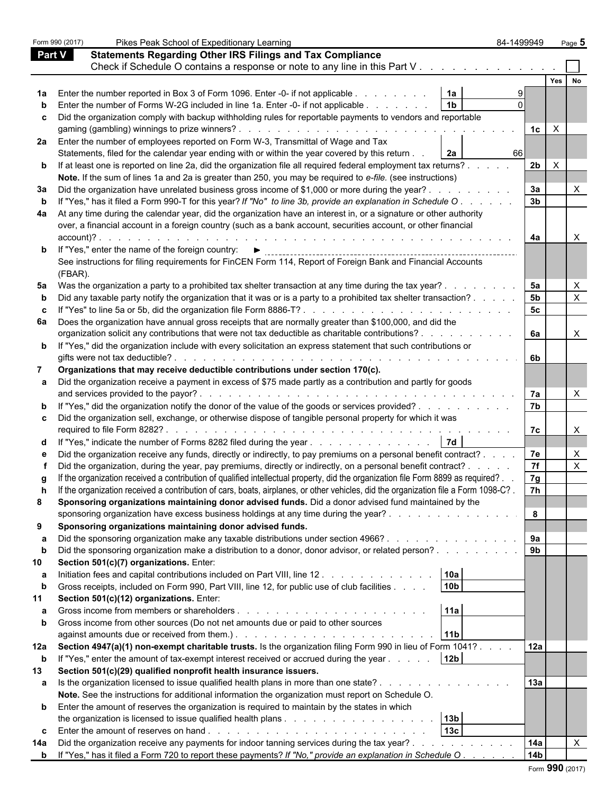|               | Form 990 (2017)<br>Pikes Peak School of Expeditionary Learning                                                                                                                                 | 84-1499949      |     | Page 5         |
|---------------|------------------------------------------------------------------------------------------------------------------------------------------------------------------------------------------------|-----------------|-----|----------------|
| <b>Part V</b> | <b>Statements Regarding Other IRS Filings and Tax Compliance</b>                                                                                                                               |                 |     |                |
|               | Check if Schedule O contains a response or note to any line in this Part V                                                                                                                     |                 |     |                |
|               |                                                                                                                                                                                                |                 | Yes | No             |
| 1a            | 1a<br>Enter the number reported in Box 3 of Form 1096. Enter -0- if not applicable<br>1 <sub>b</sub>                                                                                           | 9<br>0          |     |                |
| b             | Enter the number of Forms W-2G included in line 1a. Enter -0- if not applicable<br>Did the organization comply with backup withholding rules for reportable payments to vendors and reportable |                 |     |                |
| c             | gaming (gambling) winnings to prize winners?                                                                                                                                                   | 1c              | X   |                |
| 2a            | Enter the number of employees reported on Form W-3, Transmittal of Wage and Tax                                                                                                                |                 |     |                |
|               | Statements, filed for the calendar year ending with or within the year covered by this return<br>2a                                                                                            | 66              |     |                |
| b             | If at least one is reported on line 2a, did the organization file all required federal employment tax returns?                                                                                 | 2b              | X   |                |
|               | Note. If the sum of lines 1a and 2a is greater than 250, you may be required to e-file. (see instructions)                                                                                     |                 |     |                |
| За            | Did the organization have unrelated business gross income of \$1,000 or more during the year?                                                                                                  | 3a              |     | X.             |
| b             | If "Yes," has it filed a Form 990-T for this year? If "No" to line 3b, provide an explanation in Schedule O.                                                                                   | 3 <sub>b</sub>  |     |                |
| 4a            | At any time during the calendar year, did the organization have an interest in, or a signature or other authority                                                                              |                 |     |                |
|               | over, a financial account in a foreign country (such as a bank account, securities account, or other financial                                                                                 |                 |     |                |
|               | $account)?$ .<br>the contract of the contract of the                                                                                                                                           | 4a              |     | X.             |
| b             | If "Yes," enter the name of the foreign country:<br>▶<br>--------------------------------------                                                                                                |                 |     |                |
|               | See instructions for filing requirements for FinCEN Form 114, Report of Foreign Bank and Financial Accounts                                                                                    |                 |     |                |
|               | (FBAR).                                                                                                                                                                                        |                 |     |                |
| 5a            | Was the organization a party to a prohibited tax shelter transaction at any time during the tax year?                                                                                          | 5a              |     | <u>X</u>       |
| b             | Did any taxable party notify the organization that it was or is a party to a prohibited tax shelter transaction?                                                                               | 5 <sub>b</sub>  |     | $\mathsf{X}^-$ |
| c             |                                                                                                                                                                                                | 5 <sub>c</sub>  |     |                |
| 6а            | Does the organization have annual gross receipts that are normally greater than \$100,000, and did the                                                                                         |                 |     |                |
|               | organization solicit any contributions that were not tax deductible as charitable contributions?                                                                                               | 6a              |     | X              |
| b             | If "Yes," did the organization include with every solicitation an express statement that such contributions or                                                                                 |                 |     |                |
|               | gifts were not tax deductible?<br>and the state of the state of the state of                                                                                                                   | 6b              |     |                |
| 7             | Organizations that may receive deductible contributions under section 170(c).                                                                                                                  |                 |     |                |
| а             | Did the organization receive a payment in excess of \$75 made partly as a contribution and partly for goods                                                                                    |                 |     |                |
| b             | If "Yes," did the organization notify the donor of the value of the goods or services provided?                                                                                                | 7a<br>7b        |     | X              |
| c             | Did the organization sell, exchange, or otherwise dispose of tangible personal property for which it was                                                                                       |                 |     |                |
|               | required to file Form 8282?.                                                                                                                                                                   | 7c              |     | X              |
| d             | 7d<br>If "Yes," indicate the number of Forms 8282 filed during the year                                                                                                                        |                 |     |                |
| е             | Did the organization receive any funds, directly or indirectly, to pay premiums on a personal benefit contract?                                                                                | 7e              |     | <u>X</u>       |
| f             | Did the organization, during the year, pay premiums, directly or indirectly, on a personal benefit contract?.<br>$\mathbf{1}$ $\mathbf{1}$ $\mathbf{1}$ $\mathbf{1}$ $\mathbf{1}$              | 7f              |     | $\mathsf{X}^-$ |
| g             | If the organization received a contribution of qualified intellectual property, did the organization file Form 8899 as required?.                                                              | 7g              |     |                |
| h             | If the organization received a contribution of cars, boats, airplanes, or other vehicles, did the organization file a Form 1098-C?.                                                            | 7h              |     |                |
| 8             | Sponsoring organizations maintaining donor advised funds. Did a donor advised fund maintained by the                                                                                           |                 |     |                |
|               | sponsoring organization have excess business holdings at any time during the year?                                                                                                             | 8               |     |                |
| 9             | Sponsoring organizations maintaining donor advised funds.                                                                                                                                      |                 |     |                |
| а             | Did the sponsoring organization make any taxable distributions under section 4966?                                                                                                             | 9a              |     |                |
| b             | Did the sponsoring organization make a distribution to a donor, donor advisor, or related person?                                                                                              | 9b              |     |                |
| 10            | Section 501(c)(7) organizations. Enter:                                                                                                                                                        |                 |     |                |
| а             | 10a<br>Initiation fees and capital contributions included on Part VIII, line 12                                                                                                                |                 |     |                |
| b             | 10 <sub>b</sub><br>Gross receipts, included on Form 990, Part VIII, line 12, for public use of club facilities                                                                                 |                 |     |                |
| 11            | Section 501(c)(12) organizations. Enter:                                                                                                                                                       |                 |     |                |
| a             | 11a                                                                                                                                                                                            |                 |     |                |
| b             | Gross income from other sources (Do not net amounts due or paid to other sources                                                                                                               |                 |     |                |
|               | 11 <sub>b</sub>                                                                                                                                                                                |                 |     |                |
| 12a           | Section 4947(a)(1) non-exempt charitable trusts. Is the organization filing Form 990 in lieu of Form 1041?                                                                                     | 12a             |     |                |
| b<br>13       | If "Yes," enter the amount of tax-exempt interest received or accrued during the year<br>12 <sub>b</sub><br>Section 501(c)(29) qualified nonprofit health insurance issuers.                   |                 |     |                |
|               | Is the organization licensed to issue qualified health plans in more than one state?                                                                                                           | 13a             |     |                |
| а             | Note. See the instructions for additional information the organization must report on Schedule O.                                                                                              |                 |     |                |
| b             | Enter the amount of reserves the organization is required to maintain by the states in which                                                                                                   |                 |     |                |
|               | 13 <sub>b</sub>                                                                                                                                                                                |                 |     |                |
| c             | 13c                                                                                                                                                                                            |                 |     |                |
| 14a           | Did the organization receive any payments for indoor tanning services during the tax year?                                                                                                     | 14a             |     | X              |
| b             | If "Yes," has it filed a Form 720 to report these payments? If "No," provide an explanation in Schedule O.                                                                                     | 14 <sub>b</sub> |     |                |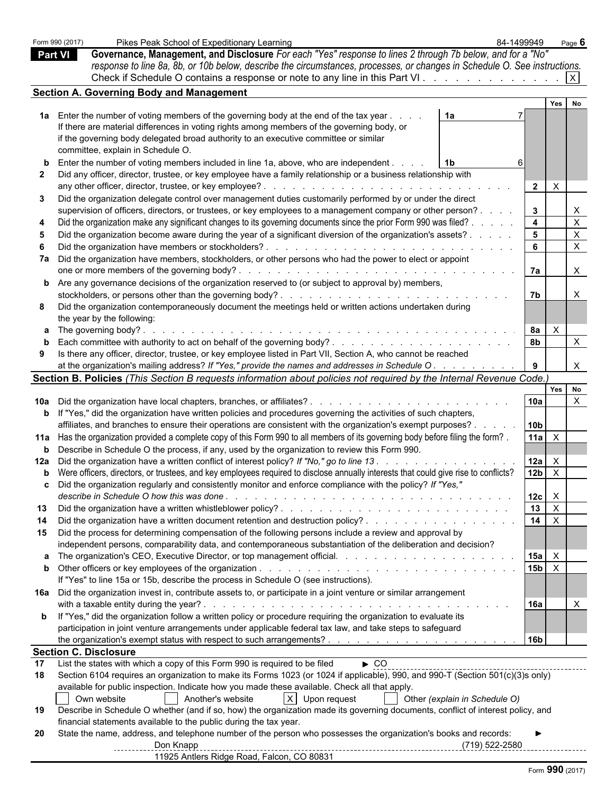|              | Form 990 (2017)<br>Pikes Peak School of Expeditionary Learning                                                                                                                                                                      | 84-1499949              |                                                        | Page $6$       |
|--------------|-------------------------------------------------------------------------------------------------------------------------------------------------------------------------------------------------------------------------------------|-------------------------|--------------------------------------------------------|----------------|
|              | Governance, Management, and Disclosure For each "Yes" response to lines 2 through 7b below, and for a "No"<br><b>Part VI</b>                                                                                                        |                         |                                                        |                |
|              | response to line 8a, 8b, or 10b below, describe the circumstances, processes, or changes in Schedule O. See instructions.                                                                                                           |                         |                                                        |                |
|              | Check if Schedule O contains a response or note to any line in this Part VI.                                                                                                                                                        |                         |                                                        | $\times$       |
|              | <b>Section A. Governing Body and Management</b>                                                                                                                                                                                     |                         |                                                        |                |
|              |                                                                                                                                                                                                                                     |                         | Yes                                                    | No             |
|              | 1a Enter the number of voting members of the governing body at the end of the tax year<br>1a                                                                                                                                        |                         |                                                        |                |
|              | If there are material differences in voting rights among members of the governing body, or                                                                                                                                          |                         |                                                        |                |
|              | if the governing body delegated broad authority to an executive committee or similar                                                                                                                                                |                         |                                                        |                |
|              | committee, explain in Schedule O.                                                                                                                                                                                                   |                         |                                                        |                |
| b            | Enter the number of voting members included in line 1a, above, who are independent.<br>1b                                                                                                                                           | 6                       |                                                        |                |
| $\mathbf{2}$ | Did any officer, director, trustee, or key employee have a family relationship or a business relationship with                                                                                                                      |                         |                                                        |                |
|              |                                                                                                                                                                                                                                     | $\mathbf{2}$            | Χ                                                      |                |
| 3            | Did the organization delegate control over management duties customarily performed by or under the direct                                                                                                                           |                         |                                                        |                |
|              | supervision of officers, directors, or trustees, or key employees to a management company or other person?                                                                                                                          | 3                       |                                                        | X              |
| 4            | Did the organization make any significant changes to its governing documents since the prior Form 990 was filed?                                                                                                                    | $\overline{\mathbf{4}}$ |                                                        | $\mathsf X$    |
| 5            | Did the organization become aware during the year of a significant diversion of the organization's assets?                                                                                                                          | 5                       |                                                        | $\pmb{\times}$ |
| 6            |                                                                                                                                                                                                                                     | 6                       |                                                        | $\pmb{\times}$ |
| 7a           | Did the organization have members, stockholders, or other persons who had the power to elect or appoint                                                                                                                             |                         |                                                        |                |
|              |                                                                                                                                                                                                                                     | 7a                      |                                                        | X              |
| b            | Are any governance decisions of the organization reserved to (or subject to approval by) members,                                                                                                                                   |                         |                                                        |                |
|              |                                                                                                                                                                                                                                     | 7b                      |                                                        | X              |
| 8            | Did the organization contemporaneously document the meetings held or written actions undertaken during                                                                                                                              |                         |                                                        |                |
|              |                                                                                                                                                                                                                                     |                         |                                                        |                |
|              | the year by the following:<br>The governing body?.                                                                                                                                                                                  | 8a                      | X                                                      |                |
| а            | the contract of the contract of the contract of the contract of the contract of the contract of the contract of                                                                                                                     | 8b                      |                                                        | X              |
| b            | Is there any officer, director, trustee, or key employee listed in Part VII, Section A, who cannot be reached                                                                                                                       |                         |                                                        |                |
| 9            | at the organization's mailing address? If "Yes," provide the names and addresses in Schedule O.                                                                                                                                     | 9                       |                                                        | X              |
|              |                                                                                                                                                                                                                                     |                         |                                                        |                |
|              | Section B. Policies (This Section B requests information about policies not required by the Internal Revenue Code.                                                                                                                  |                         | Yes                                                    | No             |
| 10a          |                                                                                                                                                                                                                                     | 10a                     |                                                        | X              |
| b            | If "Yes," did the organization have written policies and procedures governing the activities of such chapters,                                                                                                                      |                         |                                                        |                |
|              | affiliates, and branches to ensure their operations are consistent with the organization's exempt purposes?.                                                                                                                        | 10 <sub>b</sub>         |                                                        |                |
|              | Has the organization provided a complete copy of this Form 990 to all members of its governing body before filing the form?.                                                                                                        | 11a                     | $\mathsf{X}$                                           |                |
| 11a          | Describe in Schedule O the process, if any, used by the organization to review this Form 990.                                                                                                                                       |                         |                                                        |                |
| b            | Did the organization have a written conflict of interest policy? If "No," go to line 13                                                                                                                                             |                         |                                                        |                |
| 12a          | Were officers, directors, or trustees, and key employees required to disclose annually interests that could give rise to conflicts?                                                                                                 | 12a<br>12 <sub>b</sub>  | X<br>$\boldsymbol{\mathsf{X}}$                         |                |
| b            | Did the organization regularly and consistently monitor and enforce compliance with the policy? If "Yes,"                                                                                                                           |                         |                                                        |                |
|              |                                                                                                                                                                                                                                     | 12c                     |                                                        |                |
| 13           |                                                                                                                                                                                                                                     | 13                      | $\boldsymbol{\mathsf{X}}$<br>$\boldsymbol{\mathsf{X}}$ |                |
|              | Did the organization have a written document retention and destruction policy?                                                                                                                                                      | 14                      | $\boldsymbol{\mathsf{X}}$                              |                |
| 14           | Did the process for determining compensation of the following persons include a review and approval by                                                                                                                              |                         |                                                        |                |
| 15           |                                                                                                                                                                                                                                     |                         |                                                        |                |
|              | independent persons, comparability data, and contemporaneous substantiation of the deliberation and decision?                                                                                                                       |                         |                                                        |                |
| а            |                                                                                                                                                                                                                                     | 15a                     | X                                                      |                |
| b            |                                                                                                                                                                                                                                     | 15 <sub>b</sub>         | $\boldsymbol{\mathsf{X}}$                              |                |
|              | If "Yes" to line 15a or 15b, describe the process in Schedule O (see instructions).                                                                                                                                                 |                         |                                                        |                |
| 16a          | Did the organization invest in, contribute assets to, or participate in a joint venture or similar arrangement                                                                                                                      |                         |                                                        |                |
|              |                                                                                                                                                                                                                                     | 16a                     |                                                        | X              |
| b            | If "Yes," did the organization follow a written policy or procedure requiring the organization to evaluate its                                                                                                                      |                         |                                                        |                |
|              | participation in joint venture arrangements under applicable federal tax law, and take steps to safeguard                                                                                                                           |                         |                                                        |                |
|              |                                                                                                                                                                                                                                     | 16 <sub>b</sub>         |                                                        |                |
|              | <b>Section C. Disclosure</b>                                                                                                                                                                                                        |                         |                                                        |                |
| 17<br>18     | List the states with which a copy of this Form 990 is required to be filed<br>$\triangleright$ CO<br>Section 6104 requires an organization to make its Forms 1023 (or 1024 if applicable), 990, and 990-T (Section 501(c)(3)s only) |                         |                                                        |                |
|              | available for public inspection. Indicate how you made these available. Check all that apply.                                                                                                                                       |                         |                                                        |                |
|              | $X$ Upon request<br>Own website<br>Another's website<br>Other (explain in Schedule O)                                                                                                                                               |                         |                                                        |                |
| 19           | Describe in Schedule O whether (and if so, how) the organization made its governing documents, conflict of interest policy, and                                                                                                     |                         |                                                        |                |
|              | financial statements available to the public during the tax year.                                                                                                                                                                   |                         |                                                        |                |
| 20           | State the name, address, and telephone number of the person who possesses the organization's books and records:                                                                                                                     |                         |                                                        |                |
|              | Don Knapp<br>(719) 522-2580                                                                                                                                                                                                         |                         |                                                        |                |
|              | __________________________________<br>11925 Antlers Ridge Road, Falcon, CO 80831                                                                                                                                                    |                         |                                                        |                |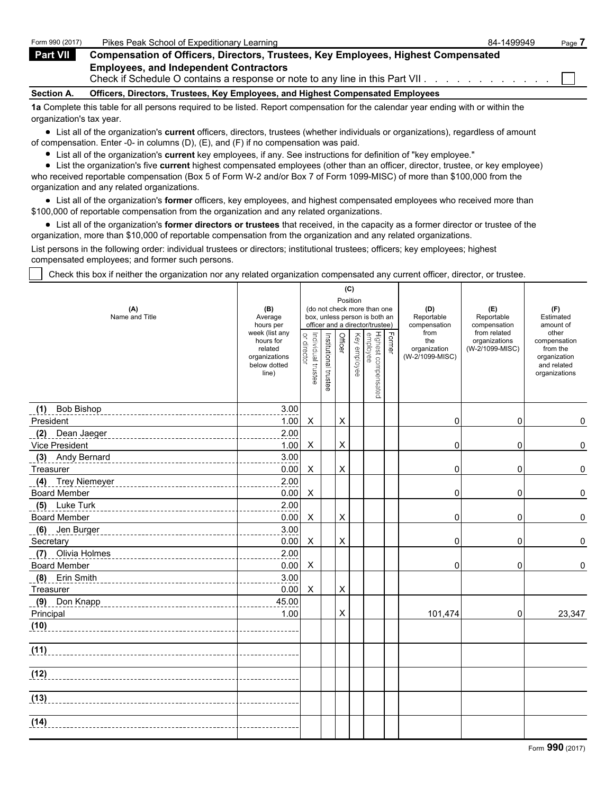| Form 990 (2017)                                                                                                                   | Pikes Peak School of Expeditionary Learning                                                                                    | 84-1499949 | Page 7 |  |  |  |  |  |
|-----------------------------------------------------------------------------------------------------------------------------------|--------------------------------------------------------------------------------------------------------------------------------|------------|--------|--|--|--|--|--|
| Part VII                                                                                                                          | <b>Compensation of Officers, Directors, Trustees, Key Employees, Highest Compensated</b>                                       |            |        |  |  |  |  |  |
|                                                                                                                                   | <b>Employees, and Independent Contractors</b><br>Check if Schedule O contains a response or note to any line in this Part VII. |            |        |  |  |  |  |  |
| Section A.                                                                                                                        | Officers, Directors, Trustees, Key Employees, and Highest Compensated Employees                                                |            |        |  |  |  |  |  |
| 1a Complete this table for all persons required to be listed. Report compensation for the calendar year ending with or within the |                                                                                                                                |            |        |  |  |  |  |  |

organization's tax year.

List all of the organization's **current** officers, directors, trustees (whether individuals or organizations), regardless of amount of compensation. Enter -0- in columns (D), (E), and (F) if no compensation was paid.

List all of the organization's **current** key employees, if any. See instructions for definition of "key employee."

List the organization's five **current** highest compensated employees (other than an officer, director, trustee, or key employee) who received reportable compensation (Box 5 of Form W-2 and/or Box 7 of Form 1099-MISC) of more than \$100,000 from the organization and any related organizations.

List all of the organization's **former** officers, key employees, and highest compensated employees who received more than \$100,000 of reportable compensation from the organization and any related organizations.

List all of the organization's **former directors or trustees** that received, in the capacity as a former director or trustee of the organization, more than \$10,000 of reportable compensation from the organization and any related organizations.

List persons in the following order: individual trustees or directors; institutional trustees; officers; key employees; highest compensated employees; and former such persons.

Check this box if neither the organization nor any related organization compensated any current officer, director, or trustee.

|                                                                 |                                                                                  | (C)<br>Position<br>(do not check more than one<br>box, unless person is both an<br>officer and a director/trustee) |                       |                |              |                                 |        |                                                |                                                  |                                                                                   |
|-----------------------------------------------------------------|----------------------------------------------------------------------------------|--------------------------------------------------------------------------------------------------------------------|-----------------------|----------------|--------------|---------------------------------|--------|------------------------------------------------|--------------------------------------------------|-----------------------------------------------------------------------------------|
| (A)<br>Name and Title                                           | (B)<br>Average<br>hours per                                                      |                                                                                                                    |                       |                |              |                                 |        | (D)<br>Reportable<br>compensation              | (E)<br>Reportable<br>compensation                | (F)<br>Estimated<br>amount of                                                     |
|                                                                 | week (list any<br>hours for<br>related<br>organizations<br>below dotted<br>line) | or director<br>Individual trustee                                                                                  | Institutional trustee | Officer        | Key employee | Highest compensated<br>employee | Former | from<br>the<br>organization<br>(W-2/1099-MISC) | from related<br>organizations<br>(W-2/1099-MISC) | other<br>compensation<br>from the<br>organization<br>and related<br>organizations |
| <b>Bob Bishop</b><br>(1)                                        | 3.00                                                                             |                                                                                                                    |                       |                |              |                                 |        |                                                |                                                  |                                                                                   |
| President                                                       | 1.00                                                                             | X                                                                                                                  |                       | X              |              |                                 |        | 0                                              | $\mathbf 0$                                      | 0                                                                                 |
| (2)<br>Dean Jaeger                                              | 2.00                                                                             |                                                                                                                    |                       |                |              |                                 |        |                                                |                                                  |                                                                                   |
| Vice President                                                  | 1.00                                                                             | Χ                                                                                                                  |                       | X              |              |                                 |        | 0                                              | $\mathbf 0$                                      | 0                                                                                 |
| (3)<br>Andy Bernard                                             | 3.00                                                                             |                                                                                                                    |                       |                |              |                                 |        |                                                |                                                  |                                                                                   |
| Treasurer                                                       | 0.00                                                                             | X                                                                                                                  |                       | X              |              |                                 |        | 0                                              | $\mathbf 0$                                      | 0                                                                                 |
| (4)<br><b>Trey Niemeyer</b><br>________________________________ | 2.00                                                                             |                                                                                                                    |                       |                |              |                                 |        |                                                |                                                  |                                                                                   |
| <b>Board Member</b>                                             | 0.00                                                                             | X                                                                                                                  |                       |                |              |                                 |        | 0                                              | $\mathbf 0$                                      | 0                                                                                 |
| (5)<br>Luke Turk<br>__________________________________          | 2.00                                                                             |                                                                                                                    |                       |                |              |                                 |        |                                                |                                                  |                                                                                   |
| <b>Board Member</b>                                             | 0.00                                                                             | X                                                                                                                  |                       | X              |              |                                 |        | 0                                              | 0                                                | 0                                                                                 |
| (6)<br>Jen Burger                                               | 3.00                                                                             |                                                                                                                    |                       |                |              |                                 |        |                                                |                                                  |                                                                                   |
| Secretary                                                       | 0.00                                                                             | X                                                                                                                  |                       | $\pmb{\times}$ |              |                                 |        | 0                                              | $\mathbf 0$                                      | 0                                                                                 |
| (7)<br>Olivia Holmes                                            | 2.00                                                                             |                                                                                                                    |                       |                |              |                                 |        |                                                |                                                  |                                                                                   |
| <b>Board Member</b>                                             | 0.00                                                                             | X                                                                                                                  |                       |                |              |                                 |        | $\mathbf 0$                                    | 0                                                | 0                                                                                 |
| (8)<br>Erin Smith                                               | 3.00                                                                             |                                                                                                                    |                       |                |              |                                 |        |                                                |                                                  |                                                                                   |
| Treasurer                                                       | 0.00                                                                             | X                                                                                                                  |                       | X              |              |                                 |        |                                                |                                                  |                                                                                   |
| (9)<br>Don Knapp                                                | 45.00                                                                            |                                                                                                                    |                       |                |              |                                 |        |                                                |                                                  |                                                                                   |
| Principal                                                       | 1.00                                                                             |                                                                                                                    |                       | X              |              |                                 |        | 101,474                                        | 0                                                | 23,347                                                                            |
| (10)                                                            |                                                                                  |                                                                                                                    |                       |                |              |                                 |        |                                                |                                                  |                                                                                   |
| (11)                                                            |                                                                                  |                                                                                                                    |                       |                |              |                                 |        |                                                |                                                  |                                                                                   |
| (12)                                                            |                                                                                  |                                                                                                                    |                       |                |              |                                 |        |                                                |                                                  |                                                                                   |
| (13)                                                            |                                                                                  |                                                                                                                    |                       |                |              |                                 |        |                                                |                                                  |                                                                                   |
| (14)                                                            |                                                                                  |                                                                                                                    |                       |                |              |                                 |        |                                                |                                                  |                                                                                   |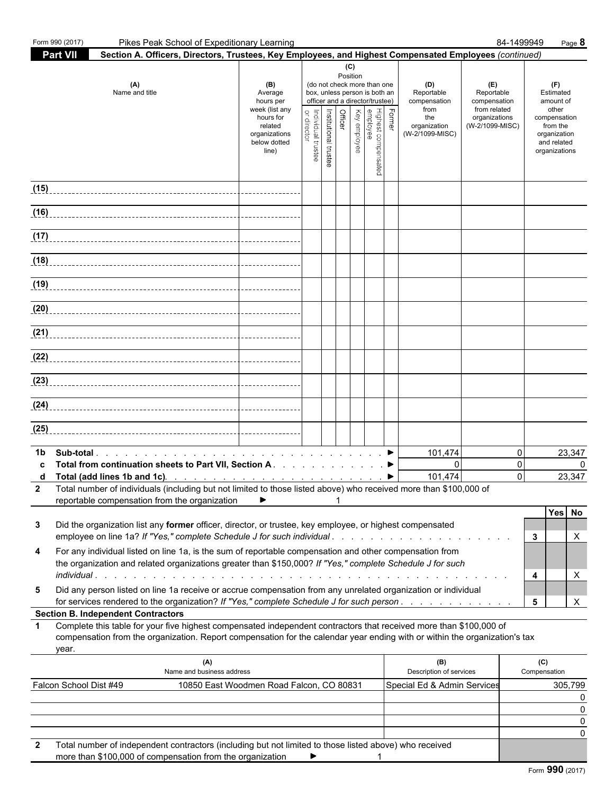|              | Form 990 (2017)                           | Pikes Peak School of Expeditionary Learning                                                                                                                                                                                                                                                                                              |                                                                                                                 |                                   |                       |         |                 |                                                                                                                                                    |        |                                                                                     |                                                                                       | 84-1499949  |                     | Page 8                                                                                                             |
|--------------|-------------------------------------------|------------------------------------------------------------------------------------------------------------------------------------------------------------------------------------------------------------------------------------------------------------------------------------------------------------------------------------------|-----------------------------------------------------------------------------------------------------------------|-----------------------------------|-----------------------|---------|-----------------|----------------------------------------------------------------------------------------------------------------------------------------------------|--------|-------------------------------------------------------------------------------------|---------------------------------------------------------------------------------------|-------------|---------------------|--------------------------------------------------------------------------------------------------------------------|
|              | Part VII                                  | Section A. Officers, Directors, Trustees, Key Employees, and Highest Compensated Employees (continued)                                                                                                                                                                                                                                   |                                                                                                                 |                                   |                       |         |                 |                                                                                                                                                    |        |                                                                                     |                                                                                       |             |                     |                                                                                                                    |
|              |                                           | (A)<br>Name and title                                                                                                                                                                                                                                                                                                                    | (B)<br>Average<br>hours per<br>week (list any<br>hours for<br>related<br>organizations<br>below dotted<br>line) | Individual trustee<br>or director | Institutional trustee | Officer | (C)<br>Position | (do not check more than one<br>box, unless person is both an<br>officer and a director/trustee)<br>Highest compensated<br>employee<br>Key employee | Former | (D)<br>Reportable<br>compensation<br>from<br>the<br>organization<br>(W-2/1099-MISC) | (E)<br>Reportable<br>compensation<br>from related<br>organizations<br>(W-2/1099-MISC) |             |                     | (F)<br>Estimated<br>amount of<br>other<br>compensation<br>from the<br>organization<br>and related<br>organizations |
|              |                                           |                                                                                                                                                                                                                                                                                                                                          |                                                                                                                 |                                   |                       |         |                 |                                                                                                                                                    |        |                                                                                     |                                                                                       |             |                     |                                                                                                                    |
|              |                                           |                                                                                                                                                                                                                                                                                                                                          |                                                                                                                 |                                   |                       |         |                 |                                                                                                                                                    |        |                                                                                     |                                                                                       |             |                     |                                                                                                                    |
|              |                                           | (17) $\cdots$ $\cdots$ $\cdots$ $\cdots$ $\cdots$ $\cdots$ $\cdots$ $\cdots$ $\cdots$ $\cdots$ $\cdots$ $\cdots$ $\cdots$ $\cdots$ $\cdots$ $\cdots$ $\cdots$ $\cdots$ $\cdots$ $\cdots$ $\cdots$ $\cdots$ $\cdots$ $\cdots$ $\cdots$ $\cdots$ $\cdots$ $\cdots$ $\cdots$ $\cdots$ $\cdots$ $\cdots$ $\cdots$ $\cdots$ $\cdots$ $\cdots$ |                                                                                                                 |                                   |                       |         |                 |                                                                                                                                                    |        |                                                                                     |                                                                                       |             |                     |                                                                                                                    |
|              |                                           |                                                                                                                                                                                                                                                                                                                                          |                                                                                                                 |                                   |                       |         |                 |                                                                                                                                                    |        |                                                                                     |                                                                                       |             |                     |                                                                                                                    |
|              |                                           |                                                                                                                                                                                                                                                                                                                                          |                                                                                                                 |                                   |                       |         |                 |                                                                                                                                                    |        |                                                                                     |                                                                                       |             |                     |                                                                                                                    |
|              |                                           |                                                                                                                                                                                                                                                                                                                                          |                                                                                                                 |                                   |                       |         |                 |                                                                                                                                                    |        |                                                                                     |                                                                                       |             |                     |                                                                                                                    |
|              |                                           | (21) $\frac{1}{2}$ $\frac{1}{2}$ $\frac{1}{2}$ $\frac{1}{2}$ $\frac{1}{2}$ $\frac{1}{2}$ $\frac{1}{2}$ $\frac{1}{2}$ $\frac{1}{2}$ $\frac{1}{2}$ $\frac{1}{2}$ $\frac{1}{2}$ $\frac{1}{2}$ $\frac{1}{2}$ $\frac{1}{2}$ $\frac{1}{2}$ $\frac{1}{2}$ $\frac{1}{2}$ $\frac{1}{2}$ $\frac{1}{2}$ $\frac{1}{2}$ $\frac{1}{$                   |                                                                                                                 |                                   |                       |         |                 |                                                                                                                                                    |        |                                                                                     |                                                                                       |             |                     |                                                                                                                    |
|              |                                           |                                                                                                                                                                                                                                                                                                                                          |                                                                                                                 |                                   |                       |         |                 |                                                                                                                                                    |        |                                                                                     |                                                                                       |             |                     |                                                                                                                    |
|              |                                           |                                                                                                                                                                                                                                                                                                                                          |                                                                                                                 |                                   |                       |         |                 |                                                                                                                                                    |        |                                                                                     |                                                                                       |             |                     |                                                                                                                    |
|              |                                           | (24)                                                                                                                                                                                                                                                                                                                                     |                                                                                                                 |                                   |                       |         |                 |                                                                                                                                                    |        |                                                                                     |                                                                                       |             |                     |                                                                                                                    |
| (25)         |                                           |                                                                                                                                                                                                                                                                                                                                          |                                                                                                                 |                                   |                       |         |                 |                                                                                                                                                    |        |                                                                                     |                                                                                       |             |                     |                                                                                                                    |
| 1b<br>C<br>d |                                           | Total from continuation sheets to Part VII, Section A. ▶                                                                                                                                                                                                                                                                                 |                                                                                                                 |                                   |                       |         |                 |                                                                                                                                                    |        | 101,474<br>$\Omega$<br>101,474                                                      |                                                                                       | 0<br>0<br>0 |                     | 23,347<br>$\Omega$<br>23,347                                                                                       |
|              |                                           | Total number of individuals (including but not limited to those listed above) who received more than \$100,000 of<br>reportable compensation from the organization                                                                                                                                                                       | ▶                                                                                                               |                                   |                       |         |                 |                                                                                                                                                    |        |                                                                                     |                                                                                       |             |                     |                                                                                                                    |
| 3            |                                           | Did the organization list any former officer, director, or trustee, key employee, or highest compensated<br>employee on line 1a? If "Yes," complete Schedule J for such individual                                                                                                                                                       |                                                                                                                 |                                   |                       |         |                 |                                                                                                                                                    |        |                                                                                     |                                                                                       |             | 3                   | Yes<br>No<br>X                                                                                                     |
| 4            |                                           | For any individual listed on line 1a, is the sum of reportable compensation and other compensation from<br>the organization and related organizations greater than \$150,000? If "Yes," complete Schedule J for such<br><i>individual</i> .                                                                                              |                                                                                                                 |                                   |                       |         |                 |                                                                                                                                                    |        |                                                                                     |                                                                                       |             | 4                   | X                                                                                                                  |
| 5            |                                           | Did any person listed on line 1a receive or accrue compensation from any unrelated organization or individual<br>for services rendered to the organization? If "Yes," complete Schedule J for such person                                                                                                                                |                                                                                                                 |                                   |                       |         |                 |                                                                                                                                                    |        |                                                                                     |                                                                                       |             | 5                   | X                                                                                                                  |
|              | <b>Section B. Independent Contractors</b> |                                                                                                                                                                                                                                                                                                                                          |                                                                                                                 |                                   |                       |         |                 |                                                                                                                                                    |        |                                                                                     |                                                                                       |             |                     |                                                                                                                    |
| $\mathbf 1$  | year.                                     | Complete this table for your five highest compensated independent contractors that received more than \$100,000 of<br>compensation from the organization. Report compensation for the calendar year ending with or within the organization's tax                                                                                         |                                                                                                                 |                                   |                       |         |                 |                                                                                                                                                    |        |                                                                                     |                                                                                       |             |                     |                                                                                                                    |
|              |                                           | (A)<br>Name and business address                                                                                                                                                                                                                                                                                                         |                                                                                                                 |                                   |                       |         |                 |                                                                                                                                                    |        | (B)<br>Description of services                                                      |                                                                                       |             | (C)<br>Compensation |                                                                                                                    |
|              | Falcon School Dist #49                    |                                                                                                                                                                                                                                                                                                                                          | 10850 East Woodmen Road Falcon, CO 80831                                                                        |                                   |                       |         |                 |                                                                                                                                                    |        | Special Ed & Admin Services                                                         |                                                                                       |             |                     | 305,799<br>0                                                                                                       |
|              |                                           |                                                                                                                                                                                                                                                                                                                                          |                                                                                                                 |                                   |                       |         |                 |                                                                                                                                                    |        |                                                                                     |                                                                                       |             |                     | 0<br>0                                                                                                             |
|              |                                           |                                                                                                                                                                                                                                                                                                                                          |                                                                                                                 |                                   |                       |         |                 |                                                                                                                                                    |        |                                                                                     |                                                                                       |             |                     | 0                                                                                                                  |
| $\mathbf{2}$ |                                           | Total number of independent contractors (including but not limited to those listed above) who received<br>more than \$100,000 of compensation from the organization                                                                                                                                                                      |                                                                                                                 |                                   |                       |         |                 |                                                                                                                                                    |        |                                                                                     |                                                                                       |             |                     |                                                                                                                    |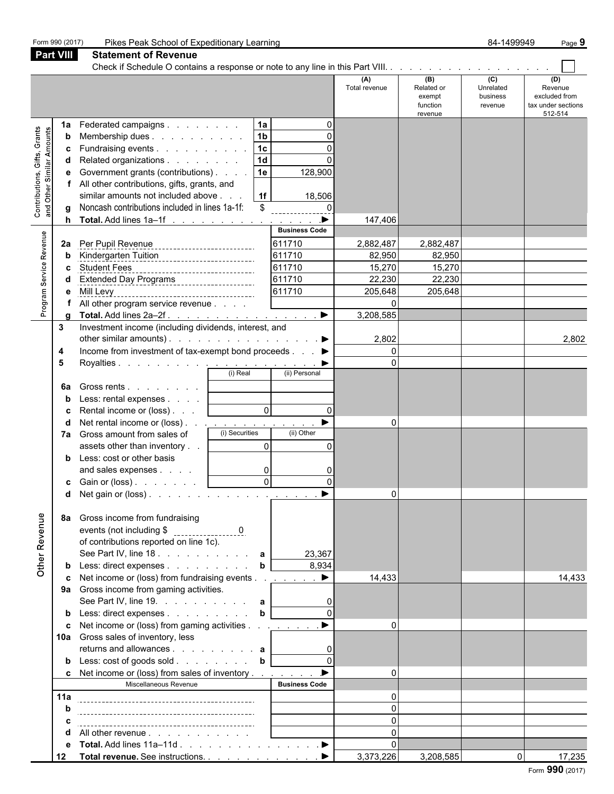|                                            | Form 990 (2017)  | Pikes Peak School of Expeditionary Learning                                                               | 84-1499949<br>Page 9  |                      |                                                    |                                         |                                                                  |  |  |
|--------------------------------------------|------------------|-----------------------------------------------------------------------------------------------------------|-----------------------|----------------------|----------------------------------------------------|-----------------------------------------|------------------------------------------------------------------|--|--|
|                                            | <b>Part VIII</b> | <b>Statement of Revenue</b>                                                                               |                       |                      |                                                    |                                         |                                                                  |  |  |
|                                            |                  | Check if Schedule O contains a response or note to any line in this Part VIII.                            |                       |                      |                                                    |                                         |                                                                  |  |  |
|                                            |                  |                                                                                                           |                       | (A)<br>Total revenue | (B)<br>Related or<br>exempt<br>function<br>revenue | (C)<br>Unrelated<br>business<br>revenue | (D)<br>Revenue<br>excluded from<br>tax under sections<br>512-514 |  |  |
|                                            | 1a               | 1a<br>Federated campaigns                                                                                 | 0                     |                      |                                                    |                                         |                                                                  |  |  |
| Gifts, Grants<br>and Other Similar Amounts | b                | 1 <sub>b</sub><br>Membership dues                                                                         | 0                     |                      |                                                    |                                         |                                                                  |  |  |
|                                            | c                | Fundraising events<br>1 <sub>c</sub>                                                                      | $\Omega$              |                      |                                                    |                                         |                                                                  |  |  |
|                                            | d                | 1 <sub>d</sub><br>Related organizations                                                                   |                       |                      |                                                    |                                         |                                                                  |  |  |
|                                            | е                | 1e<br>Government grants (contributions)                                                                   | 128,900               |                      |                                                    |                                         |                                                                  |  |  |
|                                            | f                | All other contributions, gifts, grants, and                                                               |                       |                      |                                                    |                                         |                                                                  |  |  |
| Contributions,                             |                  | similar amounts not included above<br>1f                                                                  | 18,506                |                      |                                                    |                                         |                                                                  |  |  |
|                                            | a                | Noncash contributions included in lines 1a-1f:<br>\$                                                      | 0                     |                      |                                                    |                                         |                                                                  |  |  |
|                                            | h                | <b>Total.</b> Add lines $1a-1f$ <u>.</u>                                                                  | ▶                     | 147,406              |                                                    |                                         |                                                                  |  |  |
|                                            |                  |                                                                                                           | <b>Business Code</b>  |                      |                                                    |                                         |                                                                  |  |  |
| Program Service Revenue                    | 2a               | Per Pupil Revenue                                                                                         | 611710                | 2,882,487            | 2,882,487                                          |                                         |                                                                  |  |  |
|                                            | b                | Kindergarten Tuition<br>___________________________                                                       | 611710                | 82,950               | 82,950                                             |                                         |                                                                  |  |  |
|                                            | c                | <b>Student Fees</b><br>_______________________________                                                    | 611710                | 15,270               | 15,270                                             |                                         |                                                                  |  |  |
|                                            |                  | Extended Day Programs                                                                                     | 611710                | 22,230               | 22,230                                             |                                         |                                                                  |  |  |
|                                            | е                | Mill Levy<br>____________________________________                                                         | 611710                | 205,648              | 205,648                                            |                                         |                                                                  |  |  |
|                                            |                  | All other program service revenue                                                                         |                       | 0                    |                                                    |                                         |                                                                  |  |  |
|                                            | g                |                                                                                                           |                       | 3,208,585            |                                                    |                                         |                                                                  |  |  |
|                                            | 3                | Investment income (including dividends, interest, and                                                     |                       |                      |                                                    |                                         |                                                                  |  |  |
|                                            |                  | other similar amounts). $\ldots$ $\ldots$ $\ldots$ $\ldots$ $\ldots$ $\ldots$                             |                       | 2,802                |                                                    |                                         | 2,802                                                            |  |  |
|                                            | 4                | Income from investment of tax-exempt bond proceeds                                                        |                       | 0                    |                                                    |                                         |                                                                  |  |  |
|                                            | 5                |                                                                                                           | (ii) Personal         | 0                    |                                                    |                                         |                                                                  |  |  |
|                                            |                  |                                                                                                           |                       |                      |                                                    |                                         |                                                                  |  |  |
|                                            | 6a               | Gross rents                                                                                               |                       |                      |                                                    |                                         |                                                                  |  |  |
|                                            | b                | Less: rental expenses                                                                                     |                       |                      |                                                    |                                         |                                                                  |  |  |
|                                            | c                | $\mathbf 0$<br>Rental income or (loss)                                                                    | $\Omega$<br>▶         |                      |                                                    |                                         |                                                                  |  |  |
|                                            | d                | Net rental income or (loss).<br>(i) Securities                                                            | (ii) Other            | 0                    |                                                    |                                         |                                                                  |  |  |
|                                            | 7a               | Gross amount from sales of<br>0<br>assets other than inventory                                            |                       |                      |                                                    |                                         |                                                                  |  |  |
|                                            |                  |                                                                                                           | 0                     |                      |                                                    |                                         |                                                                  |  |  |
|                                            | b                | Less: cost or other basis<br>and sales expenses<br>0                                                      | 0                     |                      |                                                    |                                         |                                                                  |  |  |
|                                            |                  | 0<br>Gain or (loss)                                                                                       | 0                     |                      |                                                    |                                         |                                                                  |  |  |
|                                            | c                |                                                                                                           | ▶                     | 0                    |                                                    |                                         |                                                                  |  |  |
|                                            |                  |                                                                                                           |                       |                      |                                                    |                                         |                                                                  |  |  |
| Other Revenue                              | 8a               | Gross income from fundraising<br>of contributions reported on line 1c).<br>See Part IV, line 18. a        | 23,367                |                      |                                                    |                                         |                                                                  |  |  |
|                                            | b                | Less: direct expenses<br>b                                                                                | 8,934                 |                      |                                                    |                                         |                                                                  |  |  |
|                                            | c                | Net income or (loss) from fundraising events                                                              | $\blacktriangleright$ | 14,433               |                                                    |                                         | 14,433                                                           |  |  |
|                                            |                  | 9a Gross income from gaming activities.<br>See Part IV, line 19. $\ldots$ $\ldots$ $\ldots$ $\ldots$<br>a | 0                     |                      |                                                    |                                         |                                                                  |  |  |
|                                            | b                | Less: direct expenses<br>b                                                                                |                       |                      |                                                    |                                         |                                                                  |  |  |
|                                            | c                | Net income or (loss) from gaming activities                                                               | $\blacktriangleright$ | 0                    |                                                    |                                         |                                                                  |  |  |
|                                            |                  | 10a Gross sales of inventory, less                                                                        |                       |                      |                                                    |                                         |                                                                  |  |  |
|                                            |                  | returns and allowances a                                                                                  | 0                     |                      |                                                    |                                         |                                                                  |  |  |
|                                            | b                | Less: cost of goods sold<br>b                                                                             |                       |                      |                                                    |                                         |                                                                  |  |  |
|                                            | c                | Net income or (loss) from sales of inventory                                                              | ь                     | 0                    |                                                    |                                         |                                                                  |  |  |
|                                            |                  | Miscellaneous Revenue                                                                                     | <b>Business Code</b>  |                      |                                                    |                                         |                                                                  |  |  |
|                                            | 11a              |                                                                                                           |                       | 0                    |                                                    |                                         |                                                                  |  |  |
|                                            | b                |                                                                                                           |                       | 0                    |                                                    |                                         |                                                                  |  |  |
|                                            | с                |                                                                                                           |                       | 0                    |                                                    |                                         |                                                                  |  |  |
|                                            | d                | All other revenue                                                                                         |                       | $\mathbf 0$          |                                                    |                                         |                                                                  |  |  |
|                                            | е                |                                                                                                           |                       | 0                    |                                                    |                                         |                                                                  |  |  |
|                                            | 12               | Total revenue. See instructions. ▶                                                                        |                       | 3,373,226            | 3,208,585                                          | 0                                       | 17,235                                                           |  |  |
|                                            |                  |                                                                                                           |                       |                      |                                                    |                                         | nnn                                                              |  |  |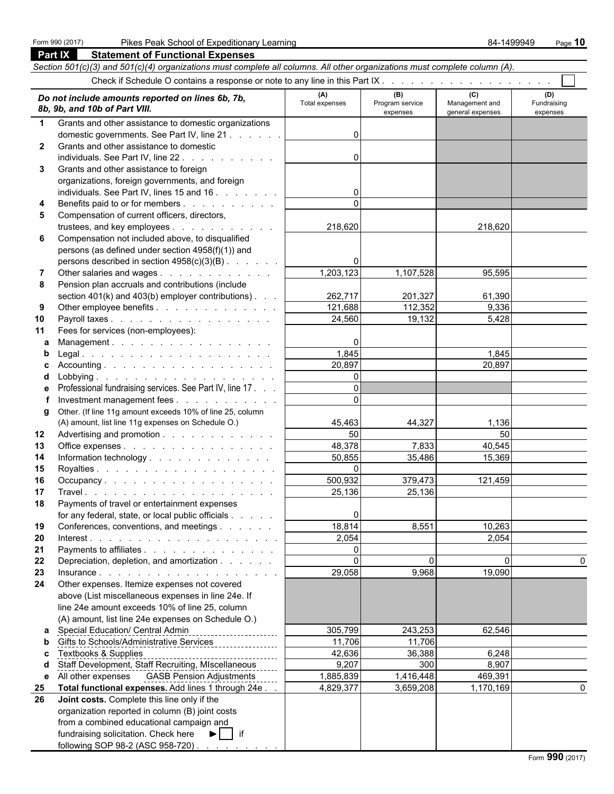|    | Section 501(c)(3) and 501(c)(4) organizations must complete all columns. All other organizations must complete column (A). |                       |                                    |                                           |                                |
|----|----------------------------------------------------------------------------------------------------------------------------|-----------------------|------------------------------------|-------------------------------------------|--------------------------------|
|    | Check if Schedule O contains a response or note to any line in this Part IX                                                |                       |                                    |                                           |                                |
|    | Do not include amounts reported on lines 6b, 7b,<br>8b, 9b, and 10b of Part VIII.                                          | (A)<br>Total expenses | (B)<br>Program service<br>expenses | (C)<br>Management and<br>general expenses | (D)<br>Fundraising<br>expenses |
| 1  | Grants and other assistance to domestic organizations                                                                      |                       |                                    |                                           |                                |
|    | domestic governments. See Part IV, line 21                                                                                 | 0                     |                                    |                                           |                                |
| 2  | Grants and other assistance to domestic                                                                                    |                       |                                    |                                           |                                |
|    | individuals. See Part IV, line 22.                                                                                         | 0                     |                                    |                                           |                                |
| 3  | Grants and other assistance to foreign                                                                                     |                       |                                    |                                           |                                |
|    | organizations, foreign governments, and foreign                                                                            |                       |                                    |                                           |                                |
|    | individuals. See Part IV, lines 15 and 16                                                                                  | 0                     |                                    |                                           |                                |
| 4  | Benefits paid to or for members                                                                                            | $\Omega$              |                                    |                                           |                                |
| 5  | Compensation of current officers, directors,                                                                               |                       |                                    |                                           |                                |
|    | trustees, and key employees                                                                                                | 218,620               |                                    | 218,620                                   |                                |
| 6  | Compensation not included above, to disqualified                                                                           |                       |                                    |                                           |                                |
|    | persons (as defined under section 4958(f)(1)) and                                                                          |                       |                                    |                                           |                                |
|    | persons described in section 4958(c)(3)(B)                                                                                 | 0                     |                                    |                                           |                                |
| 7  | Other salaries and wages                                                                                                   | 1,203,123             | 1,107,528                          | 95,595                                    |                                |
| 8  | Pension plan accruals and contributions (include                                                                           |                       |                                    |                                           |                                |
|    | section $401(k)$ and $403(b)$ employer contributions).                                                                     | 262,717               | 201,327                            | 61,390                                    |                                |
| 9  | Other employee benefits                                                                                                    | 121,688               | 112,352                            | 9,336                                     |                                |
| 10 | Payroll taxes                                                                                                              | 24,560                | 19,132                             | 5,428                                     |                                |
| 11 | Fees for services (non-employees):                                                                                         |                       |                                    |                                           |                                |
| а  | Management.                                                                                                                | 0                     |                                    |                                           |                                |
| b  |                                                                                                                            | 1,845                 |                                    | 1,845                                     |                                |
| с  |                                                                                                                            | 20,897                |                                    | 20,897                                    |                                |
| d  |                                                                                                                            | 0                     |                                    |                                           |                                |
| е  | Professional fundraising services. See Part IV, line 17.                                                                   | $\Omega$              |                                    |                                           |                                |
| f  | Investment management fees                                                                                                 | $\Omega$              |                                    |                                           |                                |
| g  | Other. (If line 11g amount exceeds 10% of line 25, column                                                                  |                       |                                    |                                           |                                |
|    | (A) amount, list line 11g expenses on Schedule O.)                                                                         | 45,463                | 44,327                             | 1,136                                     |                                |
| 12 | Advertising and promotion                                                                                                  | 50                    |                                    | 50                                        |                                |
| 13 | Office expenses                                                                                                            | 48,378                | 7,833                              | 40,545                                    |                                |
| 14 | Information technology.                                                                                                    | 50,855                | 35,486                             | 15,369                                    |                                |
| 15 |                                                                                                                            | $\Omega$              |                                    |                                           |                                |
| 16 | Occupancy                                                                                                                  | 500,932               | 379,473                            | 121,459                                   |                                |
| 17 |                                                                                                                            | 25,136                | 25,136                             |                                           |                                |
| 18 | Payments of travel or entertainment expenses                                                                               |                       |                                    |                                           |                                |
|    | for any federal, state, or local public officials                                                                          | 0                     |                                    |                                           |                                |
| 19 | Conferences, conventions, and meetings                                                                                     | 18,814                | 8,551                              | 10,263                                    |                                |
| 20 |                                                                                                                            | 2,054                 |                                    | 2,054                                     |                                |
| 21 | Payments to affiliates                                                                                                     | 0                     |                                    |                                           |                                |
| 22 | Depreciation, depletion, and amortization                                                                                  | $\Omega$              | 0                                  | 0                                         | 0                              |
| 23 | Insurance.                                                                                                                 | 29,058                | 9,968                              | 19,090                                    |                                |
| 24 | Other expenses. Itemize expenses not covered                                                                               |                       |                                    |                                           |                                |
|    | above (List miscellaneous expenses in line 24e. If                                                                         |                       |                                    |                                           |                                |
|    | line 24e amount exceeds 10% of line 25, column                                                                             |                       |                                    |                                           |                                |
|    | (A) amount, list line 24e expenses on Schedule O.)                                                                         |                       |                                    |                                           |                                |
| a  | Special Education/ Central Admin<br><u> 1999 - Albert Albert III eta A</u>                                                 | 305,799               | 243,253                            | 62,546                                    |                                |
| b  | Gifts to Schools/Administrative Services                                                                                   | 11,706                | 11,706                             |                                           |                                |
| c  | <b>Textbooks &amp; Supplies</b>                                                                                            | 42,636                | 36,388                             | 6,248                                     |                                |
| d  | Staff Development, Staff Recruiting, MIscellaneous                                                                         | 9,207                 | 300                                | 8,907                                     |                                |
| е  | All other expenses  GASB Pension Adjustments                                                                               | 1,885,839             | 1,416,448                          | 469,391                                   |                                |
| 25 | Total functional expenses. Add lines 1 through 24e.                                                                        | 4,829,377             | 3,659,208                          | 1,170,169                                 | 0                              |
| 26 | Joint costs. Complete this line only if the                                                                                |                       |                                    |                                           |                                |
|    | organization reported in column (B) joint costs                                                                            |                       |                                    |                                           |                                |
|    | from a combined educational campaign and                                                                                   |                       |                                    |                                           |                                |
|    | fundraising solicitation. Check here<br>▶∣<br>$\overline{\phantom{a}}$ if                                                  |                       |                                    |                                           |                                |
|    | following SOP 98-2 (ASC 958-720)                                                                                           |                       |                                    |                                           |                                |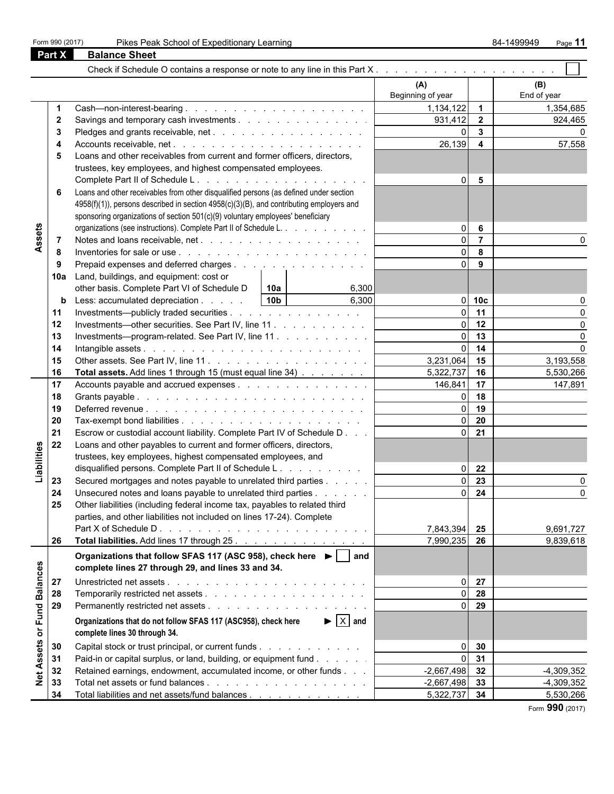|  | Form 990 (2017) |
|--|-----------------|
|  |                 |

|                             |     |                                                                                                                        |                                                            | (A)<br>Beginning of year      |                         | (B)<br>End of year |
|-----------------------------|-----|------------------------------------------------------------------------------------------------------------------------|------------------------------------------------------------|-------------------------------|-------------------------|--------------------|
|                             | 1   |                                                                                                                        |                                                            | 1,134,122                     | 1                       | 1,354,685          |
|                             | 2   | Savings and temporary cash investments                                                                                 |                                                            | 931,412                       | $\mathbf 2$             | 924,465            |
|                             | 3   |                                                                                                                        |                                                            | 0                             | $\mathbf{3}$            |                    |
|                             | 4   |                                                                                                                        |                                                            | 26,139                        | $\overline{\mathbf{4}}$ | 57,558             |
|                             | 5   | Loans and other receivables from current and former officers, directors,                                               |                                                            |                               |                         |                    |
|                             |     | trustees, key employees, and highest compensated employees.                                                            |                                                            |                               |                         |                    |
|                             |     |                                                                                                                        |                                                            | 0                             | 5                       |                    |
|                             | 6   | Loans and other receivables from other disqualified persons (as defined under section                                  |                                                            |                               |                         |                    |
|                             |     | 4958(f)(1)), persons described in section 4958(c)(3)(B), and contributing employers and                                |                                                            |                               |                         |                    |
|                             |     | sponsoring organizations of section 501(c)(9) voluntary employees' beneficiary                                         |                                                            |                               |                         |                    |
|                             |     | organizations (see instructions). Complete Part II of Schedule L.                                                      |                                                            | 0                             | 6                       |                    |
| Assets                      | 7   |                                                                                                                        |                                                            | $\mathbf 0$                   | $\overline{7}$          | 0                  |
|                             | 8   |                                                                                                                        |                                                            | $\Omega$                      | 8                       |                    |
|                             | 9   | Prepaid expenses and deferred charges                                                                                  |                                                            | $\Omega$                      | 9                       |                    |
|                             | 10a | Land, buildings, and equipment: cost or                                                                                |                                                            |                               |                         |                    |
|                             |     | other basis. Complete Part VI of Schedule D                                                                            | 6,300<br>10a                                               |                               |                         |                    |
|                             | b   | Less: accumulated depreciation                                                                                         | 10 <sub>b</sub><br>6,300                                   | $\overline{0}$                | 10 <sub>c</sub>         | 0                  |
|                             | 11  | Investments—publicly traded securities                                                                                 |                                                            | $\mathbf 0$                   | 11                      | $\Omega$           |
|                             | 12  | Investments—other securities. See Part IV, line 11                                                                     |                                                            | $\mathbf 0$                   | 12                      | 0                  |
|                             | 13  | Investments—program-related. See Part IV, line 11                                                                      |                                                            | $\mathbf 0$                   | 13                      | 0                  |
|                             | 14  |                                                                                                                        |                                                            | $\mathbf 0$                   | 14                      | $\Omega$           |
|                             | 15  |                                                                                                                        |                                                            | 3,231,064                     | 15                      | 3,193,558          |
|                             | 16  | Total assets. Add lines 1 through 15 (must equal line 34)                                                              |                                                            | 5,322,737                     | 16                      | 5,530,266          |
|                             | 17  | Accounts payable and accrued expenses                                                                                  |                                                            | 146,841                       | 17                      | 147,891            |
|                             | 18  |                                                                                                                        |                                                            | 0                             | 18                      |                    |
|                             | 19  |                                                                                                                        |                                                            | $\Omega$                      | 19                      |                    |
|                             | 20  |                                                                                                                        |                                                            | $\Omega$                      | 20                      |                    |
|                             | 21  | Escrow or custodial account liability. Complete Part IV of Schedule D                                                  |                                                            | $\Omega$                      | 21                      |                    |
|                             | 22  | Loans and other payables to current and former officers, directors,                                                    |                                                            |                               |                         |                    |
| Liabilities                 |     | trustees, key employees, highest compensated employees, and                                                            |                                                            |                               |                         |                    |
|                             |     | disqualified persons. Complete Part II of Schedule L.                                                                  |                                                            | $\overline{0}$                | 22                      |                    |
|                             | 23  | Secured mortgages and notes payable to unrelated third parties                                                         |                                                            | $\Omega$                      | 23                      | 0                  |
|                             | 24  | Unsecured notes and loans payable to unrelated third parties                                                           |                                                            | $\Omega$                      | 24                      | $\mathbf 0$        |
|                             | 25  | Other liabilities (including federal income tax, payables to related third                                             |                                                            |                               |                         |                    |
|                             |     | parties, and other liabilities not included on lines 17-24). Complete                                                  |                                                            |                               |                         |                    |
|                             |     | Part X of Schedule D.                                                                                                  | and a construction of the construction of the construction | 7,843,394                     | 25                      | 9,691,727          |
|                             | 26  |                                                                                                                        |                                                            | 7,990,235                     | 26                      | 9,839,618          |
|                             |     | Organizations that follow SFAS 117 (ASC 958), check here ▶                                                             | and                                                        |                               |                         |                    |
|                             |     | complete lines 27 through 29, and lines 33 and 34.                                                                     |                                                            |                               |                         |                    |
|                             | 27  |                                                                                                                        |                                                            | $\overline{0}$                | 27                      |                    |
|                             | 28  |                                                                                                                        |                                                            | 0                             | 28                      |                    |
|                             | 29  |                                                                                                                        |                                                            | $\overline{0}$                | 29                      |                    |
|                             |     | Organizations that do not follow SFAS 117 (ASC958), check here                                                         | $\blacktriangleright$ $\mid$ X $\mid$ and                  |                               |                         |                    |
|                             |     | complete lines 30 through 34.                                                                                          |                                                            |                               |                         |                    |
| Net Assets or Fund Balances | 30  |                                                                                                                        |                                                            |                               | 30                      |                    |
|                             | 31  | Capital stock or trust principal, or current funds<br>Paid-in or capital surplus, or land, building, or equipment fund |                                                            | $\overline{0}$<br>$\mathbf 0$ | 31                      |                    |
|                             | 32  | Retained earnings, endowment, accumulated income, or other funds                                                       |                                                            | $-2,667,498$                  | 32                      | $-4,309,352$       |
|                             | 33  |                                                                                                                        |                                                            | $-2,667,498$                  | 33                      | $-4,309,352$       |
|                             | 34  | Total liabilities and net assets/fund balances                                                                         |                                                            | 5,322,737                     | 34                      | 5,530,266          |

Form **990** (2017)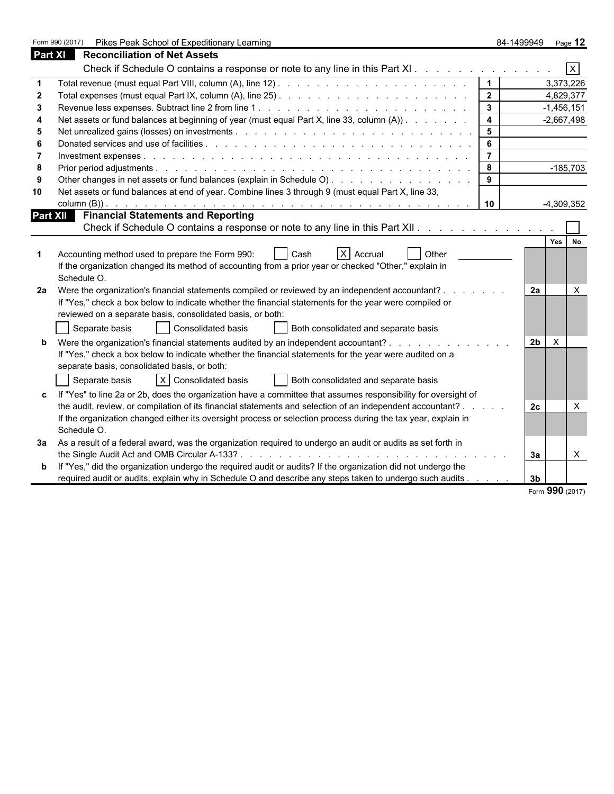Form 990 (2017) Pikes Peak School of Expeditionary Learning 84-1499949 Page 12

| <b>Part XI</b> | <b>Reconciliation of Net Assets</b>                                                                            |                         |                |              |             |
|----------------|----------------------------------------------------------------------------------------------------------------|-------------------------|----------------|--------------|-------------|
|                | Check if Schedule O contains a response or note to any line in this Part XI.                                   |                         |                |              | $\mathsf X$ |
| 1              |                                                                                                                | $\mathbf{1}$            |                | 3,373,226    |             |
| 2              |                                                                                                                | $\mathbf{2}$            |                | 4,829,377    |             |
| 3              |                                                                                                                | $\mathbf{3}$            |                | $-1,456,151$ |             |
| 4              | Net assets or fund balances at beginning of year (must equal Part X, line 33, column (A))                      | $\overline{\mathbf{4}}$ |                | $-2,667,498$ |             |
| 5              |                                                                                                                | 5                       |                |              |             |
| 6              |                                                                                                                | 6                       |                |              |             |
| 7              |                                                                                                                | $\overline{7}$          |                |              |             |
| 8              |                                                                                                                | 8                       |                | $-185,703$   |             |
| 9              | Other changes in net assets or fund balances (explain in Schedule O)                                           | 9                       |                |              |             |
| 10             | Net assets or fund balances at end of year. Combine lines 3 through 9 (must equal Part X, line 33,             |                         |                |              |             |
|                |                                                                                                                | 10                      |                | $-4,309,352$ |             |
| Part XII       | <b>Financial Statements and Reporting</b>                                                                      |                         |                |              |             |
|                | Check if Schedule O contains a response or note to any line in this Part XII.                                  |                         |                |              |             |
|                |                                                                                                                |                         |                | <b>Yes</b>   | <b>No</b>   |
| 1              | Accounting method used to prepare the Form 990:<br>X Accrual<br>Other<br>Cash                                  |                         |                |              |             |
|                | If the organization changed its method of accounting from a prior year or checked "Other," explain in          |                         |                |              |             |
|                | Schedule O.                                                                                                    |                         |                |              |             |
| 2a             | Were the organization's financial statements compiled or reviewed by an independent accountant?                |                         | 2a             |              | X           |
|                | If "Yes," check a box below to indicate whether the financial statements for the year were compiled or         |                         |                |              |             |
|                | reviewed on a separate basis, consolidated basis, or both:                                                     |                         |                |              |             |
|                | Consolidated basis<br>Separate basis<br>Both consolidated and separate basis                                   |                         |                |              |             |
| b              | Were the organization's financial statements audited by an independent accountant?                             |                         | 2 <sub>b</sub> | X            |             |
|                | If "Yes," check a box below to indicate whether the financial statements for the year were audited on a        |                         |                |              |             |
|                | separate basis, consolidated basis, or both:                                                                   |                         |                |              |             |
|                | X Consolidated basis<br>Separate basis<br>Both consolidated and separate basis                                 |                         |                |              |             |
| c              | If "Yes" to line 2a or 2b, does the organization have a committee that assumes responsibility for oversight of |                         |                |              |             |
|                | the audit, review, or compilation of its financial statements and selection of an independent accountant?      |                         | 2c             |              | X           |
|                | If the organization changed either its oversight process or selection process during the tax year, explain in  |                         |                |              |             |
|                | Schedule O.                                                                                                    |                         |                |              |             |
| За             | As a result of a federal award, was the organization required to undergo an audit or audits as set forth in    |                         |                |              |             |
|                |                                                                                                                |                         | Зa             |              | X           |
| b              | If "Yes," did the organization undergo the required audit or audits? If the organization did not undergo the   |                         |                |              |             |
|                | required audit or audits, explain why in Schedule O and describe any steps taken to undergo such audits        |                         | 3 <sub>b</sub> |              |             |

Form **990** (2017)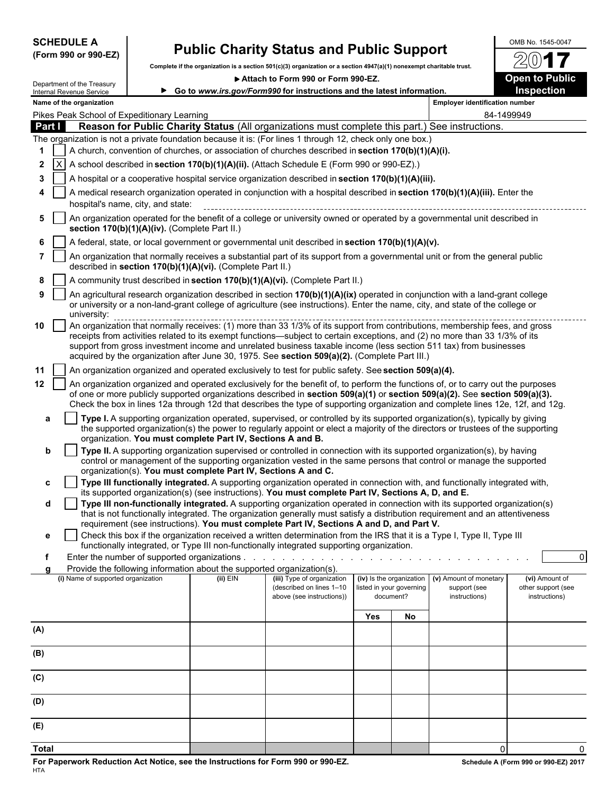| <b>SCHEDULE A</b> |  |                      |
|-------------------|--|----------------------|
|                   |  | (Form 990 or 990-EZ) |

# **Public Charity Status and Public Support**  $\frac{600B\ N_0. 1545-0047}{20}$

**Complete if the organization is a section 501(c)(3) organization or a section 4947(a)(1) nonexempt charitable trust.**

▶ Attach to Form 990 or Form 990-EZ. **Open to Public** 



| Department of the Treasury |  |  |  |  |
|----------------------------|--|--|--|--|
| Internal Revenue Service   |  |  |  |  |
| Name of the organization   |  |  |  |  |

|              | Name of the organization                                                                                               |                                                               |                                                                                                                                                                                                                                                                                                                                                                                                                                                                                  |                          |                                       | <b>Employer identification number</b>                   |                                                       |              |
|--------------|------------------------------------------------------------------------------------------------------------------------|---------------------------------------------------------------|----------------------------------------------------------------------------------------------------------------------------------------------------------------------------------------------------------------------------------------------------------------------------------------------------------------------------------------------------------------------------------------------------------------------------------------------------------------------------------|--------------------------|---------------------------------------|---------------------------------------------------------|-------------------------------------------------------|--------------|
|              | Pikes Peak School of Expeditionary Learning                                                                            |                                                               |                                                                                                                                                                                                                                                                                                                                                                                                                                                                                  |                          |                                       |                                                         | 84-1499949                                            |              |
| Part I       |                                                                                                                        |                                                               | Reason for Public Charity Status (All organizations must complete this part.) See instructions.                                                                                                                                                                                                                                                                                                                                                                                  |                          |                                       |                                                         |                                                       |              |
|              | The organization is not a private foundation because it is: (For lines 1 through 12, check only one box.)              |                                                               |                                                                                                                                                                                                                                                                                                                                                                                                                                                                                  |                          |                                       |                                                         |                                                       |              |
| 1            |                                                                                                                        |                                                               | A church, convention of churches, or association of churches described in section 170(b)(1)(A)(i).                                                                                                                                                                                                                                                                                                                                                                               |                          |                                       |                                                         |                                                       |              |
| 2            |                                                                                                                        |                                                               | A school described in section 170(b)(1)(A)(ii). (Attach Schedule E (Form 990 or 990-EZ).)                                                                                                                                                                                                                                                                                                                                                                                        |                          |                                       |                                                         |                                                       |              |
| 3            |                                                                                                                        |                                                               | A hospital or a cooperative hospital service organization described in section 170(b)(1)(A)(iii).                                                                                                                                                                                                                                                                                                                                                                                |                          |                                       |                                                         |                                                       |              |
| 4            | hospital's name, city, and state:                                                                                      |                                                               | A medical research organization operated in conjunction with a hospital described in section 170(b)(1)(A)(iii). Enter the                                                                                                                                                                                                                                                                                                                                                        |                          |                                       |                                                         |                                                       |              |
| 5            | section 170(b)(1)(A)(iv). (Complete Part II.)                                                                          |                                                               | An organization operated for the benefit of a college or university owned or operated by a governmental unit described in                                                                                                                                                                                                                                                                                                                                                        |                          |                                       |                                                         |                                                       |              |
| 6            |                                                                                                                        |                                                               | A federal, state, or local government or governmental unit described in section 170(b)(1)(A)(v).                                                                                                                                                                                                                                                                                                                                                                                 |                          |                                       |                                                         |                                                       |              |
| 7            | described in section 170(b)(1)(A)(vi). (Complete Part II.)                                                             |                                                               | An organization that normally receives a substantial part of its support from a governmental unit or from the general public                                                                                                                                                                                                                                                                                                                                                     |                          |                                       |                                                         |                                                       |              |
| 8            |                                                                                                                        |                                                               | A community trust described in section 170(b)(1)(A)(vi). (Complete Part II.)                                                                                                                                                                                                                                                                                                                                                                                                     |                          |                                       |                                                         |                                                       |              |
| 9            | university:                                                                                                            |                                                               | An agricultural research organization described in section 170(b)(1)(A)(ix) operated in conjunction with a land-grant college<br>or university or a non-land-grant college of agriculture (see instructions). Enter the name, city, and state of the college or                                                                                                                                                                                                                  |                          |                                       |                                                         |                                                       |              |
| 10           |                                                                                                                        |                                                               | An organization that normally receives: (1) more than 33 1/3% of its support from contributions, membership fees, and gross<br>receipts from activities related to its exempt functions—subject to certain exceptions, and (2) no more than 33 1/3% of its<br>support from gross investment income and unrelated business taxable income (less section 511 tax) from businesses<br>acquired by the organization after June 30, 1975. See section 509(a)(2). (Complete Part III.) |                          |                                       |                                                         |                                                       |              |
| 11           |                                                                                                                        |                                                               | An organization organized and operated exclusively to test for public safety. See section 509(a)(4).                                                                                                                                                                                                                                                                                                                                                                             |                          |                                       |                                                         |                                                       |              |
| 12           |                                                                                                                        |                                                               | An organization organized and operated exclusively for the benefit of, to perform the functions of, or to carry out the purposes<br>of one or more publicly supported organizations described in section 509(a)(1) or section 509(a)(2). See section 509(a)(3).<br>Check the box in lines 12a through 12d that describes the type of supporting organization and complete lines 12e, 12f, and 12g.                                                                               |                          |                                       |                                                         |                                                       |              |
| а            |                                                                                                                        | organization. You must complete Part IV, Sections A and B.    | Type I. A supporting organization operated, supervised, or controlled by its supported organization(s), typically by giving<br>the supported organization(s) the power to regularly appoint or elect a majority of the directors or trustees of the supporting                                                                                                                                                                                                                   |                          |                                       |                                                         |                                                       |              |
| b<br>с       |                                                                                                                        | organization(s). You must complete Part IV, Sections A and C. | Type II. A supporting organization supervised or controlled in connection with its supported organization(s), by having<br>control or management of the supporting organization vested in the same persons that control or manage the supported<br>Type III functionally integrated. A supporting organization operated in connection with, and functionally integrated with,                                                                                                    |                          |                                       |                                                         |                                                       |              |
| d            |                                                                                                                        |                                                               | its supported organization(s) (see instructions). You must complete Part IV, Sections A, D, and E.<br>Type III non-functionally integrated. A supporting organization operated in connection with its supported organization(s)                                                                                                                                                                                                                                                  |                          |                                       |                                                         |                                                       |              |
|              |                                                                                                                        |                                                               | that is not functionally integrated. The organization generally must satisfy a distribution requirement and an attentiveness<br>requirement (see instructions). You must complete Part IV, Sections A and D, and Part V.                                                                                                                                                                                                                                                         |                          |                                       |                                                         |                                                       |              |
| е            |                                                                                                                        |                                                               | Check this box if the organization received a written determination from the IRS that it is a Type I, Type II, Type III<br>functionally integrated, or Type III non-functionally integrated supporting organization.                                                                                                                                                                                                                                                             |                          |                                       |                                                         |                                                       |              |
| f            | Enter the number of supported organizations.<br>Provide the following information about the supported organization(s). |                                                               |                                                                                                                                                                                                                                                                                                                                                                                                                                                                                  |                          |                                       |                                                         |                                                       | 0            |
| a            | (i) Name of supported organization                                                                                     | (ii) EIN                                                      | (iii) Type of organization<br>(described on lines 1-10<br>above (see instructions))                                                                                                                                                                                                                                                                                                                                                                                              | (iv) Is the organization | listed in your governing<br>document? | (v) Amount of monetary<br>support (see<br>instructions) | (vi) Amount of<br>other support (see<br>instructions) |              |
|              |                                                                                                                        |                                                               |                                                                                                                                                                                                                                                                                                                                                                                                                                                                                  | Yes                      | No                                    |                                                         |                                                       |              |
| (A)          |                                                                                                                        |                                                               |                                                                                                                                                                                                                                                                                                                                                                                                                                                                                  |                          |                                       |                                                         |                                                       |              |
| (B)          |                                                                                                                        |                                                               |                                                                                                                                                                                                                                                                                                                                                                                                                                                                                  |                          |                                       |                                                         |                                                       |              |
| (C)          |                                                                                                                        |                                                               |                                                                                                                                                                                                                                                                                                                                                                                                                                                                                  |                          |                                       |                                                         |                                                       |              |
| (D)          |                                                                                                                        |                                                               |                                                                                                                                                                                                                                                                                                                                                                                                                                                                                  |                          |                                       |                                                         |                                                       |              |
| (E)          |                                                                                                                        |                                                               |                                                                                                                                                                                                                                                                                                                                                                                                                                                                                  |                          |                                       |                                                         |                                                       |              |
| <b>Total</b> |                                                                                                                        |                                                               |                                                                                                                                                                                                                                                                                                                                                                                                                                                                                  |                          |                                       | $\mathbf{0}$                                            |                                                       | $\mathbf{0}$ |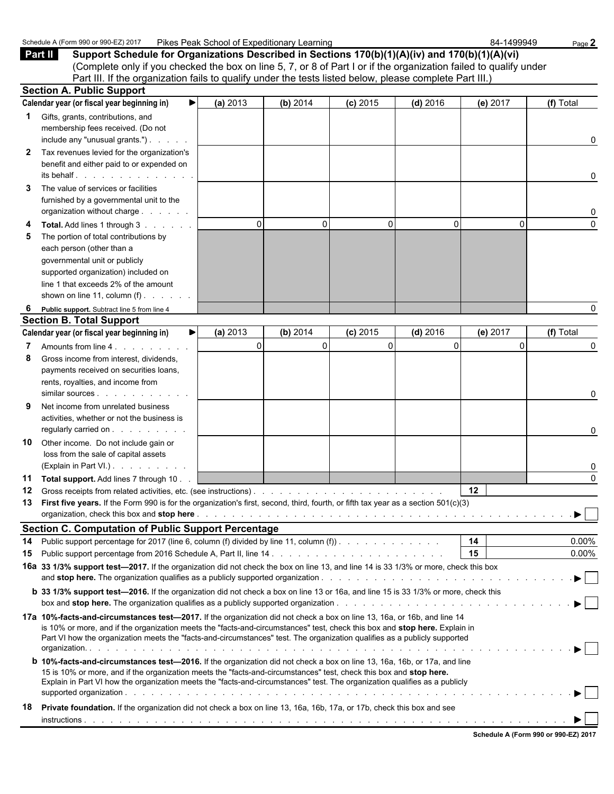|                | Schedule A (Form 990 or 990-EZ) 2017                                                                                                                                                                                                                                                                                                                                               | Pikes Peak School of Expeditionary Learning |          |            |            | 84-1499949 | Page 2               |
|----------------|------------------------------------------------------------------------------------------------------------------------------------------------------------------------------------------------------------------------------------------------------------------------------------------------------------------------------------------------------------------------------------|---------------------------------------------|----------|------------|------------|------------|----------------------|
|                | Support Schedule for Organizations Described in Sections 170(b)(1)(A)(iv) and 170(b)(1)(A)(vi)<br>Part II<br>(Complete only if you checked the box on line 5, 7, or 8 of Part I or if the organization failed to qualify under<br>Part III. If the organization fails to qualify under the tests listed below, please complete Part III.)                                          |                                             |          |            |            |            |                      |
|                | <b>Section A. Public Support</b>                                                                                                                                                                                                                                                                                                                                                   |                                             |          |            |            |            |                      |
|                | Calendar year (or fiscal year beginning in)<br>▶                                                                                                                                                                                                                                                                                                                                   | (a) 2013                                    | (b) 2014 | $(c)$ 2015 | $(d)$ 2016 | (e) 2017   | (f) Total            |
| 1.             | Gifts, grants, contributions, and<br>membership fees received. (Do not<br>include any "unusual grants.")<br>Tax revenues levied for the organization's                                                                                                                                                                                                                             |                                             |          |            |            |            | 0                    |
| 2              | benefit and either paid to or expended on<br>its behalf.                                                                                                                                                                                                                                                                                                                           |                                             |          |            |            |            | 0                    |
| 3              | The value of services or facilities<br>furnished by a governmental unit to the<br>organization without charge                                                                                                                                                                                                                                                                      |                                             |          |            |            |            | 0                    |
| 4<br>5         | Total. Add lines 1 through 3<br>The portion of total contributions by<br>each person (other than a<br>governmental unit or publicly<br>supported organization) included on<br>line 1 that exceeds 2% of the amount<br>shown on line 11, column $(f)$ .                                                                                                                             | 0                                           | 0        | 0          | 0          | 0          | 0                    |
| 6              | Public support. Subtract line 5 from line 4                                                                                                                                                                                                                                                                                                                                        |                                             |          |            |            |            | 0                    |
|                | <b>Section B. Total Support</b><br>Calendar year (or fiscal year beginning in)<br>▶                                                                                                                                                                                                                                                                                                | (a) 2013                                    | (b) 2014 | $(c)$ 2015 | $(d)$ 2016 | (e) 2017   | (f) Total            |
| 7              | Amounts from line 4.                                                                                                                                                                                                                                                                                                                                                               | $\mathbf 0$                                 | 0        | 0          | 0          | 0          | 0                    |
| 8              | Gross income from interest, dividends,<br>payments received on securities loans,<br>rents, royalties, and income from                                                                                                                                                                                                                                                              |                                             |          |            |            |            | 0                    |
| 9              | Net income from unrelated business<br>activities, whether or not the business is                                                                                                                                                                                                                                                                                                   |                                             |          |            |            |            | 0                    |
| 10             | Other income. Do not include gain or<br>loss from the sale of capital assets<br>(Explain in Part VI.)                                                                                                                                                                                                                                                                              |                                             |          |            |            |            |                      |
| 11<br>12<br>13 | Total support. Add lines 7 through 10.<br>Gross receipts from related activities, etc. (see instructions).<br>First five years. If the Form 990 is for the organization's first, second, third, fourth, or fifth tax year as a section 501(c)(3)                                                                                                                                   |                                             |          |            |            | 12         | 0                    |
|                | <b>Section C. Computation of Public Support Percentage</b>                                                                                                                                                                                                                                                                                                                         |                                             |          |            |            |            |                      |
| 14<br>15       | Public support percentage for 2017 (line 6, column (f) divided by line 11, column (f) $\ldots$ , $\ldots$ , $\ldots$                                                                                                                                                                                                                                                               |                                             |          |            |            | 14<br>15   | $0.00\%$<br>$0.00\%$ |
|                | 16a 33 1/3% support test-2017. If the organization did not check the box on line 13, and line 14 is 33 1/3% or more, check this box<br><b>b</b> 33 1/3% support test-2016. If the organization did not check a box on line 13 or 16a, and line 15 is 33 1/3% or more, check this                                                                                                   |                                             |          |            |            |            |                      |
|                | box and <b>stop here.</b> The organization qualifies as a publicly supported organization.                                                                                                                                                                                                                                                                                         |                                             |          |            |            |            |                      |
|                | 17a 10%-facts-and-circumstances test-2017. If the organization did not check a box on line 13, 16a, or 16b, and line 14<br>is 10% or more, and if the organization meets the "facts-and-circumstances" test, check this box and stop here. Explain in<br>Part VI how the organization meets the "facts-and-circumstances" test. The organization qualifies as a publicly supported |                                             |          |            |            |            |                      |
|                | <b>b</b> 10%-facts-and-circumstances test-2016. If the organization did not check a box on line 13, 16a, 16b, or 17a, and line<br>15 is 10% or more, and if the organization meets the "facts-and-circumstances" test, check this box and stop here.<br>Explain in Part VI how the organization meets the "facts-and-circumstances" test. The organization qualifies as a publicly |                                             |          |            |            |            |                      |
| 18             | Private foundation. If the organization did not check a box on line 13, 16a, 16b, 17a, or 17b, check this box and see                                                                                                                                                                                                                                                              |                                             |          |            |            |            |                      |

| Schedule A (Form 990 or 990-EZ) 2017 |  |  |
|--------------------------------------|--|--|
|                                      |  |  |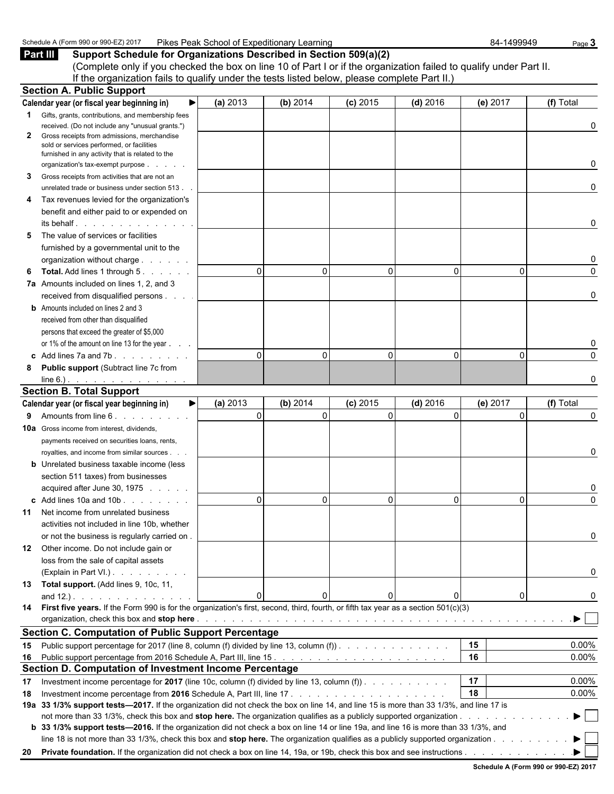| <br>Pike.<br>$201$ <sup>-</sup><br>Schedule<br>.<br>↑A (Form 990 o.<br>- 990-E<br>∟earning<br>School of Expeditionary<br>Peak | 84-1499949 | Page |
|-------------------------------------------------------------------------------------------------------------------------------|------------|------|
|-------------------------------------------------------------------------------------------------------------------------------|------------|------|

**Part III Support Schedule for Organizations Described in Section 509(a)(2)** (Complete only if you checked the box on line 10 of Part I or if the organization failed to qualify under Part II. If the organization fails to qualify under the tests listed below, please complete Part II.)

|              | <b>Section A. Public Support</b>                                                                                                                                                                                                                                                                                                                                          |          |              |            |            |              |           |
|--------------|---------------------------------------------------------------------------------------------------------------------------------------------------------------------------------------------------------------------------------------------------------------------------------------------------------------------------------------------------------------------------|----------|--------------|------------|------------|--------------|-----------|
|              | Calendar year (or fiscal year beginning in)                                                                                                                                                                                                                                                                                                                               | (a) 2013 | (b) 2014     | (c) 2015   | $(d)$ 2016 | (e) 2017     | (f) Total |
| $\mathbf{1}$ | Gifts, grants, contributions, and membership fees                                                                                                                                                                                                                                                                                                                         |          |              |            |            |              |           |
|              | received. (Do not include any "unusual grants.")                                                                                                                                                                                                                                                                                                                          |          |              |            |            |              | 0         |
| 2            | Gross receipts from admissions, merchandise<br>sold or services performed, or facilities                                                                                                                                                                                                                                                                                  |          |              |            |            |              |           |
|              | furnished in any activity that is related to the                                                                                                                                                                                                                                                                                                                          |          |              |            |            |              |           |
|              | organization's tax-exempt purpose                                                                                                                                                                                                                                                                                                                                         |          |              |            |            |              | 0         |
| 3            | Gross receipts from activities that are not an                                                                                                                                                                                                                                                                                                                            |          |              |            |            |              |           |
|              | unrelated trade or business under section 513.                                                                                                                                                                                                                                                                                                                            |          |              |            |            |              | 0         |
| 4            | Tax revenues levied for the organization's                                                                                                                                                                                                                                                                                                                                |          |              |            |            |              |           |
|              | benefit and either paid to or expended on                                                                                                                                                                                                                                                                                                                                 |          |              |            |            |              |           |
|              | its behalf entitled and the set of the set of the set of the set of the set of the set of the set of the set o                                                                                                                                                                                                                                                            |          |              |            |            |              | 0         |
| 5            | The value of services or facilities                                                                                                                                                                                                                                                                                                                                       |          |              |            |            |              |           |
|              | furnished by a governmental unit to the                                                                                                                                                                                                                                                                                                                                   |          |              |            |            |              |           |
|              | organization without charge                                                                                                                                                                                                                                                                                                                                               |          |              |            |            |              | 0         |
| 6            | <b>Total.</b> Add lines 1 through 5.                                                                                                                                                                                                                                                                                                                                      | $\Omega$ | 0            | 0          | 0          | 0            | $\Omega$  |
|              | 7a Amounts included on lines 1, 2, and 3                                                                                                                                                                                                                                                                                                                                  |          |              |            |            |              |           |
|              | received from disqualified persons                                                                                                                                                                                                                                                                                                                                        |          |              |            |            |              | 0         |
|              | <b>b</b> Amounts included on lines 2 and 3                                                                                                                                                                                                                                                                                                                                |          |              |            |            |              |           |
|              | received from other than disqualified                                                                                                                                                                                                                                                                                                                                     |          |              |            |            |              |           |
|              | persons that exceed the greater of \$5,000                                                                                                                                                                                                                                                                                                                                |          |              |            |            |              |           |
|              | or 1% of the amount on line 13 for the year                                                                                                                                                                                                                                                                                                                               |          |              |            |            |              | 0         |
|              | $\epsilon$ Add lines 7a and 7b. $\ldots$                                                                                                                                                                                                                                                                                                                                  | $\Omega$ | $\Omega$     | 0          | 0          | $\mathbf{0}$ | $\Omega$  |
| 8            | <b>Public support (Subtract line 7c from</b>                                                                                                                                                                                                                                                                                                                              |          |              |            |            |              |           |
|              | line 6.). <u>.</u>                                                                                                                                                                                                                                                                                                                                                        |          |              |            |            |              | 0         |
|              | <b>Section B. Total Support</b>                                                                                                                                                                                                                                                                                                                                           |          |              |            |            |              |           |
|              | Calendar year (or fiscal year beginning in)<br>▶                                                                                                                                                                                                                                                                                                                          | (a) 2013 | (b) 2014     | $(c)$ 2015 | $(d)$ 2016 | (e) 2017     | (f) Total |
| 9            | Amounts from line 6.                                                                                                                                                                                                                                                                                                                                                      | 0        | $\mathbf{0}$ | 0          | $\Omega$   | $\Omega$     | 0         |
|              | <b>10a</b> Gross income from interest, dividends,                                                                                                                                                                                                                                                                                                                         |          |              |            |            |              |           |
|              | payments received on securities loans, rents,                                                                                                                                                                                                                                                                                                                             |          |              |            |            |              |           |
|              | royalties, and income from similar sources                                                                                                                                                                                                                                                                                                                                |          |              |            |            |              | 0         |
|              | <b>b</b> Unrelated business taxable income (less                                                                                                                                                                                                                                                                                                                          |          |              |            |            |              |           |
|              | section 511 taxes) from businesses                                                                                                                                                                                                                                                                                                                                        |          |              |            |            |              |           |
|              | acquired after June 30, 1975                                                                                                                                                                                                                                                                                                                                              |          |              |            |            |              | 0         |
|              | $\text{c}$ Add lines 10a and 10b $\ldots$ $\ldots$                                                                                                                                                                                                                                                                                                                        | $\Omega$ | 0            | 0          | 0          | $\mathbf{0}$ | $\Omega$  |
| 11           | Net income from unrelated business                                                                                                                                                                                                                                                                                                                                        |          |              |            |            |              |           |
|              | activities not included in line 10b, whether                                                                                                                                                                                                                                                                                                                              |          |              |            |            |              |           |
|              | or not the business is regularly carried on.                                                                                                                                                                                                                                                                                                                              |          |              |            |            |              |           |
| 12           | Other income. Do not include gain or                                                                                                                                                                                                                                                                                                                                      |          |              |            |            |              |           |
|              | loss from the sale of capital assets                                                                                                                                                                                                                                                                                                                                      |          |              |            |            |              |           |
|              | (Explain in Part VI.)                                                                                                                                                                                                                                                                                                                                                     |          |              |            |            |              | 0         |
| 13           | Total support. (Add lines 9, 10c, 11,                                                                                                                                                                                                                                                                                                                                     |          |              |            |            |              |           |
|              | and $12.$ ).                                                                                                                                                                                                                                                                                                                                                              | 0        | 0            | 0          | 0          | 0            | 0         |
| 14           | First five years. If the Form 990 is for the organization's first, second, third, fourth, or fifth tax year as a section 501(c)(3)<br>organization, check this box and stop here <b>contained</b> and contained a series and contained a series and contained a series of the contact of the contact of the contact of the contact of the contact of the contact of the c |          |              |            |            |              |           |
|              |                                                                                                                                                                                                                                                                                                                                                                           |          |              |            |            |              |           |
|              | <b>Section C. Computation of Public Support Percentage</b><br>Public support percentage for 2017 (line 8, column (f) divided by line 13, column (f)).                                                                                                                                                                                                                     |          |              |            |            | 15           | $0.00\%$  |
| 15<br>16     |                                                                                                                                                                                                                                                                                                                                                                           |          |              |            |            | 16           | 0.00%     |
|              | <b>Section D. Computation of Investment Income Percentage</b>                                                                                                                                                                                                                                                                                                             |          |              |            |            |              |           |
|              | Investment income percentage for 2017 (line 10c, column (f) divided by line 13, column (f)). $\ldots$                                                                                                                                                                                                                                                                     |          |              |            |            | 17           | 0.00%     |
| 17           |                                                                                                                                                                                                                                                                                                                                                                           |          |              |            |            | 18           | $0.00\%$  |
| 18           | 19a 33 1/3% support tests-2017. If the organization did not check the box on line 14, and line 15 is more than 33 1/3%, and line 17 is                                                                                                                                                                                                                                    |          |              |            |            |              |           |
|              | not more than 33 1/3%, check this box and stop here. The organization qualifies as a publicly supported organization                                                                                                                                                                                                                                                      |          |              |            |            |              |           |
|              | <b>b</b> 33 1/3% support tests—2016. If the organization did not check a box on line 14 or line 19a, and line 16 is more than 33 1/3%, and                                                                                                                                                                                                                                |          |              |            |            |              |           |
|              | line 18 is not more than 33 1/3%, check this box and stop here. The organization qualifies as a publicly supported organization                                                                                                                                                                                                                                           |          |              |            |            |              |           |
| 20           | Private foundation. If the organization did not check a box on line 14, 19a, or 19b, check this box and see instructions                                                                                                                                                                                                                                                  |          |              |            |            |              |           |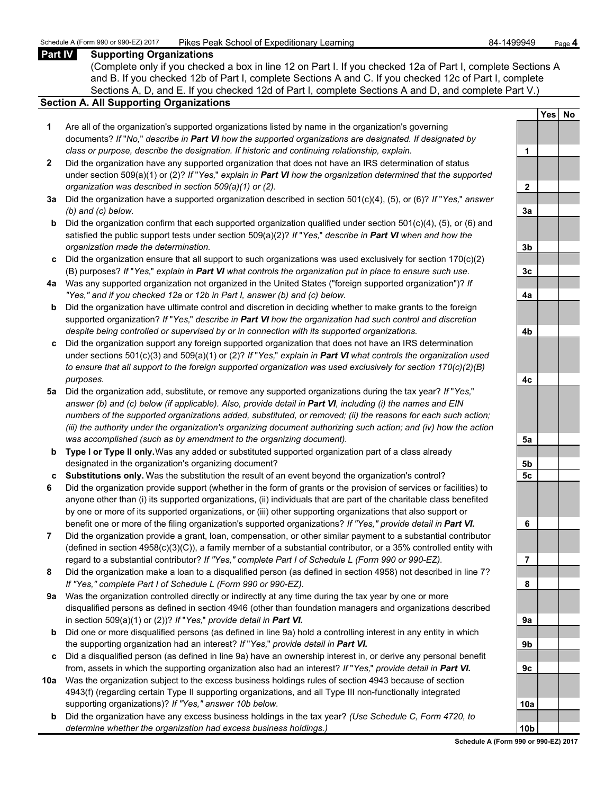## **Part IV Supporting Organizations**

(Complete only if you checked a box in line 12 on Part I. If you checked 12a of Part I, complete Sections A and B. If you checked 12b of Part I, complete Sections A and C. If you checked 12c of Part I, complete Sections A, D, and E. If you checked 12d of Part I, complete Sections A and D, and complete Part V.)

### **Section A. All Supporting Organizations**

- **1** Are all of the organization's supported organizations listed by name in the organization's governing documents? *If* "*No,*" *describe in Part VI how the supported organizations are designated. If designated by class or purpose, describe the designation. If historic and continuing relationship, explain.* **1**
- **2** Did the organization have any supported organization that does not have an IRS determination of status under section 509(a)(1) or (2)? *If* "*Yes,*" *explain in Part VI how the organization determined that the supported organization was described in section 509(a)(1) or (2).*
- **3a** Did the organization have a supported organization described in section 501(c)(4), (5), or (6)? *If* "*Yes,*" *answer (b) and (c) below.* **3a**
- **b** Did the organization confirm that each supported organization qualified under section 501(c)(4), (5), or (6) and satisfied the public support tests under section 509(a)(2)? *If* "*Yes,*" *describe in Part VI when and how the organization made the determination.* **3b**
- **c** Did the organization ensure that all support to such organizations was used exclusively for section 170(c)(2) (B) purposes? *If* "*Yes,*" *explain in Part VI what controls the organization put in place to ensure such use.* **3c**
- **4a** Was any supported organization not organized in the United States ("foreign supported organization")? *If "Yes," and if you checked 12a or 12b in Part I, answer (b) and (c) below.* **4a**
- **b** Did the organization have ultimate control and discretion in deciding whether to make grants to the foreign supported organization? *If* "*Yes,*" *describe in Part VI how the organization had such control and discretion despite being controlled or supervised by or in connection with its supported organizations.* **4b**
- **c** Did the organization support any foreign supported organization that does not have an IRS determination under sections 501(c)(3) and 509(a)(1) or (2)? *If* "*Yes,*" *explain in Part VI what controls the organization used to ensure that all support to the foreign supported organization was used exclusively for section 170(c)(2)(B) purposes.* **4c**
- **5a** Did the organization add, substitute, or remove any supported organizations during the tax year? *If* "*Yes,*" *answer (b) and (c) below (if applicable). Also, provide detail in Part VI, including (i) the names and EIN numbers of the supported organizations added, substituted, or removed; (ii) the reasons for each such action; (iii) the authority under the organization's organizing document authorizing such action; and (iv) how the action was accomplished (such as by amendment to the organizing document).* **5a**
- **b Type I or Type II only.** Was any added or substituted supported organization part of a class already designated in the organization's organizing document? **5b**
- **c Substitutions only.** Was the substitution the result of an event beyond the organization's control? **5c**
- **6** Did the organization provide support (whether in the form of grants or the provision of services or facilities) to anyone other than (i) its supported organizations, (ii) individuals that are part of the charitable class benefited by one or more of its supported organizations, or (iii) other supporting organizations that also support or benefit one or more of the filing organization's supported organizations? *If "Yes," provide detail in Part VI.* **6**
- **7** Did the organization provide a grant, loan, compensation, or other similar payment to a substantial contributor (defined in section 4958(c)(3)(C)), a family member of a substantial contributor, or a 35% controlled entity with regard to a substantial contributor? *If "Yes," complete Part I of Schedule L (Form 990 or 990-EZ).* **7**
- **8** Did the organization make a loan to a disqualified person (as defined in section 4958) not described in line 7? *If "Yes," complete Part I of Schedule L (Form 990 or 990-EZ).* **8**
- **9a** Was the organization controlled directly or indirectly at any time during the tax year by one or more disqualified persons as defined in section 4946 (other than foundation managers and organizations described in section 509(a)(1) or (2))? *If* "*Yes*," *provide detail in Part VI.*
- **b** Did one or more disqualified persons (as defined in line 9a) hold a controlling interest in any entity in which the supporting organization had an interest? *If* "*Yes,*" *provide detail in Part VI.* **9b**
- **c** Did a disqualified person (as defined in line 9a) have an ownership interest in, or derive any personal benefit from, assets in which the supporting organization also had an interest? *If* "*Yes,*" *provide detail in Part VI.* **9c**
- **10a** Was the organization subject to the excess business holdings rules of section 4943 because of section 4943(f) (regarding certain Type II supporting organizations, and all Type III non-functionally integrated supporting organizations)? If "Yes," answer 10b below.
	- **b** Did the organization have any excess business holdings in the tax year? *(Use Schedule C, Form 4720, to determine whether the organization had excess business holdings.)* **10b**

|            | Yes | No |
|------------|-----|----|
|            |     |    |
| 1          |     |    |
|            |     |    |
| 2          |     |    |
|            |     |    |
| 3a         |     |    |
|            |     |    |
| 3b         |     |    |
| 3 <u>c</u> |     |    |
| 4a         |     |    |
|            |     |    |
| 4b         |     |    |
|            |     |    |
| 4c         |     |    |
|            |     |    |
| 5a         |     |    |
| 5b         |     |    |
| 5c         |     |    |
|            |     |    |
| 6          |     |    |
|            |     |    |
| 7          |     |    |
|            |     |    |
| 8          |     |    |
|            |     |    |
| 9a         |     |    |
| 9b         |     |    |
|            |     |    |
| 90         |     |    |
|            |     |    |
| 0a         |     |    |
|            |     |    |
| Ωł         |     |    |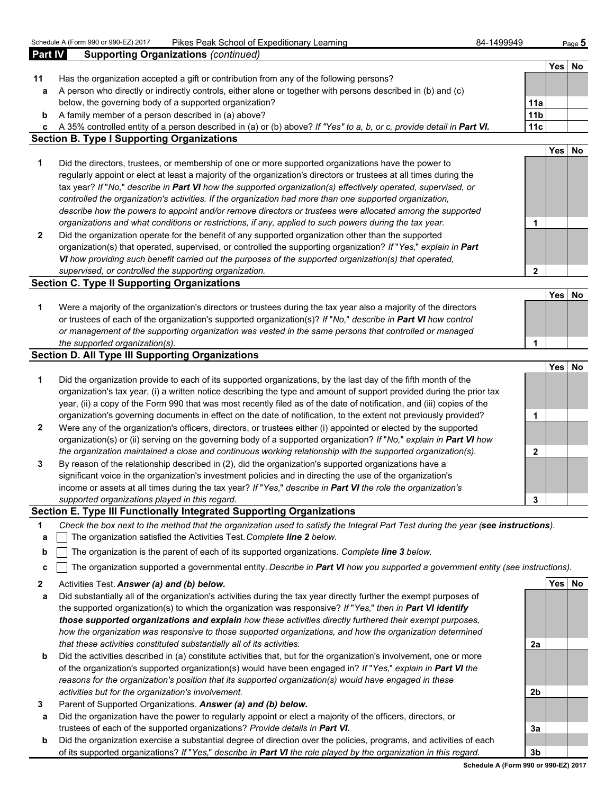|                | Schedule A (Form 990 or 990-EZ) 2017<br>Pikes Peak School of Expeditionary Learning                                    | 84-1499949      |            | Page $5$ |
|----------------|------------------------------------------------------------------------------------------------------------------------|-----------------|------------|----------|
| <b>Part IV</b> | <b>Supporting Organizations (continued)</b>                                                                            |                 |            |          |
|                |                                                                                                                        |                 | Yes        | No       |
| 11             | Has the organization accepted a gift or contribution from any of the following persons?                                |                 |            |          |
| a              | A person who directly or indirectly controls, either alone or together with persons described in (b) and (c)           |                 |            |          |
|                | below, the governing body of a supported organization?                                                                 | 11a             |            |          |
| b              | A family member of a person described in (a) above?                                                                    | 11 <sub>b</sub> |            |          |
| C              | A 35% controlled entity of a person described in (a) or (b) above? If "Yes" to a, b, or c, provide detail in Part VI.  | 11c             |            |          |
|                | <b>Section B. Type I Supporting Organizations</b>                                                                      |                 |            |          |
|                |                                                                                                                        |                 | Yes        | No       |
| 1              | Did the directors, trustees, or membership of one or more supported organizations have the power to                    |                 |            |          |
|                | regularly appoint or elect at least a majority of the organization's directors or trustees at all times during the     |                 |            |          |
|                | tax year? If "No," describe in Part VI how the supported organization(s) effectively operated, supervised, or          |                 |            |          |
|                | controlled the organization's activities. If the organization had more than one supported organization,                |                 |            |          |
|                | describe how the powers to appoint and/or remove directors or trustees were allocated among the supported              |                 |            |          |
|                | organizations and what conditions or restrictions, if any, applied to such powers during the tax year.                 | 1               |            |          |
| $\mathbf{2}$   | Did the organization operate for the benefit of any supported organization other than the supported                    |                 |            |          |
|                | organization(s) that operated, supervised, or controlled the supporting organization? If "Yes," explain in Part        |                 |            |          |
|                | VI how providing such benefit carried out the purposes of the supported organization(s) that operated,                 |                 |            |          |
|                | supervised, or controlled the supporting organization.                                                                 | $\overline{2}$  |            |          |
|                | <b>Section C. Type II Supporting Organizations</b>                                                                     |                 |            |          |
|                |                                                                                                                        |                 | Yes        | No       |
| 1              | Were a majority of the organization's directors or trustees during the tax year also a majority of the directors       |                 |            |          |
|                | or trustees of each of the organization's supported organization(s)? If "No," describe in Part VI how control          |                 |            |          |
|                | or management of the supporting organization was vested in the same persons that controlled or managed                 |                 |            |          |
|                | the supported organization(s).                                                                                         | 1               |            |          |
|                | <b>Section D. All Type III Supporting Organizations</b>                                                                |                 |            |          |
|                |                                                                                                                        |                 | <b>Yes</b> | No       |
| 1              | Did the organization provide to each of its supported organizations, by the last day of the fifth month of the         |                 |            |          |
|                | organization's tax year, (i) a written notice describing the type and amount of support provided during the prior tax  |                 |            |          |
|                | year, (ii) a copy of the Form 990 that was most recently filed as of the date of notification, and (iii) copies of the |                 |            |          |
|                | organization's governing documents in effect on the date of notification, to the extent not previously provided?       | 1               |            |          |
| $\mathbf{2}$   | Were any of the organization's officers, directors, or trustees either (i) appointed or elected by the supported       |                 |            |          |
|                | organization(s) or (ii) serving on the governing body of a supported organization? If "No," explain in Part VI how     |                 |            |          |
|                | the organization maintained a close and continuous working relationship with the supported organization(s).            | $\mathbf 2$     |            |          |
| $\mathbf{3}$   | By reason of the relationship described in (2), did the organization's supported organizations have a                  |                 |            |          |
|                | significant voice in the organization's investment policies and in directing the use of the organization's             |                 |            |          |
|                | income or assets at all times during the tax year? If "Yes," describe in Part VI the role the organization's           |                 |            |          |
|                | supported organizations played in this regard.                                                                         | 3               |            |          |
|                | Section E. Type III Functionally Integrated Supporting Organizations                                                   |                 |            |          |
|                |                                                                                                                        |                 |            |          |

- **1** *Check the box next to the method that the organization used to satisfy the Integral Part Test during the year (see instructions).*
- **a** The organization satisfied the Activities Test. *Complete line 2 below.*
- **b** The organization is the parent of each of its supported organizations. *Complete line 3 below.*
- **c** The organization supported a governmental entity. *Describe in Part VI how you supported a government entity (see instructions).*
- **2** Activities Test. *Answer (a) and (b) below.* **Yes No**
- **a** Did substantially all of the organization's activities during the tax year directly further the exempt purposes of the supported organization(s) to which the organization was responsive? *If* "*Yes,*" *then in Part VI identify those supported organizations and explain how these activities directly furthered their exempt purposes, how the organization was responsive to those supported organizations, and how the organization determined that these activities constituted substantially all of its activities.* **2a**
- **b** Did the activities described in (a) constitute activities that, but for the organization's involvement, one or more of the organization's supported organization(s) would have been engaged in? *If* "*Yes,*" *explain in Part VI the reasons for the organization's position that its supported organization(s) would have engaged in these activities but for the organization's involvement.* **2b**
- **3** Parent of Supported Organizations. *Answer (a) and (b) below.*
- **a** Did the organization have the power to regularly appoint or elect a majority of the officers, directors, or trustees of each of the supported organizations? *Provide details in Part VI.* **3a**
- **b** Did the organization exercise a substantial degree of direction over the policies, programs, and activities of each of its supported organizations? *If* "*Yes,*" *describe in Part VI the role played by the organization in this regard.* **3b**

**Schedule A (Form 990 or 990-EZ) 2017**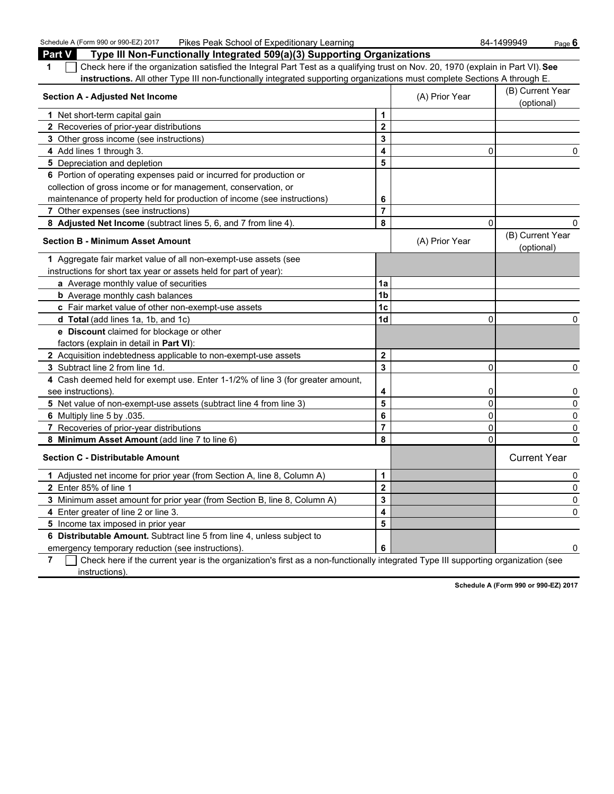Schedule A (Form 990 or 990-EZ) 2017 Pikes Peak School of Expeditionary Learning **Page 6 and Audit 2018** Page **6** Page **6** Page **6** Page **6** Page **8** Page **6** Black Black Black Black Black Black Black Black Black Black Bla

| <b>Part V</b><br>Type III Non-Functionally Integrated 509(a)(3) Supporting Organizations                                              |                         |                |                                |
|---------------------------------------------------------------------------------------------------------------------------------------|-------------------------|----------------|--------------------------------|
| Check here if the organization satisfied the Integral Part Test as a qualifying trust on Nov. 20, 1970 (explain in Part VI). See<br>1 |                         |                |                                |
| instructions. All other Type III non-functionally integrated supporting organizations must complete Sections A through E.             |                         |                |                                |
| <b>Section A - Adjusted Net Income</b>                                                                                                |                         | (A) Prior Year | (B) Current Year<br>(optional) |
| 1 Net short-term capital gain                                                                                                         | 1                       |                |                                |
| 2 Recoveries of prior-year distributions                                                                                              | $\mathbf{2}$            |                |                                |
| 3 Other gross income (see instructions)                                                                                               | 3                       |                |                                |
| 4 Add lines 1 through 3.                                                                                                              | 4                       | 0              | 0                              |
| 5 Depreciation and depletion                                                                                                          | 5                       |                |                                |
| 6 Portion of operating expenses paid or incurred for production or                                                                    |                         |                |                                |
| collection of gross income or for management, conservation, or                                                                        |                         |                |                                |
| maintenance of property held for production of income (see instructions)                                                              | 6                       |                |                                |
| 7 Other expenses (see instructions)                                                                                                   | $\overline{7}$          |                |                                |
| 8 Adjusted Net Income (subtract lines 5, 6, and 7 from line 4).                                                                       | 8                       | $\Omega$       | $\Omega$                       |
| <b>Section B - Minimum Asset Amount</b>                                                                                               |                         | (A) Prior Year | (B) Current Year<br>(optional) |
| 1 Aggregate fair market value of all non-exempt-use assets (see                                                                       |                         |                |                                |
| instructions for short tax year or assets held for part of year):                                                                     |                         |                |                                |
| a Average monthly value of securities                                                                                                 | 1a                      |                |                                |
| <b>b</b> Average monthly cash balances                                                                                                | 1b                      |                |                                |
| c Fair market value of other non-exempt-use assets                                                                                    | 1c                      |                |                                |
| d Total (add lines 1a, 1b, and 1c)                                                                                                    | 1d                      | $\mathbf{0}$   | 0                              |
| e Discount claimed for blockage or other                                                                                              |                         |                |                                |
| factors (explain in detail in Part VI):                                                                                               |                         |                |                                |
| 2 Acquisition indebtedness applicable to non-exempt-use assets                                                                        | $\mathbf 2$             |                |                                |
| <b>3</b> Subtract line 2 from line 1d.                                                                                                | 3                       | 0              | 0                              |
| 4 Cash deemed held for exempt use. Enter 1-1/2% of line 3 (for greater amount,                                                        |                         |                |                                |
| see instructions)                                                                                                                     | 4                       | 0              | 0                              |
| 5 Net value of non-exempt-use assets (subtract line 4 from line 3)                                                                    | 5                       | 0              | 0                              |
| 6 Multiply line 5 by .035.                                                                                                            | 6                       | $\mathbf 0$    | 0                              |
| 7 Recoveries of prior-year distributions                                                                                              | $\overline{7}$          | 0              | 0                              |
| 8 Minimum Asset Amount (add line 7 to line 6)                                                                                         | 8                       | $\mathbf 0$    | $\mathbf{0}$                   |
| <b>Section C - Distributable Amount</b>                                                                                               |                         |                | <b>Current Year</b>            |
| 1 Adjusted net income for prior year (from Section A, line 8, Column A)                                                               | 1                       |                | 0                              |
| 2 Enter 85% of line 1                                                                                                                 | $\overline{\mathbf{2}}$ |                | 0                              |
| 3 Minimum asset amount for prior year (from Section B, line 8, Column A)                                                              | 3                       |                | 0                              |
| 4 Enter greater of line 2 or line 3.                                                                                                  | 4                       |                | $\Omega$                       |
| 5 Income tax imposed in prior year                                                                                                    | 5                       |                |                                |
| 6 Distributable Amount. Subtract line 5 from line 4, unless subject to                                                                |                         |                |                                |
| emergency temporary reduction (see instructions).                                                                                     | 6                       |                | 0                              |

**7** Check here if the current year is the organization's first as a non-functionally integrated Type III supporting organization (see instructions).

**Schedule A (Form 990 or 990-EZ) 2017**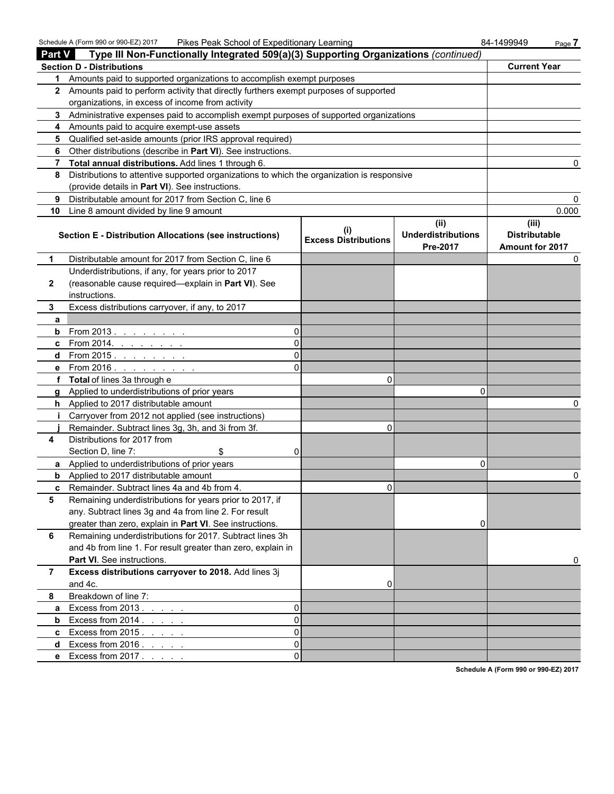Schedule A (Form 990 or 990-EZ) 2017 Pikes Peak School of Expeditionary Learning 84-1499949 Page **7**

| <b>Part V</b>  | $\frac{1}{2}$ corrections $\frac{1}{2}$ (1 or 111 330 or 330-LZ) zo 11<br><u>Fines Fean Scribbi of Expeditionally Learning</u><br>Type III Non-Functionally Integrated 509(a)(3) Supporting Organizations (continued) |                                    |                                               | 04-1499949<br>rage r                             |
|----------------|-----------------------------------------------------------------------------------------------------------------------------------------------------------------------------------------------------------------------|------------------------------------|-----------------------------------------------|--------------------------------------------------|
|                | <b>Section D - Distributions</b>                                                                                                                                                                                      |                                    |                                               | <b>Current Year</b>                              |
|                | 1 Amounts paid to supported organizations to accomplish exempt purposes                                                                                                                                               |                                    |                                               |                                                  |
|                | 2 Amounts paid to perform activity that directly furthers exempt purposes of supported                                                                                                                                |                                    |                                               |                                                  |
|                | organizations, in excess of income from activity                                                                                                                                                                      |                                    |                                               |                                                  |
|                | 3 Administrative expenses paid to accomplish exempt purposes of supported organizations                                                                                                                               |                                    |                                               |                                                  |
|                | 4 Amounts paid to acquire exempt-use assets                                                                                                                                                                           |                                    |                                               |                                                  |
| 5.             | Qualified set-aside amounts (prior IRS approval required)                                                                                                                                                             |                                    |                                               |                                                  |
| 6              | Other distributions (describe in Part VI). See instructions.                                                                                                                                                          |                                    |                                               |                                                  |
| 7              | Total annual distributions. Add lines 1 through 6.                                                                                                                                                                    |                                    |                                               | 0                                                |
| 8              | Distributions to attentive supported organizations to which the organization is responsive                                                                                                                            |                                    |                                               |                                                  |
|                | (provide details in Part VI). See instructions.                                                                                                                                                                       |                                    |                                               |                                                  |
| 9              | Distributable amount for 2017 from Section C, line 6                                                                                                                                                                  |                                    |                                               | 0                                                |
| 10             | Line 8 amount divided by line 9 amount                                                                                                                                                                                |                                    |                                               | 0.000                                            |
|                | Section E - Distribution Allocations (see instructions)                                                                                                                                                               | (i)<br><b>Excess Distributions</b> | (ii)<br><b>Underdistributions</b><br>Pre-2017 | (iii)<br><b>Distributable</b><br>Amount for 2017 |
| 1              | Distributable amount for 2017 from Section C, line 6                                                                                                                                                                  |                                    |                                               | 0                                                |
|                | Underdistributions, if any, for years prior to 2017                                                                                                                                                                   |                                    |                                               |                                                  |
| $\mathbf{2}$   | (reasonable cause required-explain in Part VI). See                                                                                                                                                                   |                                    |                                               |                                                  |
|                | instructions.                                                                                                                                                                                                         |                                    |                                               |                                                  |
| 3              | Excess distributions carryover, if any, to 2017                                                                                                                                                                       |                                    |                                               |                                                  |
| a              |                                                                                                                                                                                                                       |                                    |                                               |                                                  |
| b              | From 2013<br>0                                                                                                                                                                                                        |                                    |                                               |                                                  |
| c              | 0<br>From 2014. <u>.</u>                                                                                                                                                                                              |                                    |                                               |                                                  |
| d              | 0<br>From 2015. <u>.</u>                                                                                                                                                                                              |                                    |                                               |                                                  |
| е              | $\Omega$<br>From 2016 $\ldots$ $\ldots$ $\ldots$                                                                                                                                                                      |                                    |                                               |                                                  |
|                | f Total of lines 3a through e                                                                                                                                                                                         | 0                                  |                                               |                                                  |
| g              | Applied to underdistributions of prior years                                                                                                                                                                          |                                    | 0                                             |                                                  |
| h.             | Applied to 2017 distributable amount                                                                                                                                                                                  |                                    |                                               | 0                                                |
|                | Carryover from 2012 not applied (see instructions)                                                                                                                                                                    |                                    |                                               |                                                  |
|                | Remainder. Subtract lines 3g, 3h, and 3i from 3f.<br>Distributions for 2017 from                                                                                                                                      | 0                                  |                                               |                                                  |
| 4              | Section D, line 7:<br>\$<br>0                                                                                                                                                                                         |                                    |                                               |                                                  |
|                | a Applied to underdistributions of prior years                                                                                                                                                                        |                                    | 0                                             |                                                  |
| b              | Applied to 2017 distributable amount                                                                                                                                                                                  |                                    |                                               | 0                                                |
| c              | Remainder. Subtract lines 4a and 4b from 4.                                                                                                                                                                           | 0                                  |                                               |                                                  |
| 5              | Remaining underdistributions for years prior to 2017, if                                                                                                                                                              |                                    |                                               |                                                  |
|                | any. Subtract lines 3g and 4a from line 2. For result                                                                                                                                                                 |                                    |                                               |                                                  |
|                | greater than zero, explain in Part VI. See instructions.                                                                                                                                                              |                                    | 0                                             |                                                  |
| 6              | Remaining underdistributions for 2017. Subtract lines 3h                                                                                                                                                              |                                    |                                               |                                                  |
|                | and 4b from line 1. For result greater than zero, explain in                                                                                                                                                          |                                    |                                               |                                                  |
|                | Part VI. See instructions.                                                                                                                                                                                            |                                    |                                               | 0                                                |
| $\overline{7}$ | Excess distributions carryover to 2018. Add lines 3j                                                                                                                                                                  |                                    |                                               |                                                  |
|                | and 4c.                                                                                                                                                                                                               | 0                                  |                                               |                                                  |
| 8              | Breakdown of line 7:                                                                                                                                                                                                  |                                    |                                               |                                                  |
| a              | 0<br>Excess from $2013.7.7.7.7.7$                                                                                                                                                                                     |                                    |                                               |                                                  |
| b              | 0<br>Excess from $2014.$ $\ldots$ $\ldots$                                                                                                                                                                            |                                    |                                               |                                                  |
| c              | 0<br>Excess from $2015$ $\ldots$                                                                                                                                                                                      |                                    |                                               |                                                  |
| d              | 0<br>Excess from $2016.$ $\ldots$ $\ldots$                                                                                                                                                                            |                                    |                                               |                                                  |
| e              | 0<br>Excess from 2017                                                                                                                                                                                                 |                                    |                                               |                                                  |
|                |                                                                                                                                                                                                                       |                                    |                                               |                                                  |

**Schedule A (Form 990 or 990-EZ) 2017**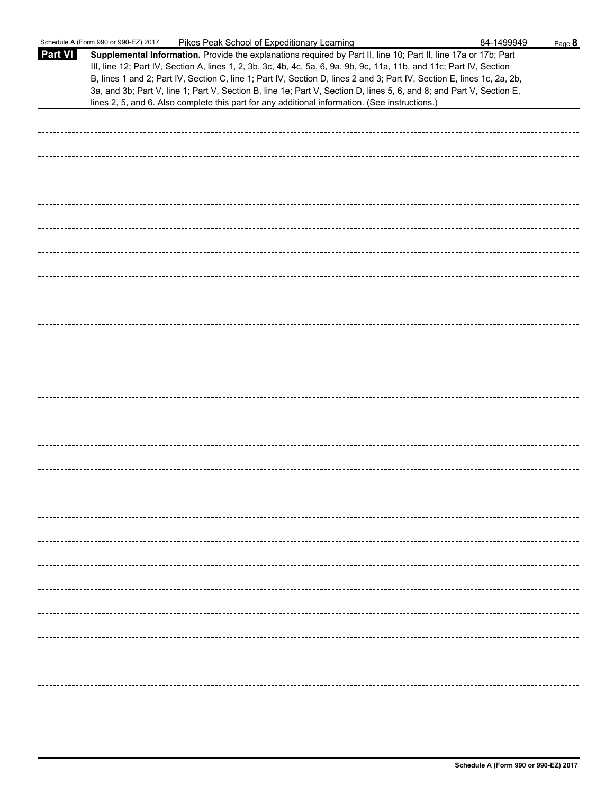|                | Schedule A (Form 990 or 990-EZ) 2017<br>Pikes Peak School of Expeditionary Learning                                                                                                                                                                                                                                                                                                                                                                                                                                                                                                         | 84-1499949 | Page 8 |
|----------------|---------------------------------------------------------------------------------------------------------------------------------------------------------------------------------------------------------------------------------------------------------------------------------------------------------------------------------------------------------------------------------------------------------------------------------------------------------------------------------------------------------------------------------------------------------------------------------------------|------------|--------|
| <b>Part VI</b> | Supplemental Information. Provide the explanations required by Part II, line 10; Part II, line 17a or 17b; Part<br>III, line 12; Part IV, Section A, lines 1, 2, 3b, 3c, 4b, 4c, 5a, 6, 9a, 9b, 9c, 11a, 11b, and 11c; Part IV, Section<br>B, lines 1 and 2; Part IV, Section C, line 1; Part IV, Section D, lines 2 and 3; Part IV, Section E, lines 1c, 2a, 2b,<br>3a, and 3b; Part V, line 1; Part V, Section B, line 1e; Part V, Section D, lines 5, 6, and 8; and Part V, Section E,<br>lines 2, 5, and 6. Also complete this part for any additional information. (See instructions.) |            |        |
|                |                                                                                                                                                                                                                                                                                                                                                                                                                                                                                                                                                                                             |            |        |
|                |                                                                                                                                                                                                                                                                                                                                                                                                                                                                                                                                                                                             |            |        |
|                |                                                                                                                                                                                                                                                                                                                                                                                                                                                                                                                                                                                             |            |        |
|                |                                                                                                                                                                                                                                                                                                                                                                                                                                                                                                                                                                                             |            |        |
|                |                                                                                                                                                                                                                                                                                                                                                                                                                                                                                                                                                                                             |            |        |
|                |                                                                                                                                                                                                                                                                                                                                                                                                                                                                                                                                                                                             |            |        |
|                |                                                                                                                                                                                                                                                                                                                                                                                                                                                                                                                                                                                             |            |        |
|                |                                                                                                                                                                                                                                                                                                                                                                                                                                                                                                                                                                                             |            |        |
|                |                                                                                                                                                                                                                                                                                                                                                                                                                                                                                                                                                                                             |            |        |
|                |                                                                                                                                                                                                                                                                                                                                                                                                                                                                                                                                                                                             |            |        |
|                |                                                                                                                                                                                                                                                                                                                                                                                                                                                                                                                                                                                             |            |        |
|                |                                                                                                                                                                                                                                                                                                                                                                                                                                                                                                                                                                                             |            |        |
|                |                                                                                                                                                                                                                                                                                                                                                                                                                                                                                                                                                                                             |            |        |
|                |                                                                                                                                                                                                                                                                                                                                                                                                                                                                                                                                                                                             |            |        |
|                |                                                                                                                                                                                                                                                                                                                                                                                                                                                                                                                                                                                             |            |        |
|                |                                                                                                                                                                                                                                                                                                                                                                                                                                                                                                                                                                                             |            |        |
|                |                                                                                                                                                                                                                                                                                                                                                                                                                                                                                                                                                                                             |            |        |
|                |                                                                                                                                                                                                                                                                                                                                                                                                                                                                                                                                                                                             |            |        |
|                |                                                                                                                                                                                                                                                                                                                                                                                                                                                                                                                                                                                             |            |        |
|                |                                                                                                                                                                                                                                                                                                                                                                                                                                                                                                                                                                                             |            |        |
|                |                                                                                                                                                                                                                                                                                                                                                                                                                                                                                                                                                                                             |            |        |
|                |                                                                                                                                                                                                                                                                                                                                                                                                                                                                                                                                                                                             |            |        |
|                |                                                                                                                                                                                                                                                                                                                                                                                                                                                                                                                                                                                             |            |        |
|                |                                                                                                                                                                                                                                                                                                                                                                                                                                                                                                                                                                                             |            |        |
|                |                                                                                                                                                                                                                                                                                                                                                                                                                                                                                                                                                                                             |            |        |
|                |                                                                                                                                                                                                                                                                                                                                                                                                                                                                                                                                                                                             |            |        |
|                |                                                                                                                                                                                                                                                                                                                                                                                                                                                                                                                                                                                             |            |        |
|                |                                                                                                                                                                                                                                                                                                                                                                                                                                                                                                                                                                                             |            |        |
|                |                                                                                                                                                                                                                                                                                                                                                                                                                                                                                                                                                                                             |            |        |
|                |                                                                                                                                                                                                                                                                                                                                                                                                                                                                                                                                                                                             |            |        |
|                |                                                                                                                                                                                                                                                                                                                                                                                                                                                                                                                                                                                             |            |        |
|                |                                                                                                                                                                                                                                                                                                                                                                                                                                                                                                                                                                                             |            |        |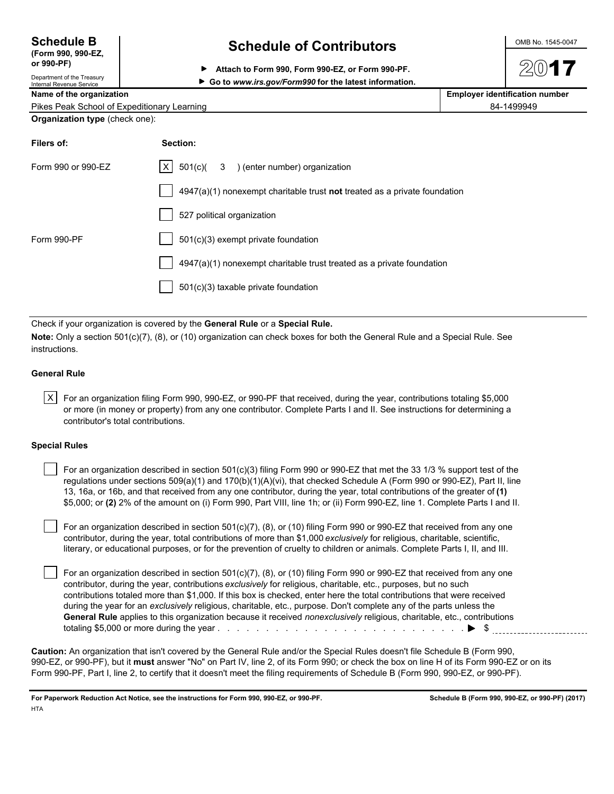| <b>Schedule B</b>              |  |  |
|--------------------------------|--|--|
| $T_{\rm c, min}$ 000 000 $E$ 7 |  |  |

**(Form 990, 990-EZ,** Department of the Treasury

## **Schedule of Contributors**  $\frac{\text{OMB No. 1545-0047}}{}$

**or 990-PF) Attach to Form 990, Form 990-EZ, or Form 990-PF.**

▶ Go to www.irs.gov/Form990 for the latest information.

Name of the organization **Name of the organization Employer identification number**  $\blacksquare$ 

|--|

| Organization type (check one): |  |  |
|--------------------------------|--|--|
|--------------------------------|--|--|

| Filers of:         | Section:                                                                    |
|--------------------|-----------------------------------------------------------------------------|
| Form 990 or 990-EZ | $ X $ 501(c)( 3 ) (enter number) organization                               |
|                    | $4947(a)(1)$ nonexempt charitable trust not treated as a private foundation |
|                    | 527 political organization                                                  |
| Form 990-PF        | 501(c)(3) exempt private foundation                                         |
|                    | $4947(a)(1)$ nonexempt charitable trust treated as a private foundation     |
|                    | 501(c)(3) taxable private foundation                                        |

Check if your organization is covered by the **General Rule** or a **Special Rule.**

**Note:** Only a section 501(c)(7), (8), or (10) organization can check boxes for both the General Rule and a Special Rule. See instructions.

### **General Rule**

 $\vert$  X For an organization filing Form 990, 990-EZ, or 990-PF that received, during the year, contributions totaling \$5,000 or more (in money or property) from any one contributor. Complete Parts I and II. See instructions for determining a contributor's total contributions.

### **Special Rules**

| For an organization described in section 501(c)(3) filing Form 990 or 990-EZ that met the 33 1/3 % support test of the      |
|-----------------------------------------------------------------------------------------------------------------------------|
| regulations under sections $509(a)(1)$ and $170(b)(1)(A)(vi)$ , that checked Schedule A (Form 990 or 990-EZ), Part II, line |
| 13, 16a, or 16b, and that received from any one contributor, during the year, total contributions of the greater of (1)     |
| \$5,000; or (2) 2% of the amount on (i) Form 990, Part VIII, line 1h; or (ii) Form 990-EZ, line 1. Complete Parts I and II. |

 For an organization described in section 501(c)(7), (8), or (10) filing Form 990 or 990-EZ that received from any one contributor, during the year, total contributions of more than \$1,000 *exclusively* for religious, charitable, scientific, literary, or educational purposes, or for the prevention of cruelty to children or animals. Complete Parts I, II, and III.

 For an organization described in section 501(c)(7), (8), or (10) filing Form 990 or 990-EZ that received from any one contributor, during the year, contributions *exclusively* for religious, charitable, etc., purposes, but no such contributions totaled more than \$1,000. If this box is checked, enter here the total contributions that were received during the year for an *exclusively* religious, charitable, etc., purpose. Don't complete any of the parts unless the **General Rule** applies to this organization because it received *nonexclusively* religious, charitable, etc., contributions totaling \$5,000 or more during the year . . . . . . . . . . . . . . . . . . . . . . . . . . \$

**Caution:** An organization that isn't covered by the General Rule and/or the Special Rules doesn't file Schedule B (Form 990, 990-EZ, or 990-PF), but it **must** answer "No" on Part IV, line 2, of its Form 990; or check the box on line H of its Form 990-EZ or on its Form 990-PF, Part I, line 2, to certify that it doesn't meet the filing requirements of Schedule B (Form 990, 990-EZ, or 990-PF).

**For Paperwork Reduction Act Notice, see the instructions for Form 990, 990-EZ, or 990-PF. Schedule B (Form 990, 990-EZ, or 990-PF) (2017) HTA**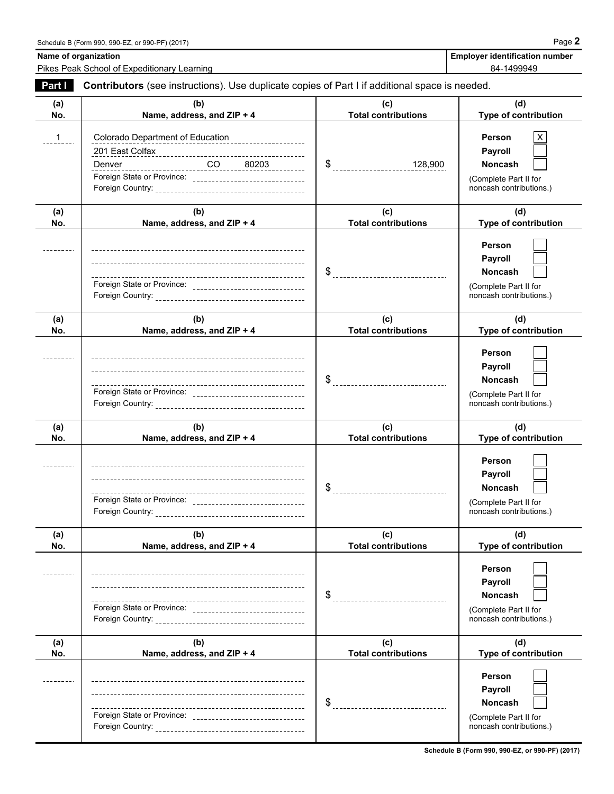Name of organization **Name of organization Employer identification number Employer identification number** 

Pikes Peak School of Expeditionary Learning 84-1499949

| Part I     | Contributors (see instructions). Use duplicate copies of Part I if additional space is needed.                                            |                                   |                                                                                                |  |  |  |  |
|------------|-------------------------------------------------------------------------------------------------------------------------------------------|-----------------------------------|------------------------------------------------------------------------------------------------|--|--|--|--|
| (a)<br>No. | (b)<br>Name, address, and ZIP + 4                                                                                                         | (c)<br><b>Total contributions</b> | (d)<br>Type of contribution                                                                    |  |  |  |  |
| 1          | Colorado Department of Education<br>201 East Colfax<br>$CO$ 80203<br>Denver<br>Foreign State or Province: _______________________________ | 128,900                           | Person<br>Payroll<br><b>Noncash</b><br>(Complete Part II for<br>noncash contributions.)        |  |  |  |  |
| (a)<br>No. | (b)<br>Name, address, and ZIP + 4                                                                                                         | (c)<br><b>Total contributions</b> | (d)<br>Type of contribution                                                                    |  |  |  |  |
|            |                                                                                                                                           | _________________________________ | Person<br>Payroll<br><b>Noncash</b><br>(Complete Part II for<br>noncash contributions.)        |  |  |  |  |
| (a)<br>No. | (b)<br>Name, address, and ZIP + 4                                                                                                         | (c)<br><b>Total contributions</b> | (d)<br>Type of contribution                                                                    |  |  |  |  |
|            |                                                                                                                                           | $\int$                            | Person<br><b>Payroll</b><br><b>Noncash</b><br>(Complete Part II for<br>noncash contributions.) |  |  |  |  |
| (a)<br>No. | (b)<br>Name, address, and ZIP + 4                                                                                                         | (c)<br><b>Total contributions</b> | (d)<br>Type of contribution                                                                    |  |  |  |  |
|            |                                                                                                                                           |                                   | Person<br><b>Payroll</b><br>Noncash<br>(Complete Part II for<br>noncash contributions.)        |  |  |  |  |
| (a)<br>No. | (b)<br>Name, address, and ZIP + 4                                                                                                         | (c)<br><b>Total contributions</b> | (d)<br>Type of contribution                                                                    |  |  |  |  |
|            |                                                                                                                                           | \$                                | Person<br>Payroll<br>Noncash<br>(Complete Part II for<br>noncash contributions.)               |  |  |  |  |
| (a)<br>No. | (b)<br>Name, address, and ZIP + 4                                                                                                         | (c)<br><b>Total contributions</b> | (d)<br>Type of contribution                                                                    |  |  |  |  |
|            |                                                                                                                                           | \$                                | Person<br>Payroll<br><b>Noncash</b><br>(Complete Part II for<br>noncash contributions.)        |  |  |  |  |

**Schedule B (Form 990, 990-EZ, or 990-PF) (2017)**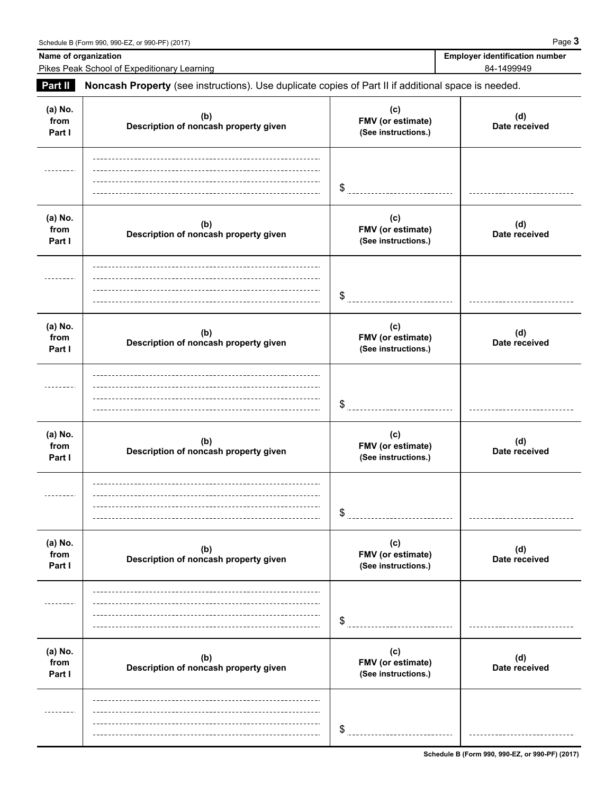Name of organization **Name of organization Employer identification number** 

Pikes Peak School of Expeditionary Learning 84-1499949

**Part II Noncash Property** (see instructions). Use duplicate copies of Part II if additional space is needed.

| (a) No.<br>from<br>Part I | (b)<br>Description of noncash property given | (c)<br>FMV (or estimate)<br>(See instructions.) | (d)<br>Date received |  |
|---------------------------|----------------------------------------------|-------------------------------------------------|----------------------|--|
|                           |                                              | \$                                              |                      |  |
| (a) No.<br>from<br>Part I | (b)<br>Description of noncash property given | (c)<br>FMV (or estimate)<br>(See instructions.) | (d)<br>Date received |  |
|                           |                                              | \$                                              |                      |  |
| (a) No.<br>from<br>Part I | (b)<br>Description of noncash property given | (c)<br>FMV (or estimate)<br>(See instructions.) | (d)<br>Date received |  |
|                           |                                              | \$                                              |                      |  |
| (a) No.<br>from<br>Part I | (b)<br>Description of noncash property given | (c)<br>FMV (or estimate)<br>(See instructions.) | (d)<br>Date received |  |
|                           |                                              | \$                                              |                      |  |
| (a) No.<br>from<br>Part I | (b)<br>Description of noncash property given | (c)<br>FMV (or estimate)<br>(See instructions.) | (d)<br>Date received |  |
|                           |                                              | \$                                              |                      |  |
| (a) No.<br>from<br>Part I | (b)<br>Description of noncash property given | (c)<br>FMV (or estimate)<br>(See instructions.) | (d)<br>Date received |  |
|                           |                                              | \$                                              |                      |  |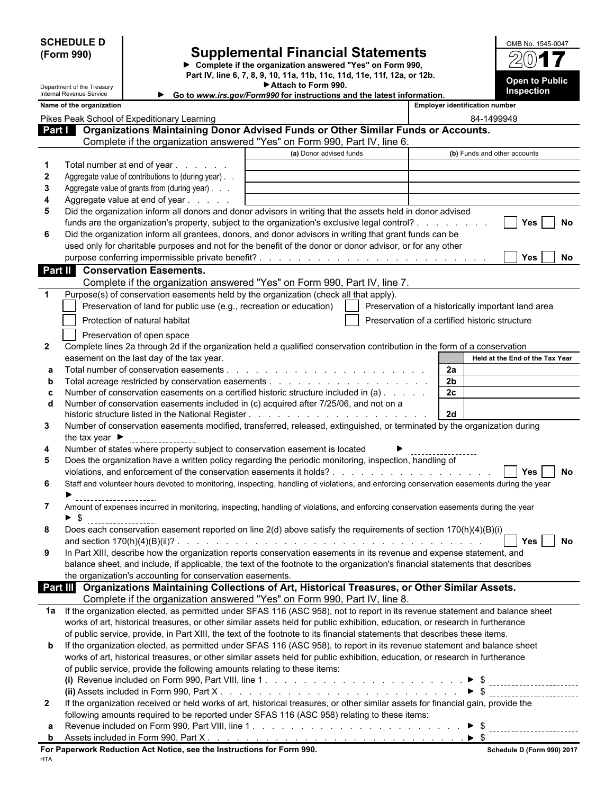|                                                                                                                                                                                                                                                                | <b>SCHEDULE D</b>                                                                           |                                |                                                                                                                                        |                                                                                                                                                                                                          |                                                |  |                |                                       | OMB No. 1545-0047                                  |     |
|----------------------------------------------------------------------------------------------------------------------------------------------------------------------------------------------------------------------------------------------------------------|---------------------------------------------------------------------------------------------|--------------------------------|----------------------------------------------------------------------------------------------------------------------------------------|----------------------------------------------------------------------------------------------------------------------------------------------------------------------------------------------------------|------------------------------------------------|--|----------------|---------------------------------------|----------------------------------------------------|-----|
| (Form 990)                                                                                                                                                                                                                                                     |                                                                                             |                                | <b>Supplemental Financial Statements</b>                                                                                               |                                                                                                                                                                                                          |                                                |  |                |                                       |                                                    |     |
|                                                                                                                                                                                                                                                                |                                                                                             |                                | ▶ Complete if the organization answered "Yes" on Form 990,<br>Part IV, line 6, 7, 8, 9, 10, 11a, 11b, 11c, 11d, 11e, 11f, 12a, or 12b. |                                                                                                                                                                                                          |                                                |  |                |                                       |                                                    |     |
|                                                                                                                                                                                                                                                                | Department of the Treasury                                                                  |                                |                                                                                                                                        | Attach to Form 990.                                                                                                                                                                                      |                                                |  |                |                                       | <b>Open to Public</b><br>Inspection                |     |
|                                                                                                                                                                                                                                                                | Internal Revenue Service<br>Name of the organization                                        |                                |                                                                                                                                        | Go to www.irs.gov/Form990 for instructions and the latest information.                                                                                                                                   |                                                |  |                | <b>Employer identification number</b> |                                                    |     |
|                                                                                                                                                                                                                                                                | Pikes Peak School of Expeditionary Learning                                                 |                                |                                                                                                                                        |                                                                                                                                                                                                          |                                                |  |                | 84-1499949                            |                                                    |     |
| Part I                                                                                                                                                                                                                                                         |                                                                                             |                                |                                                                                                                                        | Organizations Maintaining Donor Advised Funds or Other Similar Funds or Accounts.                                                                                                                        |                                                |  |                |                                       |                                                    |     |
|                                                                                                                                                                                                                                                                |                                                                                             |                                |                                                                                                                                        | Complete if the organization answered "Yes" on Form 990, Part IV, line 6.                                                                                                                                |                                                |  |                |                                       |                                                    |     |
|                                                                                                                                                                                                                                                                |                                                                                             |                                |                                                                                                                                        | (a) Donor advised funds                                                                                                                                                                                  |                                                |  |                |                                       | (b) Funds and other accounts                       |     |
| 1<br>2                                                                                                                                                                                                                                                         |                                                                                             |                                | Total number at end of year<br>Aggregate value of contributions to (during year).                                                      |                                                                                                                                                                                                          |                                                |  |                |                                       |                                                    |     |
| 3                                                                                                                                                                                                                                                              |                                                                                             |                                | Aggregate value of grants from (during year)                                                                                           |                                                                                                                                                                                                          |                                                |  |                |                                       |                                                    |     |
| 4                                                                                                                                                                                                                                                              |                                                                                             |                                | Aggregate value at end of year                                                                                                         |                                                                                                                                                                                                          |                                                |  |                |                                       |                                                    |     |
| 5                                                                                                                                                                                                                                                              |                                                                                             |                                |                                                                                                                                        | Did the organization inform all donors and donor advisors in writing that the assets held in donor advised                                                                                               |                                                |  |                |                                       |                                                    |     |
|                                                                                                                                                                                                                                                                |                                                                                             |                                |                                                                                                                                        | funds are the organization's property, subject to the organization's exclusive legal control?<br>Did the organization inform all grantees, donors, and donor advisors in writing that grant funds can be |                                                |  |                |                                       | <b>Yes</b>                                         | No  |
| 6                                                                                                                                                                                                                                                              |                                                                                             |                                |                                                                                                                                        | used only for charitable purposes and not for the benefit of the donor or donor advisor, or for any other                                                                                                |                                                |  |                |                                       |                                                    |     |
|                                                                                                                                                                                                                                                                |                                                                                             |                                |                                                                                                                                        |                                                                                                                                                                                                          |                                                |  |                |                                       | <b>Yes</b>                                         | No. |
| <b>Part II</b>                                                                                                                                                                                                                                                 |                                                                                             | <b>Conservation Easements.</b> |                                                                                                                                        |                                                                                                                                                                                                          |                                                |  |                |                                       |                                                    |     |
|                                                                                                                                                                                                                                                                |                                                                                             |                                |                                                                                                                                        | Complete if the organization answered "Yes" on Form 990, Part IV, line 7.                                                                                                                                |                                                |  |                |                                       |                                                    |     |
| 1                                                                                                                                                                                                                                                              |                                                                                             |                                |                                                                                                                                        | Purpose(s) of conservation easements held by the organization (check all that apply).                                                                                                                    |                                                |  |                |                                       |                                                    |     |
|                                                                                                                                                                                                                                                                |                                                                                             |                                |                                                                                                                                        | Preservation of land for public use (e.g., recreation or education)                                                                                                                                      |                                                |  |                |                                       | Preservation of a historically important land area |     |
|                                                                                                                                                                                                                                                                |                                                                                             | Protection of natural habitat  |                                                                                                                                        |                                                                                                                                                                                                          | Preservation of a certified historic structure |  |                |                                       |                                                    |     |
|                                                                                                                                                                                                                                                                |                                                                                             | Preservation of open space     |                                                                                                                                        |                                                                                                                                                                                                          |                                                |  |                |                                       |                                                    |     |
| $\mathbf{2}$                                                                                                                                                                                                                                                   | easement on the last day of the tax year.                                                   |                                |                                                                                                                                        | Complete lines 2a through 2d if the organization held a qualified conservation contribution in the form of a conservation                                                                                |                                                |  |                |                                       | Held at the End of the Tax Year                    |     |
| а                                                                                                                                                                                                                                                              |                                                                                             |                                |                                                                                                                                        |                                                                                                                                                                                                          |                                                |  | 2a             |                                       |                                                    |     |
| b                                                                                                                                                                                                                                                              |                                                                                             |                                |                                                                                                                                        |                                                                                                                                                                                                          |                                                |  | 2 <sub>b</sub> |                                       |                                                    |     |
| c                                                                                                                                                                                                                                                              |                                                                                             |                                |                                                                                                                                        | Number of conservation easements on a certified historic structure included in (a)                                                                                                                       |                                                |  | 2c             |                                       |                                                    |     |
| d                                                                                                                                                                                                                                                              |                                                                                             |                                |                                                                                                                                        | Number of conservation easements included in (c) acquired after 7/25/06, and not on a                                                                                                                    |                                                |  | 2d             |                                       |                                                    |     |
| 3                                                                                                                                                                                                                                                              |                                                                                             |                                |                                                                                                                                        | Number of conservation easements modified, transferred, released, extinguished, or terminated by the organization during                                                                                 |                                                |  |                |                                       |                                                    |     |
|                                                                                                                                                                                                                                                                | the tax year $\blacksquare$                                                                 |                                |                                                                                                                                        |                                                                                                                                                                                                          |                                                |  |                |                                       |                                                    |     |
| 4                                                                                                                                                                                                                                                              |                                                                                             |                                |                                                                                                                                        | Number of states where property subject to conservation easement is located                                                                                                                              |                                                |  |                |                                       |                                                    |     |
| 5                                                                                                                                                                                                                                                              |                                                                                             |                                |                                                                                                                                        | Does the organization have a written policy regarding the periodic monitoring, inspection, handling of<br>violations, and enforcement of the conservation easements it holds?                            |                                                |  |                |                                       | Yes                                                | No  |
| 6                                                                                                                                                                                                                                                              |                                                                                             |                                |                                                                                                                                        | Staff and volunteer hours devoted to monitoring, inspecting, handling of violations, and enforcing conservation easements during the year                                                                |                                                |  |                |                                       |                                                    |     |
|                                                                                                                                                                                                                                                                |                                                                                             |                                |                                                                                                                                        |                                                                                                                                                                                                          |                                                |  |                |                                       |                                                    |     |
| 7                                                                                                                                                                                                                                                              |                                                                                             |                                |                                                                                                                                        | Amount of expenses incurred in monitoring, inspecting, handling of violations, and enforcing conservation easements during the year                                                                      |                                                |  |                |                                       |                                                    |     |
|                                                                                                                                                                                                                                                                | $\blacktriangleright$ \$                                                                    |                                |                                                                                                                                        |                                                                                                                                                                                                          |                                                |  |                |                                       |                                                    |     |
| 8                                                                                                                                                                                                                                                              |                                                                                             |                                |                                                                                                                                        | Does each conservation easement reported on line 2(d) above satisfy the requirements of section 170(h)(4)(B)(i)                                                                                          |                                                |  |                |                                       | <b>Yes</b>                                         | No  |
| 9                                                                                                                                                                                                                                                              |                                                                                             |                                |                                                                                                                                        | In Part XIII, describe how the organization reports conservation easements in its revenue and expense statement, and                                                                                     |                                                |  |                |                                       |                                                    |     |
|                                                                                                                                                                                                                                                                |                                                                                             |                                |                                                                                                                                        | balance sheet, and include, if applicable, the text of the footnote to the organization's financial statements that describes                                                                            |                                                |  |                |                                       |                                                    |     |
|                                                                                                                                                                                                                                                                |                                                                                             |                                | the organization's accounting for conservation easements.                                                                              |                                                                                                                                                                                                          |                                                |  |                |                                       |                                                    |     |
|                                                                                                                                                                                                                                                                |                                                                                             |                                |                                                                                                                                        | Part III Organizations Maintaining Collections of Art, Historical Treasures, or Other Similar Assets.<br>Complete if the organization answered "Yes" on Form 990, Part IV, line 8.                       |                                                |  |                |                                       |                                                    |     |
| 1a                                                                                                                                                                                                                                                             |                                                                                             |                                |                                                                                                                                        | If the organization elected, as permitted under SFAS 116 (ASC 958), not to report in its revenue statement and balance sheet                                                                             |                                                |  |                |                                       |                                                    |     |
|                                                                                                                                                                                                                                                                |                                                                                             |                                |                                                                                                                                        | works of art, historical treasures, or other similar assets held for public exhibition, education, or research in furtherance                                                                            |                                                |  |                |                                       |                                                    |     |
|                                                                                                                                                                                                                                                                |                                                                                             |                                |                                                                                                                                        | of public service, provide, in Part XIII, the text of the footnote to its financial statements that describes these items.                                                                               |                                                |  |                |                                       |                                                    |     |
| If the organization elected, as permitted under SFAS 116 (ASC 958), to report in its revenue statement and balance sheet<br>b<br>works of art, historical treasures, or other similar assets held for public exhibition, education, or research in furtherance |                                                                                             |                                |                                                                                                                                        |                                                                                                                                                                                                          |                                                |  |                |                                       |                                                    |     |
|                                                                                                                                                                                                                                                                |                                                                                             |                                |                                                                                                                                        | of public service, provide the following amounts relating to these items:                                                                                                                                |                                                |  |                |                                       |                                                    |     |
|                                                                                                                                                                                                                                                                |                                                                                             |                                |                                                                                                                                        |                                                                                                                                                                                                          |                                                |  |                |                                       |                                                    |     |
|                                                                                                                                                                                                                                                                |                                                                                             |                                |                                                                                                                                        |                                                                                                                                                                                                          |                                                |  |                |                                       |                                                    |     |
| $\mathbf{2}$                                                                                                                                                                                                                                                   |                                                                                             |                                |                                                                                                                                        | If the organization received or held works of art, historical treasures, or other similar assets for financial gain, provide the                                                                         |                                                |  |                |                                       |                                                    |     |
|                                                                                                                                                                                                                                                                | following amounts required to be reported under SFAS 116 (ASC 958) relating to these items: |                                |                                                                                                                                        |                                                                                                                                                                                                          |                                                |  |                |                                       |                                                    |     |
| а<br>b                                                                                                                                                                                                                                                         |                                                                                             |                                |                                                                                                                                        |                                                                                                                                                                                                          |                                                |  |                | - \$                                  |                                                    |     |
|                                                                                                                                                                                                                                                                |                                                                                             |                                |                                                                                                                                        | For Paperwork Reduction Act Notice, see the Instructions for Form 990.                                                                                                                                   |                                                |  |                |                                       | Schedule D (Form 990) 2017                         |     |

| ٠ |  |
|---|--|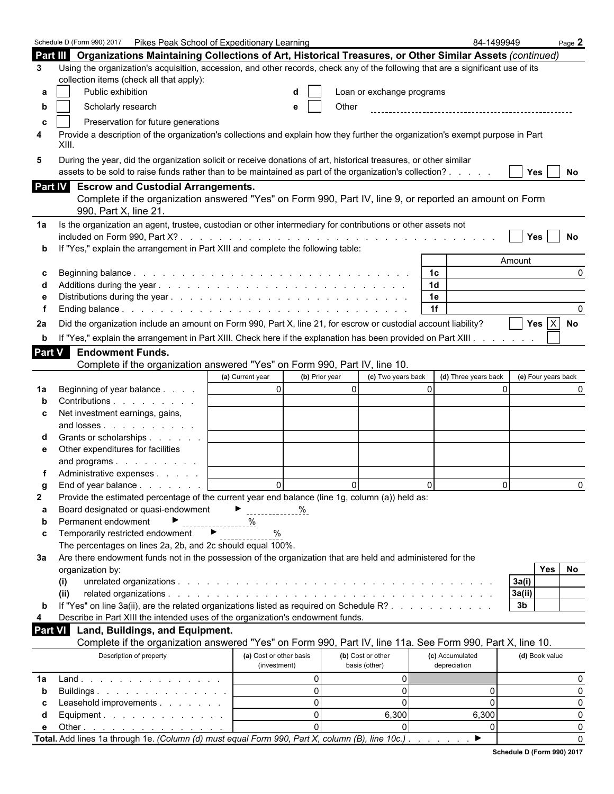|                | Pikes Peak School of Expeditionary Learning<br>Schedule D (Form 990) 2017                                                        |                         |   |                |                           |   | 84-1499949           |        |                     | Page 2    |
|----------------|----------------------------------------------------------------------------------------------------------------------------------|-------------------------|---|----------------|---------------------------|---|----------------------|--------|---------------------|-----------|
|                | Part III Organizations Maintaining Collections of Art, Historical Treasures, or Other Similar Assets (continued)                 |                         |   |                |                           |   |                      |        |                     |           |
| 3              | Using the organization's acquisition, accession, and other records, check any of the following that are a significant use of its |                         |   |                |                           |   |                      |        |                     |           |
|                | collection items (check all that apply):                                                                                         |                         |   |                |                           |   |                      |        |                     |           |
| а              | Public exhibition                                                                                                                |                         | d |                | Loan or exchange programs |   |                      |        |                     |           |
|                |                                                                                                                                  |                         |   |                |                           |   |                      |        |                     |           |
| b              | Scholarly research                                                                                                               |                         | e | Other          |                           |   |                      |        |                     |           |
| c              | Preservation for future generations                                                                                              |                         |   |                |                           |   |                      |        |                     |           |
| 4              | Provide a description of the organization's collections and explain how they further the organization's exempt purpose in Part   |                         |   |                |                           |   |                      |        |                     |           |
|                | XIII.                                                                                                                            |                         |   |                |                           |   |                      |        |                     |           |
| 5              | During the year, did the organization solicit or receive donations of art, historical treasures, or other similar                |                         |   |                |                           |   |                      |        |                     |           |
|                | assets to be sold to raise funds rather than to be maintained as part of the organization's collection?                          |                         |   |                |                           |   |                      |        | <b>Yes</b>          | <b>No</b> |
|                | <b>Escrow and Custodial Arrangements.</b>                                                                                        |                         |   |                |                           |   |                      |        |                     |           |
| <b>Part IV</b> |                                                                                                                                  |                         |   |                |                           |   |                      |        |                     |           |
|                | Complete if the organization answered "Yes" on Form 990, Part IV, line 9, or reported an amount on Form                          |                         |   |                |                           |   |                      |        |                     |           |
|                | 990, Part X, line 21.                                                                                                            |                         |   |                |                           |   |                      |        |                     |           |
| 1a             | Is the organization an agent, trustee, custodian or other intermediary for contributions or other assets not                     |                         |   |                |                           |   |                      |        |                     |           |
|                |                                                                                                                                  |                         |   |                |                           |   |                      |        | Yes                 | No        |
| $\mathbf b$    | If "Yes," explain the arrangement in Part XIII and complete the following table:                                                 |                         |   |                |                           |   |                      |        |                     |           |
|                |                                                                                                                                  |                         |   |                |                           |   |                      | Amount |                     |           |
| c              |                                                                                                                                  |                         |   |                |                           |   | 1c                   |        |                     | 0         |
| d              |                                                                                                                                  |                         |   |                |                           |   | 1d                   |        |                     |           |
| е              |                                                                                                                                  |                         |   |                |                           |   | 1e                   |        |                     |           |
| f              |                                                                                                                                  |                         |   |                |                           |   | 1f                   |        |                     | 0         |
| 2a             | Did the organization include an amount on Form 990, Part X, line 21, for escrow or custodial account liability?                  |                         |   |                |                           |   |                      |        | Yes $ X $           | No        |
|                |                                                                                                                                  |                         |   |                |                           |   |                      |        |                     |           |
| $\mathbf b$    | If "Yes," explain the arrangement in Part XIII. Check here if the explanation has been provided on Part XIII.                    |                         |   |                |                           |   |                      |        |                     |           |
| Part V         | <b>Endowment Funds.</b>                                                                                                          |                         |   |                |                           |   |                      |        |                     |           |
|                | Complete if the organization answered "Yes" on Form 990, Part IV, line 10.                                                       |                         |   |                |                           |   |                      |        |                     |           |
|                |                                                                                                                                  | (a) Current year        |   | (b) Prior year | (c) Two years back        |   | (d) Three years back |        | (e) Four years back |           |
| 1a             | Beginning of year balance                                                                                                        | $\Omega$                |   | $\Omega$       |                           | 0 |                      | 0      |                     | 0         |
| b              | Contributions                                                                                                                    |                         |   |                |                           |   |                      |        |                     |           |
| c              | Net investment earnings, gains,                                                                                                  |                         |   |                |                           |   |                      |        |                     |           |
|                | and losses                                                                                                                       |                         |   |                |                           |   |                      |        |                     |           |
| d              | Grants or scholarships                                                                                                           |                         |   |                |                           |   |                      |        |                     |           |
| е              | Other expenditures for facilities                                                                                                |                         |   |                |                           |   |                      |        |                     |           |
|                | and programs                                                                                                                     |                         |   |                |                           |   |                      |        |                     |           |
|                | Administrative expenses                                                                                                          |                         |   |                |                           |   |                      |        |                     |           |
| g              | End of year balance $\ldots$ $\ldots$ $\ldots$                                                                                   | 0                       |   | 0              |                           | 0 |                      | 0      |                     | 0         |
| 2              | Provide the estimated percentage of the current year end balance (line 1g, column (a)) held as:                                  |                         |   |                |                           |   |                      |        |                     |           |
| а              | Board designated or quasi-endowment                                                                                              |                         | % |                |                           |   |                      |        |                     |           |
| b              | Permanent endowment                                                                                                              |                         |   |                |                           |   |                      |        |                     |           |
|                | Temporarily restricted endowment<br>▶                                                                                            | %<br>%                  |   |                |                           |   |                      |        |                     |           |
| c              |                                                                                                                                  |                         |   |                |                           |   |                      |        |                     |           |
|                | The percentages on lines 2a, 2b, and 2c should equal 100%.                                                                       |                         |   |                |                           |   |                      |        |                     |           |
| 3a             | Are there endowment funds not in the possession of the organization that are held and administered for the                       |                         |   |                |                           |   |                      |        |                     |           |
|                | organization by:                                                                                                                 |                         |   |                |                           |   |                      |        | Yes                 | No        |
|                | (i)                                                                                                                              |                         |   |                |                           |   |                      | 3a(i)  |                     |           |
|                | (ii)                                                                                                                             |                         |   |                |                           |   |                      | 3a(ii) |                     |           |
| b              | If "Yes" on line 3a(ii), are the related organizations listed as required on Schedule R?                                         |                         |   |                |                           |   |                      | 3b     |                     |           |
|                | Describe in Part XIII the intended uses of the organization's endowment funds.                                                   |                         |   |                |                           |   |                      |        |                     |           |
| <b>Part VI</b> | Land, Buildings, and Equipment.                                                                                                  |                         |   |                |                           |   |                      |        |                     |           |
|                | Complete if the organization answered "Yes" on Form 990, Part IV, line 11a. See Form 990, Part X, line 10.                       |                         |   |                |                           |   |                      |        |                     |           |
|                | Description of property                                                                                                          | (a) Cost or other basis |   |                | (b) Cost or other         |   | (c) Accumulated      |        | (d) Book value      |           |
|                |                                                                                                                                  | (investment)            |   |                | basis (other)             |   | depreciation         |        |                     |           |
| 1a             | Land                                                                                                                             |                         |   | 0              | 0                         |   |                      |        |                     | 0         |
| b              | Buildings                                                                                                                        |                         |   | 0              | 0                         |   | 0                    |        |                     | 0         |
| c              | Leasehold improvements                                                                                                           |                         |   | 0              | $\mathbf{0}$              |   | $\mathbf{0}$         |        |                     | 0         |
| d              | Equipment. $\ldots$ $\ldots$ $\ldots$ $\ldots$ $\ldots$                                                                          |                         |   | 0              | 6,300                     |   | 6,300                |        |                     | 0         |
| е              | Other $\ldots$ $\ldots$ $\ldots$ $\ldots$ $\ldots$ $\ldots$                                                                      |                         |   | $\Omega$       | $\Omega$                  |   | 0                    |        |                     | 0         |
|                | Total. Add lines 1a through 1e. (Column (d) must equal Form 990, Part X, column (B), line 10c.)                                  |                         |   |                |                           |   | ▶                    |        |                     | 0         |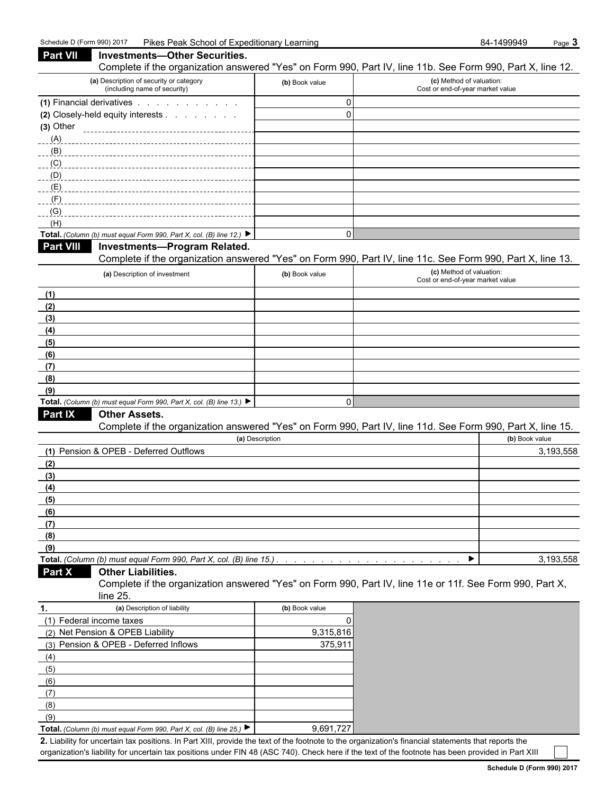| Part VII<br>Investments—Other Securities.                                                |                | Complete if the organization answered "Yes" on Form 990, Part IV, line 11b. See Form 990, Part X, line 12. |           |
|------------------------------------------------------------------------------------------|----------------|------------------------------------------------------------------------------------------------------------|-----------|
| (a) Description of security or category<br>(including name of security)                  | (b) Book value | (c) Method of valuation:<br>Cost or end-of-year market value                                               |           |
| (1) Financial derivatives                                                                | 0              |                                                                                                            |           |
| (2) Closely-held equity interests                                                        | 0              |                                                                                                            |           |
| $(3)$ Other                                                                              |                |                                                                                                            |           |
|                                                                                          |                |                                                                                                            |           |
|                                                                                          |                |                                                                                                            |           |
|                                                                                          |                |                                                                                                            |           |
|                                                                                          |                |                                                                                                            |           |
|                                                                                          |                |                                                                                                            |           |
|                                                                                          |                |                                                                                                            |           |
|                                                                                          |                |                                                                                                            |           |
| (H)                                                                                      |                |                                                                                                            |           |
| Total. (Column (b) must equal Form 990, Part X, col. (B) line 12.) $\blacktriangleright$ | 0              |                                                                                                            |           |
| <b>Part VIII</b><br>Investments-Program Related.                                         |                |                                                                                                            |           |
|                                                                                          |                | Complete if the organization answered "Yes" on Form 990, Part IV, line 11c. See Form 990, Part X, line 13. |           |
|                                                                                          |                |                                                                                                            |           |
| (a) Description of investment                                                            | (b) Book value | (c) Method of valuation:<br>Cost or end-of-year market value                                               |           |
| (1)                                                                                      |                |                                                                                                            |           |
| (2)                                                                                      |                |                                                                                                            |           |
|                                                                                          |                |                                                                                                            |           |
| (3)                                                                                      |                |                                                                                                            |           |
| (4)                                                                                      |                |                                                                                                            |           |
| (5)                                                                                      |                |                                                                                                            |           |
| (6)                                                                                      |                |                                                                                                            |           |
| (7)                                                                                      |                |                                                                                                            |           |
| (8)                                                                                      |                |                                                                                                            |           |
| (9)                                                                                      |                |                                                                                                            |           |
| Total. (Column (b) must equal Form 990, Part X, col. (B) line 13.)                       | 0              |                                                                                                            |           |
| Part IX<br><b>Other Assets.</b>                                                          |                |                                                                                                            |           |
|                                                                                          |                | Complete if the organization answered "Yes" on Form 990, Part IV, line 11d. See Form 990, Part X, line 15. |           |
| (a) Description                                                                          |                | (b) Book value                                                                                             |           |
| (1) Pension & OPEB - Deferred Outflows                                                   |                |                                                                                                            | 3,193,558 |
| (2)                                                                                      |                |                                                                                                            |           |
| (3)                                                                                      |                |                                                                                                            |           |
| (4)                                                                                      |                |                                                                                                            |           |
| (5)                                                                                      |                |                                                                                                            |           |
| (6)                                                                                      |                |                                                                                                            |           |
| (7)                                                                                      |                |                                                                                                            |           |
| (8)                                                                                      |                |                                                                                                            |           |
| (9)                                                                                      |                |                                                                                                            |           |
| Total. (Column (b) must equal Form 990, Part X, col. (B) line 15.).                      |                |                                                                                                            | 3,193,558 |
| Part X<br><b>Other Liabilities.</b>                                                      |                |                                                                                                            |           |
| $line 25$ .                                                                              |                | Complete if the organization answered "Yes" on Form 990, Part IV, line 11e or 11f. See Form 990, Part X,   |           |
| (a) Description of liability<br>1.                                                       | (b) Book value |                                                                                                            |           |
| (1) Federal income taxes                                                                 | 0              |                                                                                                            |           |
| (2) Net Pension & OPEB Liability                                                         | 9,315,816      |                                                                                                            |           |
| (3) Pension & OPEB - Deferred Inflows                                                    | 375,911        |                                                                                                            |           |

(9) **Total.** *(Column (b) must equal Form 990, Part X, col. (B) line 25.)* ▶ | 9,691,727 **2.** Liability for uncertain tax positions. In Part XIII, provide the text of the footnote to the organization's financial statements that reports the organization's liability for uncertain tax positions under FIN 48 (ASC 740). Check here if the text of the footnote has been provided in Part XIII

(4) (5) (6) (7) (8)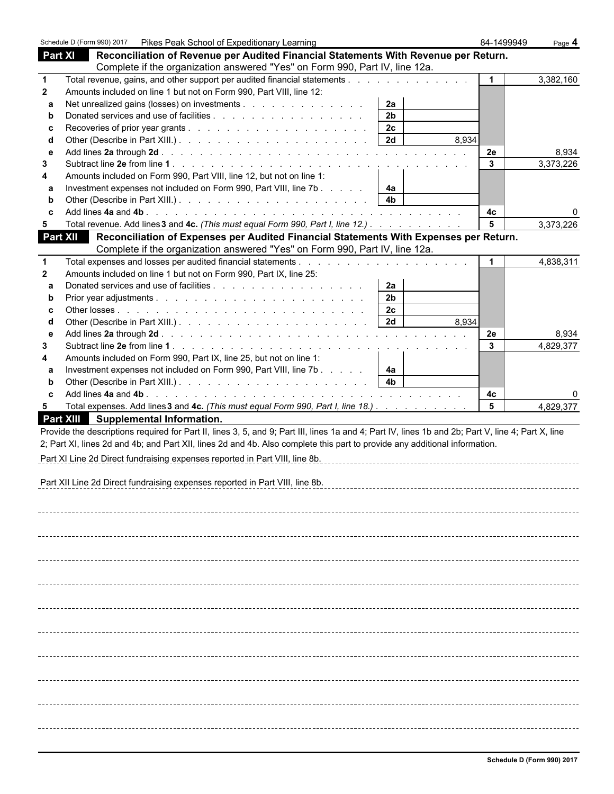|                 | Schedule D (Form 990) 2017  Pikes Peak School of Expeditionary Learning                                                                            | 84-1499949 | Page $4$  |
|-----------------|----------------------------------------------------------------------------------------------------------------------------------------------------|------------|-----------|
| <b>Part XI</b>  | Reconciliation of Revenue per Audited Financial Statements With Revenue per Return.                                                                |            |           |
|                 | Complete if the organization answered "Yes" on Form 990, Part IV, line 12a.                                                                        |            |           |
| $\mathbf 1$     | Total revenue, gains, and other support per audited financial statements                                                                           | 1          | 3,382,160 |
| $\mathbf{2}$    | Amounts included on line 1 but not on Form 990, Part VIII, line 12:                                                                                |            |           |
| a               | Net unrealized gains (losses) on investments<br>2a                                                                                                 |            |           |
| b               | 2 <sub>b</sub>                                                                                                                                     |            |           |
| c               | 2c                                                                                                                                                 |            |           |
| d               | 2d<br>8.934                                                                                                                                        |            |           |
| е               |                                                                                                                                                    | 2e         | 8.934     |
| 3               |                                                                                                                                                    | 3          | 3,373,226 |
| 4               | Amounts included on Form 990, Part VIII, line 12, but not on line 1:                                                                               |            |           |
| а               | Investment expenses not included on Form 990, Part VIII, line 7b<br>4a                                                                             |            |           |
| b               | 4b                                                                                                                                                 |            |           |
| с               |                                                                                                                                                    | 4c         | 0         |
| 5               | Total revenue. Add lines 3 and 4c. (This must equal Form 990, Part I, line 12.)                                                                    | 5          | 3,373,226 |
| <b>Part XII</b> | Reconciliation of Expenses per Audited Financial Statements With Expenses per Return.                                                              |            |           |
|                 | Complete if the organization answered "Yes" on Form 990, Part IV, line 12a.                                                                        |            |           |
| $\mathbf 1$     | Total expenses and losses per audited financial statements                                                                                         | 1          | 4,838,311 |
| $\mathbf{2}$    | Amounts included on line 1 but not on Form 990, Part IX, line 25:                                                                                  |            |           |
| a               | 2a                                                                                                                                                 |            |           |
| b               | 2 <sub>b</sub>                                                                                                                                     |            |           |
| c               | 2 <sub>c</sub>                                                                                                                                     |            |           |
| d               | 2d<br>8,934                                                                                                                                        |            |           |
| е               |                                                                                                                                                    | 2e         | 8,934     |
| 3               |                                                                                                                                                    | 3          | 4,829,377 |
| 4               | Amounts included on Form 990, Part IX, line 25, but not on line 1:                                                                                 |            |           |
| а               | Investment expenses not included on Form 990, Part VIII, line 7b<br>4a                                                                             |            |           |
| b               | 4b                                                                                                                                                 |            |           |
| c               |                                                                                                                                                    | 4c         | 0         |
| 5               | Total expenses. Add lines 3 and 4c. (This must equal Form 990, Part I, line 18.)                                                                   | 5          | 4,829,377 |
|                 | <b>Part XIII</b><br>Supplemental Information.                                                                                                      |            |           |
|                 | Provide the descriptions required for Part II, lines 3, 5, and 9; Part III, lines 1a and 4; Part IV, lines 1b and 2b; Part V, line 4; Part X, line |            |           |
|                 | 2; Part XI, lines 2d and 4b; and Part XII, lines 2d and 4b. Also complete this part to provide any additional information.                         |            |           |
|                 |                                                                                                                                                    |            |           |
|                 | Part XI Line 2d Direct fundraising expenses reported in Part VIII, line 8b.                                                                        |            |           |
|                 |                                                                                                                                                    |            |           |
|                 | Part XII Line 2d Direct fundraising expenses reported in Part VIII, line 8b.                                                                       |            |           |
|                 |                                                                                                                                                    |            |           |
|                 |                                                                                                                                                    |            |           |
|                 |                                                                                                                                                    |            |           |
|                 |                                                                                                                                                    |            |           |
|                 |                                                                                                                                                    |            |           |
|                 |                                                                                                                                                    |            |           |
|                 |                                                                                                                                                    |            |           |
|                 |                                                                                                                                                    |            |           |
|                 |                                                                                                                                                    |            |           |
|                 |                                                                                                                                                    |            |           |
|                 |                                                                                                                                                    |            |           |
|                 |                                                                                                                                                    |            |           |
|                 |                                                                                                                                                    |            |           |
|                 |                                                                                                                                                    |            |           |
|                 |                                                                                                                                                    |            |           |
|                 |                                                                                                                                                    |            |           |
|                 |                                                                                                                                                    |            |           |
|                 |                                                                                                                                                    |            |           |
|                 |                                                                                                                                                    |            |           |
|                 |                                                                                                                                                    |            |           |
|                 |                                                                                                                                                    |            |           |
|                 |                                                                                                                                                    |            |           |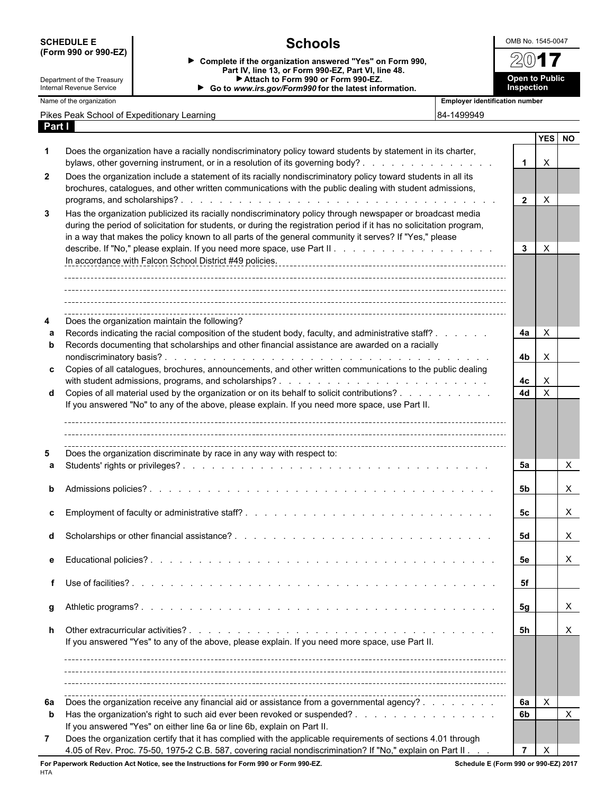| <b>SCHEDULE E</b> |  |                      |  |
|-------------------|--|----------------------|--|
|                   |  | (Form 990 or 990-EZ) |  |

**Open to Public Inspection**

7

Department of the Treasury Internal Revenue Service

**Schools**<br>
<u>Isation answered "Yes" on Form 990,  $\sqrt{2017}$ </u> **Complete if the organization answered "Yes" on Form 990, Part IV, line 13, or Form 990-EZ, Part VI, line 48. Attach to Form 990 or Form 990-EZ. Go to** *www.irs.gov/Form990* **for the latest information.**

Name of the organization<br>**Name of the organization**<br>**Employer identification number** 

| vame or the organization |  |
|--------------------------|--|
|--------------------------|--|

| Pikes Peak School of Expeditionary Learning |  | 84-1499949 |
|---------------------------------------------|--|------------|
|---------------------------------------------|--|------------|

|            | . |  |  |  |
|------------|---|--|--|--|
| 84-1499949 |   |  |  |  |

| Part I |                                                                                                                      |                |                |           |
|--------|----------------------------------------------------------------------------------------------------------------------|----------------|----------------|-----------|
|        |                                                                                                                      |                | <b>YES</b>     | <b>NO</b> |
| 1      | Does the organization have a racially nondiscriminatory policy toward students by statement in its charter,          |                |                |           |
|        | bylaws, other governing instrument, or in a resolution of its governing body?                                        | $\mathbf{1}$   | X              |           |
| 2      | Does the organization include a statement of its racially nondiscriminatory policy toward students in all its        |                |                |           |
|        | brochures, catalogues, and other written communications with the public dealing with student admissions,             |                |                |           |
|        |                                                                                                                      | $\mathbf{2}$   | $\pmb{\times}$ |           |
| 3      | Has the organization publicized its racially nondiscriminatory policy through newspaper or broadcast media           |                |                |           |
|        | during the period of solicitation for students, or during the registration period if it has no solicitation program, |                |                |           |
|        | in a way that makes the policy known to all parts of the general community it serves? If "Yes," please               |                |                |           |
|        |                                                                                                                      | 3              | X              |           |
|        | In accordance with Falcon School District #49 policies.                                                              |                |                |           |
|        |                                                                                                                      |                |                |           |
|        |                                                                                                                      |                |                |           |
|        |                                                                                                                      |                |                |           |
|        |                                                                                                                      |                |                |           |
| 4      | Does the organization maintain the following?                                                                        |                |                |           |
| a      | Records indicating the racial composition of the student body, faculty, and administrative staff?                    | 4a             | X              |           |
| b      | Records documenting that scholarships and other financial assistance are awarded on a racially                       |                |                |           |
| c      | Copies of all catalogues, brochures, announcements, and other written communications to the public dealing           | 4b             | X              |           |
|        |                                                                                                                      | 4c             | X              |           |
| d      | Copies of all material used by the organization or on its behalf to solicit contributions?                           | 4d             | $\pmb{\times}$ |           |
|        | If you answered "No" to any of the above, please explain. If you need more space, use Part II.                       |                |                |           |
|        |                                                                                                                      |                |                |           |
|        |                                                                                                                      |                |                |           |
|        |                                                                                                                      |                |                |           |
| 5      | Does the organization discriminate by race in any way with respect to:                                               |                |                |           |
| a      |                                                                                                                      | 5а             |                | X         |
|        |                                                                                                                      |                |                |           |
| b      |                                                                                                                      | 5b             |                | X         |
|        |                                                                                                                      |                |                |           |
| c      |                                                                                                                      | 5c             |                | X         |
| d      |                                                                                                                      | 5d             |                | X.        |
|        |                                                                                                                      |                |                |           |
| е      |                                                                                                                      | 5е             |                | X         |
|        |                                                                                                                      |                |                |           |
| f      |                                                                                                                      | 5f             |                |           |
|        |                                                                                                                      |                |                |           |
| g      |                                                                                                                      | 5g             |                | X         |
|        |                                                                                                                      |                |                |           |
| h      |                                                                                                                      | 5h             |                | X.        |
|        | If you answered "Yes" to any of the above, please explain. If you need more space, use Part II.                      |                |                |           |
|        |                                                                                                                      |                |                |           |
|        |                                                                                                                      |                |                |           |
|        |                                                                                                                      |                |                |           |
| 6a     | Does the organization receive any financial aid or assistance from a governmental agency?                            | 6a             | X              |           |
| b      | Has the organization's right to such aid ever been revoked or suspended?                                             | 6b             |                | X         |
|        | If you answered "Yes" on either line 6a or line 6b, explain on Part II.                                              |                |                |           |
| 7      | Does the organization certify that it has complied with the applicable requirements of sections 4.01 through         |                |                |           |
|        | 4.05 of Rev. Proc. 75-50, 1975-2 C.B. 587, covering racial nondiscrimination? If "No," explain on Part II            | $\overline{7}$ | X              |           |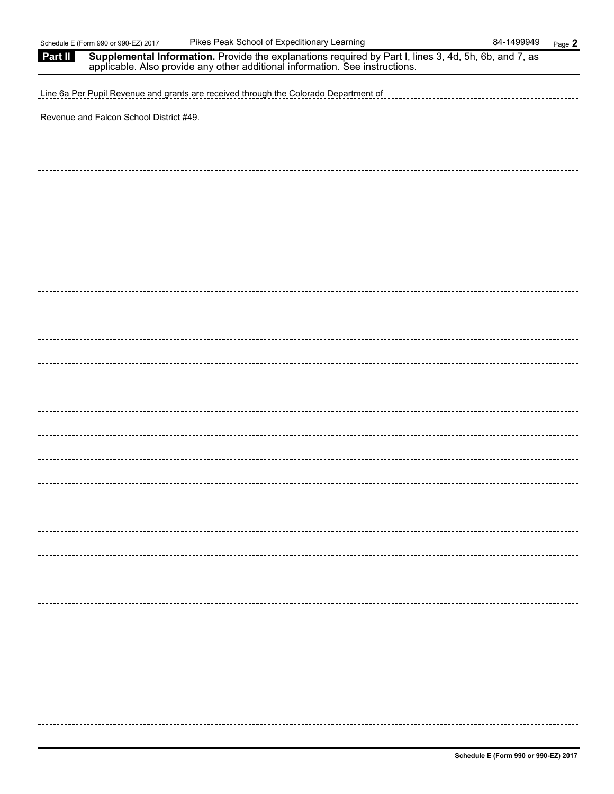| Part II | <b>Supplemental Information.</b> Provide the explanations required by Part I, lines 3, 4d, 5h, 6b, and 7, as applicable. Also provide any other additional information. See instructions. |
|---------|-------------------------------------------------------------------------------------------------------------------------------------------------------------------------------------------|
|         | Line 6a Per Pupil Revenue and grants are received through the Colorado Department of                                                                                                      |
|         | Revenue and Falcon School District #49.                                                                                                                                                   |
|         |                                                                                                                                                                                           |
|         |                                                                                                                                                                                           |
|         |                                                                                                                                                                                           |
|         |                                                                                                                                                                                           |
|         |                                                                                                                                                                                           |
|         |                                                                                                                                                                                           |
|         |                                                                                                                                                                                           |
|         |                                                                                                                                                                                           |
|         |                                                                                                                                                                                           |
|         |                                                                                                                                                                                           |
|         |                                                                                                                                                                                           |
|         |                                                                                                                                                                                           |
|         |                                                                                                                                                                                           |
|         |                                                                                                                                                                                           |
|         |                                                                                                                                                                                           |
|         |                                                                                                                                                                                           |
|         |                                                                                                                                                                                           |
|         |                                                                                                                                                                                           |
|         |                                                                                                                                                                                           |
|         |                                                                                                                                                                                           |
|         |                                                                                                                                                                                           |
|         |                                                                                                                                                                                           |
|         |                                                                                                                                                                                           |
|         |                                                                                                                                                                                           |
|         |                                                                                                                                                                                           |
|         |                                                                                                                                                                                           |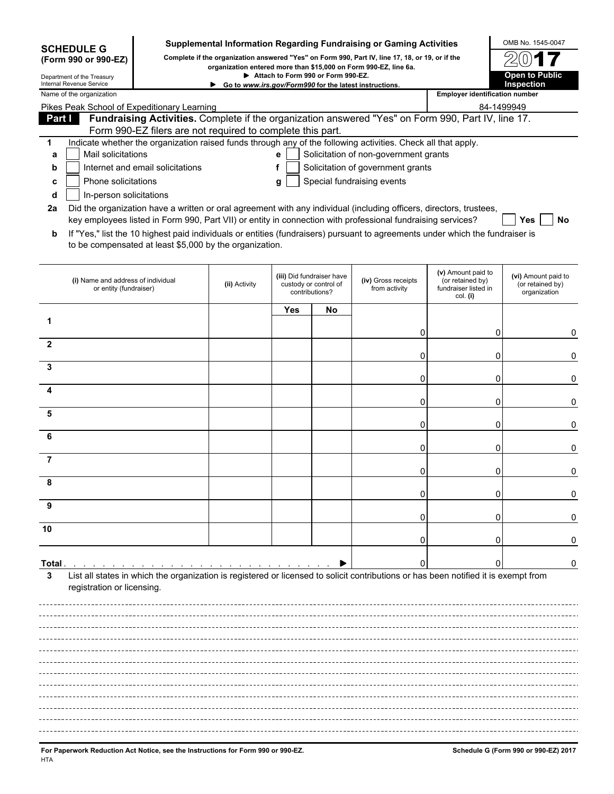|                                                                         |                                                                                                                                                                                          |               |     |                                                                      | Supplemental Information Regarding Fundraising or Gaming Activities                             |                                                                            | OMB No. 1545-0047                                       |  |  |
|-------------------------------------------------------------------------|------------------------------------------------------------------------------------------------------------------------------------------------------------------------------------------|---------------|-----|----------------------------------------------------------------------|-------------------------------------------------------------------------------------------------|----------------------------------------------------------------------------|---------------------------------------------------------|--|--|
| <b>SCHEDULE G</b><br>(Form 990 or 990-EZ)                               |                                                                                                                                                                                          |               |     |                                                                      | Complete if the organization answered "Yes" on Form 990, Part IV, line 17, 18, or 19, or if the |                                                                            |                                                         |  |  |
| Department of the Treasury                                              |                                                                                                                                                                                          |               |     | Attach to Form 990 or Form 990-EZ.                                   | organization entered more than \$15,000 on Form 990-EZ, line 6a.                                |                                                                            | <b>Open to Public</b>                                   |  |  |
| Internal Revenue Service                                                |                                                                                                                                                                                          |               |     |                                                                      | Go to www.irs.gov/Form990 for the latest instructions.                                          | <b>Employer identification number</b>                                      | Inspection                                              |  |  |
| Name of the organization<br>Pikes Peak School of Expeditionary Learning |                                                                                                                                                                                          |               |     |                                                                      |                                                                                                 | 84-1499949                                                                 |                                                         |  |  |
| Part I                                                                  | Fundraising Activities. Complete if the organization answered "Yes" on Form 990, Part IV, line 17.                                                                                       |               |     |                                                                      |                                                                                                 |                                                                            |                                                         |  |  |
|                                                                         | Form 990-EZ filers are not required to complete this part.                                                                                                                               |               |     |                                                                      |                                                                                                 |                                                                            |                                                         |  |  |
| 1                                                                       | Indicate whether the organization raised funds through any of the following activities. Check all that apply.                                                                            |               |     |                                                                      |                                                                                                 |                                                                            |                                                         |  |  |
| Mail solicitations<br>а                                                 |                                                                                                                                                                                          |               | е   |                                                                      | Solicitation of non-government grants                                                           |                                                                            |                                                         |  |  |
| b                                                                       | Internet and email solicitations                                                                                                                                                         |               | f   |                                                                      | Solicitation of government grants                                                               |                                                                            |                                                         |  |  |
| c                                                                       | Phone solicitations<br>Special fundraising events<br>g<br>In-person solicitations                                                                                                        |               |     |                                                                      |                                                                                                 |                                                                            |                                                         |  |  |
| d<br>2a                                                                 | Did the organization have a written or oral agreement with any individual (including officers, directors, trustees,                                                                      |               |     |                                                                      |                                                                                                 |                                                                            |                                                         |  |  |
|                                                                         | key employees listed in Form 990, Part VII) or entity in connection with professional fundraising services?                                                                              |               |     |                                                                      |                                                                                                 |                                                                            | Yes<br>No                                               |  |  |
| b                                                                       | If "Yes," list the 10 highest paid individuals or entities (fundraisers) pursuant to agreements under which the fundraiser is<br>to be compensated at least \$5,000 by the organization. |               |     |                                                                      |                                                                                                 |                                                                            |                                                         |  |  |
| (i) Name and address of individual<br>or entity (fundraiser)            |                                                                                                                                                                                          | (ii) Activity |     | (iii) Did fundraiser have<br>custody or control of<br>contributions? | (iv) Gross receipts<br>from activity                                                            | (v) Amount paid to<br>(or retained by)<br>fundraiser listed in<br>col. (i) | (vi) Amount paid to<br>(or retained by)<br>organization |  |  |
|                                                                         |                                                                                                                                                                                          |               | Yes | No                                                                   |                                                                                                 |                                                                            |                                                         |  |  |
| 1                                                                       |                                                                                                                                                                                          |               |     |                                                                      |                                                                                                 |                                                                            |                                                         |  |  |
|                                                                         |                                                                                                                                                                                          |               |     |                                                                      | 0                                                                                               | 0                                                                          | 0                                                       |  |  |
| 2                                                                       |                                                                                                                                                                                          |               |     |                                                                      | 0                                                                                               | 0                                                                          | 0                                                       |  |  |
| 3                                                                       |                                                                                                                                                                                          |               |     |                                                                      |                                                                                                 |                                                                            |                                                         |  |  |
| 4                                                                       |                                                                                                                                                                                          |               |     |                                                                      | 0                                                                                               | 0                                                                          | 0                                                       |  |  |
| 5                                                                       |                                                                                                                                                                                          |               |     |                                                                      | 0                                                                                               | 0                                                                          | 0                                                       |  |  |
|                                                                         |                                                                                                                                                                                          |               |     |                                                                      | 0                                                                                               | 0                                                                          | 0                                                       |  |  |
| 6                                                                       |                                                                                                                                                                                          |               |     |                                                                      | 0                                                                                               | 0                                                                          | 0                                                       |  |  |
| 7                                                                       |                                                                                                                                                                                          |               |     |                                                                      | 0                                                                                               | 0                                                                          | 0                                                       |  |  |
|                                                                         |                                                                                                                                                                                          |               |     |                                                                      |                                                                                                 | Ω                                                                          | 0                                                       |  |  |
| 9                                                                       |                                                                                                                                                                                          |               |     |                                                                      |                                                                                                 |                                                                            |                                                         |  |  |
| 10                                                                      |                                                                                                                                                                                          |               |     |                                                                      |                                                                                                 |                                                                            |                                                         |  |  |
|                                                                         |                                                                                                                                                                                          |               |     |                                                                      |                                                                                                 | 0                                                                          | 0                                                       |  |  |
| Total .                                                                 |                                                                                                                                                                                          |               |     |                                                                      | 0                                                                                               | n                                                                          | 0                                                       |  |  |
| 3<br>registration or licensing.                                         | List all states in which the organization is registered or licensed to solicit contributions or has been notified it is exempt from                                                      |               |     |                                                                      |                                                                                                 |                                                                            |                                                         |  |  |
|                                                                         |                                                                                                                                                                                          |               |     |                                                                      |                                                                                                 |                                                                            |                                                         |  |  |
|                                                                         |                                                                                                                                                                                          |               |     |                                                                      |                                                                                                 |                                                                            |                                                         |  |  |
|                                                                         |                                                                                                                                                                                          |               |     |                                                                      |                                                                                                 |                                                                            |                                                         |  |  |
|                                                                         |                                                                                                                                                                                          |               |     |                                                                      |                                                                                                 |                                                                            |                                                         |  |  |
|                                                                         |                                                                                                                                                                                          |               |     |                                                                      |                                                                                                 |                                                                            |                                                         |  |  |
|                                                                         |                                                                                                                                                                                          |               |     |                                                                      |                                                                                                 |                                                                            |                                                         |  |  |
|                                                                         |                                                                                                                                                                                          |               |     |                                                                      |                                                                                                 |                                                                            |                                                         |  |  |
|                                                                         |                                                                                                                                                                                          |               |     |                                                                      |                                                                                                 |                                                                            |                                                         |  |  |
|                                                                         |                                                                                                                                                                                          |               |     |                                                                      |                                                                                                 |                                                                            |                                                         |  |  |
|                                                                         |                                                                                                                                                                                          |               |     |                                                                      |                                                                                                 |                                                                            |                                                         |  |  |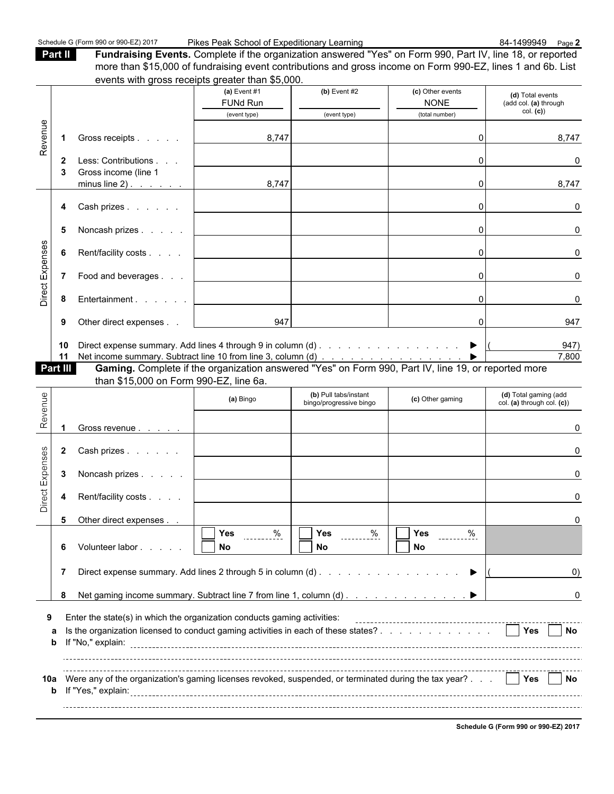**Part II Fundraising Events.** Complete if the organization answered "Yes" on Form 990, Part IV, line 18, or reported more than \$15,000 of fundraising event contributions and gross income on Form 990-EZ, lines 1 and 6b. List events with gross receipts greater than \$5,000.

|                 |        |                                                                                                                                        | $\epsilon$ vento witi gross receipto greater triai po,000.                                          |                                                  |                               |                                                     |
|-----------------|--------|----------------------------------------------------------------------------------------------------------------------------------------|-----------------------------------------------------------------------------------------------------|--------------------------------------------------|-------------------------------|-----------------------------------------------------|
|                 |        |                                                                                                                                        | (a) Event $#1$                                                                                      | $(b)$ Event #2                                   | (c) Other events              | (d) Total events                                    |
|                 |        |                                                                                                                                        | <b>FUNd Run</b>                                                                                     |                                                  | <b>NONE</b>                   | (add col. (a) through<br>col. (c)                   |
|                 |        |                                                                                                                                        | (event type)                                                                                        | (event type)                                     | (total number)                |                                                     |
| Revenue         |        | Gross receipts<br>1                                                                                                                    | 8,747                                                                                               |                                                  | 0                             | 8,747                                               |
|                 |        | Less: Contributions<br>2<br>Gross income (line 1<br>3                                                                                  |                                                                                                     |                                                  | 0                             | 0                                                   |
|                 |        | minus line $2)$ . $\vert$                                                                                                              | 8,747                                                                                               |                                                  | 0                             | 8,747                                               |
|                 |        | Cash prizes<br>4                                                                                                                       |                                                                                                     |                                                  | 0                             | 0                                                   |
|                 |        | Noncash prizes<br>5                                                                                                                    |                                                                                                     |                                                  | 0                             | 0                                                   |
| Direct Expenses |        | Rent/facility costs<br>6                                                                                                               |                                                                                                     |                                                  | 0                             | 0                                                   |
|                 |        | Food and beverages<br>7                                                                                                                | the contract of the contract of the contract of                                                     |                                                  | 0                             | 0                                                   |
|                 |        | Entertainment<br>8                                                                                                                     |                                                                                                     |                                                  | 0                             | 0                                                   |
|                 |        | Other direct expenses<br>9                                                                                                             | 947                                                                                                 |                                                  | 0                             | 947                                                 |
|                 |        | Direct expense summary. Add lines 4 through 9 in column (d) $\ldots$ $\ldots$ $\ldots$ $\ldots$ $\ldots$ $\ldots$ $\ldots$<br>10<br>11 |                                                                                                     |                                                  |                               | 947)<br>7,800                                       |
|                 |        | Part III                                                                                                                               | Gaming. Complete if the organization answered "Yes" on Form 990, Part IV, line 19, or reported more |                                                  |                               |                                                     |
|                 |        | than \$15,000 on Form 990-EZ, line 6a.                                                                                                 |                                                                                                     |                                                  |                               |                                                     |
| Revenue         |        |                                                                                                                                        | (a) Bingo                                                                                           | (b) Pull tabs/instant<br>bingo/progressive bingo | (c) Other gaming              | (d) Total gaming (add<br>col. (a) through col. (c)) |
|                 |        | 1<br>Gross revenue                                                                                                                     |                                                                                                     |                                                  |                               | 0                                                   |
|                 |        | Cash prizes<br>2                                                                                                                       |                                                                                                     |                                                  |                               | 0                                                   |
| Direct Expenses |        | Noncash prizes<br>3                                                                                                                    |                                                                                                     |                                                  |                               | 0                                                   |
|                 |        | Rent/facility costs<br>4                                                                                                               |                                                                                                     |                                                  |                               | 0                                                   |
|                 |        | 5<br>Other direct expenses                                                                                                             |                                                                                                     |                                                  |                               | 0                                                   |
|                 |        |                                                                                                                                        | $\sqrt{Y}$ Yes %                                                                                    | $\sqrt{Y}$ es %                                  | $\overline{\Box}$ Yes<br>$\%$ |                                                     |
|                 |        | Volunteer labor<br>6                                                                                                                   | No                                                                                                  | No                                               | No.                           |                                                     |
|                 |        | 7                                                                                                                                      |                                                                                                     |                                                  |                               | $\left( 0\right)$                                   |
|                 |        | Net gaming income summary. Subtract line 7 from line 1, column (d) ▶<br>8                                                              |                                                                                                     |                                                  |                               | 0                                                   |
| 9               |        | Enter the state(s) in which the organization conducts gaming activities:                                                               |                                                                                                     |                                                  |                               |                                                     |
|                 | а<br>b | Is the organization licensed to conduct gaming activities in each of these states?                                                     |                                                                                                     |                                                  |                               | Yes<br>No                                           |
|                 | b      | 10a Were any of the organization's gaming licenses revoked, suspended, or terminated during the tax year?                              |                                                                                                     |                                                  |                               | Yes<br>No.                                          |

**Schedule G (Form 990 or 990-EZ) 2017**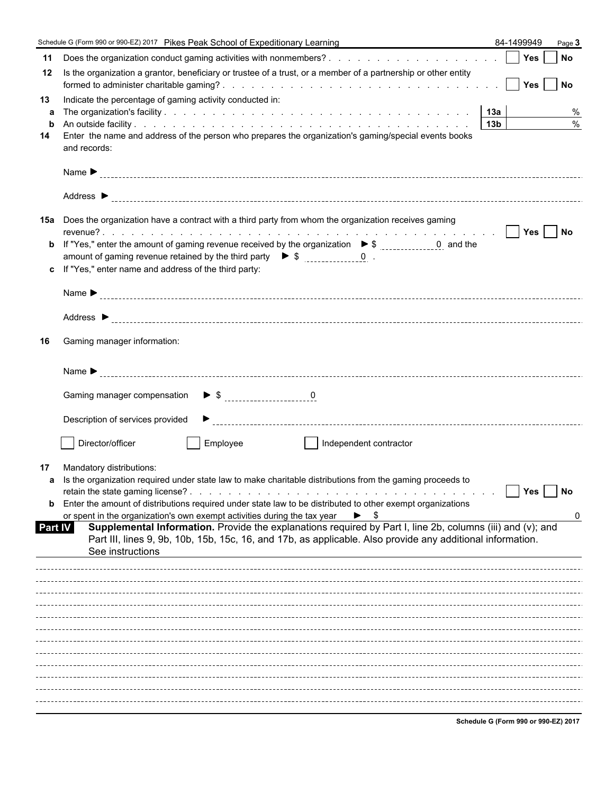|         | Schedule G (Form 990 or 990-EZ) 2017 Pikes Peak School of Expeditionary Learning                                                                                                                  |                 | 84-1499949                            | Page 3    |               |
|---------|---------------------------------------------------------------------------------------------------------------------------------------------------------------------------------------------------|-----------------|---------------------------------------|-----------|---------------|
| 11      |                                                                                                                                                                                                   |                 | Yes                                   | No        |               |
| 12      | Is the organization a grantor, beneficiary or trustee of a trust, or a member of a partnership or other entity                                                                                    |                 | <b>Yes</b>                            | <b>No</b> |               |
| 13      | Indicate the percentage of gaming activity conducted in:                                                                                                                                          |                 |                                       |           |               |
| a       |                                                                                                                                                                                                   | 13a             |                                       |           | %             |
| b       |                                                                                                                                                                                                   | 13 <sub>b</sub> |                                       |           | $\frac{0}{0}$ |
| 14      | Enter the name and address of the person who prepares the organization's gaming/special events books<br>and records:                                                                              |                 |                                       |           |               |
|         |                                                                                                                                                                                                   |                 |                                       |           |               |
|         |                                                                                                                                                                                                   |                 |                                       |           |               |
|         | 15a Does the organization have a contract with a third party from whom the organization receives gaming                                                                                           |                 | Yes                                   | <b>No</b> |               |
| b       |                                                                                                                                                                                                   |                 |                                       |           |               |
|         | amount of gaming revenue retained by the third party $\triangleright$ \$ 0.                                                                                                                       |                 |                                       |           |               |
| c       | If "Yes," enter name and address of the third party:                                                                                                                                              |                 |                                       |           |               |
|         |                                                                                                                                                                                                   |                 |                                       |           |               |
|         |                                                                                                                                                                                                   |                 |                                       |           |               |
| 16      | Gaming manager information:                                                                                                                                                                       |                 |                                       |           |               |
|         |                                                                                                                                                                                                   |                 |                                       |           |               |
|         | $\triangleright$ \$ $\frac{0}{1}$<br>Gaming manager compensation                                                                                                                                  |                 |                                       |           |               |
|         | Description of services provided                                                                                                                                                                  |                 |                                       |           |               |
|         | Director/officer<br>Employee<br>Independent contractor                                                                                                                                            |                 |                                       |           |               |
| 17      | Mandatory distributions:                                                                                                                                                                          |                 |                                       |           |               |
| a       | Is the organization required under state law to make charitable distributions from the gaming proceeds to                                                                                         |                 |                                       |           |               |
|         |                                                                                                                                                                                                   |                 | Yes                                   | No        |               |
| b       | Enter the amount of distributions required under state law to be distributed to other exempt organizations                                                                                        |                 |                                       |           |               |
| Part IV | or spent in the organization's own exempt activities during the tax year<br>\$<br>▶<br>Supplemental Information. Provide the explanations required by Part I, line 2b, columns (iii) and (v); and |                 |                                       |           | 0             |
|         | Part III, lines 9, 9b, 10b, 15b, 15c, 16, and 17b, as applicable. Also provide any additional information.                                                                                        |                 |                                       |           |               |
|         | See instructions                                                                                                                                                                                  |                 |                                       |           |               |
|         |                                                                                                                                                                                                   |                 |                                       |           |               |
|         |                                                                                                                                                                                                   |                 |                                       |           |               |
|         |                                                                                                                                                                                                   |                 |                                       |           |               |
|         |                                                                                                                                                                                                   |                 |                                       |           |               |
|         |                                                                                                                                                                                                   |                 |                                       |           |               |
|         |                                                                                                                                                                                                   |                 |                                       |           |               |
|         |                                                                                                                                                                                                   |                 |                                       |           |               |
|         |                                                                                                                                                                                                   |                 |                                       |           |               |
|         |                                                                                                                                                                                                   |                 |                                       |           |               |
|         |                                                                                                                                                                                                   |                 |                                       |           |               |
|         |                                                                                                                                                                                                   |                 | Cabadule C (Ferma 000 an 000 FZ) 2047 |           |               |

**Schedule G (Form 990 or 990-EZ) 2017**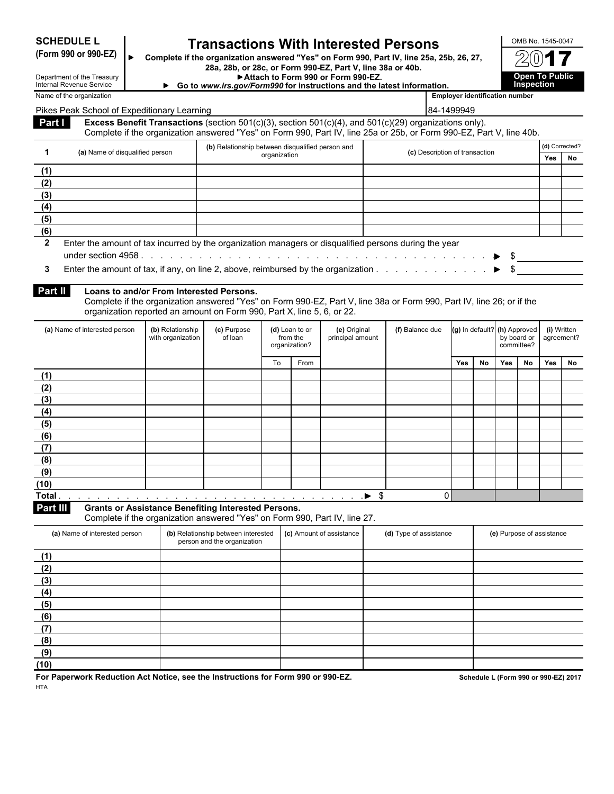| <b>SCHEDULE L</b> |  |
|-------------------|--|
|-------------------|--|

# **SCHEDULE L Transactions With Interested Persons**<br>(Form 990 or 990-EZ)  $\parallel_{\bullet}$  Complete if the organization answered "Yes" on Form 990, Part IV, line 25a.

**(Form 990 or 990-EZ) Complete if the organization answered "Yes" on Form 990, Part IV, line 25a, 25b, 26, 27, 28a, 28b, or 28c, or Form 990-EZ, Part V, line 38a or 40b.**

Attach to Form 990 or Form 990-EZ.

| Internal Revenue Service | Go to www.irs.gov/Form990 for instructions and the latest information. |                                       | nь |
|--------------------------|------------------------------------------------------------------------|---------------------------------------|----|
| Name of the organization |                                                                        | <b>Employer identification number</b> |    |

| OMB No. 1545-0047                    |
|--------------------------------------|
| $2(0)$ 1                             |
| <b>Open To Public<br/>Inspection</b> |

Internal Revenue Service

Department of the Treasury

Pikes Peak School of Expeditionary Learning 84-1499949 (84-1499949)

**Part I Excess Benefit Transactions** (section 501(c)(3), section 501(c)(4), and 501(c)(29) organizations only). Complete if the organization answered "Yes" on Form 990, Part IV, line 25a or 25b, or Form 990-EZ, Part V, line 40b.

| (b) Relationship between disqualified person and |                                 |                                                                                                       |                                | (d) Corrected? |    |
|--------------------------------------------------|---------------------------------|-------------------------------------------------------------------------------------------------------|--------------------------------|----------------|----|
|                                                  | (a) Name of disqualified person | organization                                                                                          | (c) Description of transaction | <b>Yes</b>     | No |
|                                                  |                                 |                                                                                                       |                                |                |    |
|                                                  |                                 |                                                                                                       |                                |                |    |
|                                                  |                                 |                                                                                                       |                                |                |    |
| (4)                                              |                                 |                                                                                                       |                                |                |    |
| (5)                                              |                                 |                                                                                                       |                                |                |    |
| (6)                                              |                                 |                                                                                                       |                                |                |    |
|                                                  |                                 | Enter the amount of tax incurred by the organization managers or disqualified persons during the year |                                |                |    |
|                                                  |                                 |                                                                                                       |                                |                |    |

**3** Enter the amount of tax, if any, on line 2, above, reimbursed by the organization . . . . . . . . . . . . ▶ \$

| Part II | Loans to and/or From |  |  |
|---------|----------------------|--|--|
|---------|----------------------|--|--|

**Interested Persons.** 

Complete if the organization answered "Yes" on Form 990-EZ, Part V, line 38a or Form 990, Part IV, line 26; or if the organization reported an amount on Form 990, Part X, line 5, 6, or 22.

| (a) Name of interested person | (b) Relationship<br>with organization | (c) Purpose<br>of loan | (d) Loan to or<br>organization? | from the | (e) Original<br>principal amount | (f) Balance due | (g) In default? (h) Approved |    | by board or<br>committee? |    | (i) Written<br>agreement? |    |
|-------------------------------|---------------------------------------|------------------------|---------------------------------|----------|----------------------------------|-----------------|------------------------------|----|---------------------------|----|---------------------------|----|
|                               |                                       |                        | To                              | From     |                                  |                 | <b>Yes</b>                   | No | Yes                       | No | Yes                       | No |
| (1)                           |                                       |                        |                                 |          |                                  |                 |                              |    |                           |    |                           |    |
| (2)                           |                                       |                        |                                 |          |                                  |                 |                              |    |                           |    |                           |    |
| (3)                           |                                       |                        |                                 |          |                                  |                 |                              |    |                           |    |                           |    |
| (4)                           |                                       |                        |                                 |          |                                  |                 |                              |    |                           |    |                           |    |
| (5)                           |                                       |                        |                                 |          |                                  |                 |                              |    |                           |    |                           |    |
| (6)                           |                                       |                        |                                 |          |                                  |                 |                              |    |                           |    |                           |    |
| (7)                           |                                       |                        |                                 |          |                                  |                 |                              |    |                           |    |                           |    |
| (8)                           |                                       |                        |                                 |          |                                  |                 |                              |    |                           |    |                           |    |
| (9)                           |                                       |                        |                                 |          |                                  |                 |                              |    |                           |    |                           |    |
| (10)                          |                                       |                        |                                 |          |                                  |                 |                              |    |                           |    |                           |    |
| Total.                        |                                       |                        |                                 |          | -\$                              | 0               |                              |    |                           |    |                           |    |

**Part III Grants or Assistance Benefiting Interested Persons.**

Complete if the organization answered "Yes" on Form 990, Part IV, line 27.

| (a) Name of interested person | (b) Relationship between interested<br>person and the organization | (c) Amount of assistance | (d) Type of assistance | (e) Purpose of assistance |
|-------------------------------|--------------------------------------------------------------------|--------------------------|------------------------|---------------------------|
| (1)                           |                                                                    |                          |                        |                           |
| (2)                           |                                                                    |                          |                        |                           |
| (3)                           |                                                                    |                          |                        |                           |
| (4)                           |                                                                    |                          |                        |                           |
| (5)                           |                                                                    |                          |                        |                           |
| (6)                           |                                                                    |                          |                        |                           |
| (7)                           |                                                                    |                          |                        |                           |
| (8)                           |                                                                    |                          |                        |                           |
| (9)                           |                                                                    |                          |                        |                           |
| (10)                          |                                                                    |                          |                        |                           |

**For Paperwork Reduction Act Notice, see the Instructions for Form 990 or 990-EZ. Schedule L (Form 990 or 990-EZ) 2017 HTA**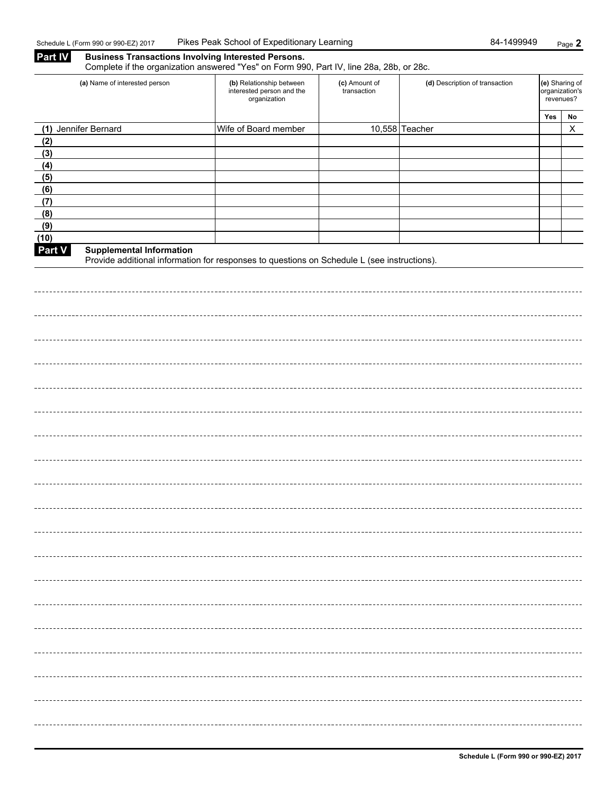| <b>Part IV</b> | <b>Business Transactions Involving Interested Persons.</b><br>Complete if the organization answered "Yes" on Form 990, Part IV, line 28a, 28b, or 28c. |                                                                       |                              |                                |     |                                               |  |  |  |
|----------------|--------------------------------------------------------------------------------------------------------------------------------------------------------|-----------------------------------------------------------------------|------------------------------|--------------------------------|-----|-----------------------------------------------|--|--|--|
|                | (a) Name of interested person                                                                                                                          | (b) Relationship between<br>interested person and the<br>organization | (c) Amount of<br>transaction | (d) Description of transaction |     | (e) Sharing of<br>organization's<br>revenues? |  |  |  |
|                |                                                                                                                                                        |                                                                       |                              |                                | Yes | No<br>$\mathsf{X}$                            |  |  |  |
|                | (1) Jennifer Bernard                                                                                                                                   | Wife of Board member                                                  |                              | 10,558 Teacher                 |     |                                               |  |  |  |
| (2)<br>(3)     |                                                                                                                                                        |                                                                       |                              |                                |     |                                               |  |  |  |
| (4)            |                                                                                                                                                        |                                                                       |                              |                                |     |                                               |  |  |  |
| (5)            |                                                                                                                                                        |                                                                       |                              |                                |     |                                               |  |  |  |
| (6)            |                                                                                                                                                        |                                                                       |                              |                                |     |                                               |  |  |  |
| (7)            |                                                                                                                                                        |                                                                       |                              |                                |     |                                               |  |  |  |
| (8)            |                                                                                                                                                        |                                                                       |                              |                                |     |                                               |  |  |  |
| (9)            |                                                                                                                                                        |                                                                       |                              |                                |     |                                               |  |  |  |
| (10)           |                                                                                                                                                        |                                                                       |                              |                                |     |                                               |  |  |  |
| Part V         | <b>Supplemental Information</b><br>Provide additional information for responses to questions on Schedule L (see instructions).                         |                                                                       |                              |                                |     |                                               |  |  |  |
|                |                                                                                                                                                        |                                                                       |                              |                                |     |                                               |  |  |  |
|                |                                                                                                                                                        |                                                                       |                              |                                |     |                                               |  |  |  |
|                |                                                                                                                                                        |                                                                       |                              |                                |     |                                               |  |  |  |
|                |                                                                                                                                                        |                                                                       |                              |                                |     |                                               |  |  |  |
|                |                                                                                                                                                        |                                                                       |                              |                                |     |                                               |  |  |  |
|                |                                                                                                                                                        |                                                                       |                              |                                |     |                                               |  |  |  |
|                |                                                                                                                                                        |                                                                       |                              |                                |     |                                               |  |  |  |
|                |                                                                                                                                                        |                                                                       |                              |                                |     |                                               |  |  |  |
|                |                                                                                                                                                        |                                                                       |                              |                                |     |                                               |  |  |  |
|                |                                                                                                                                                        |                                                                       |                              |                                |     |                                               |  |  |  |
|                |                                                                                                                                                        |                                                                       |                              |                                |     |                                               |  |  |  |
|                |                                                                                                                                                        |                                                                       |                              |                                |     |                                               |  |  |  |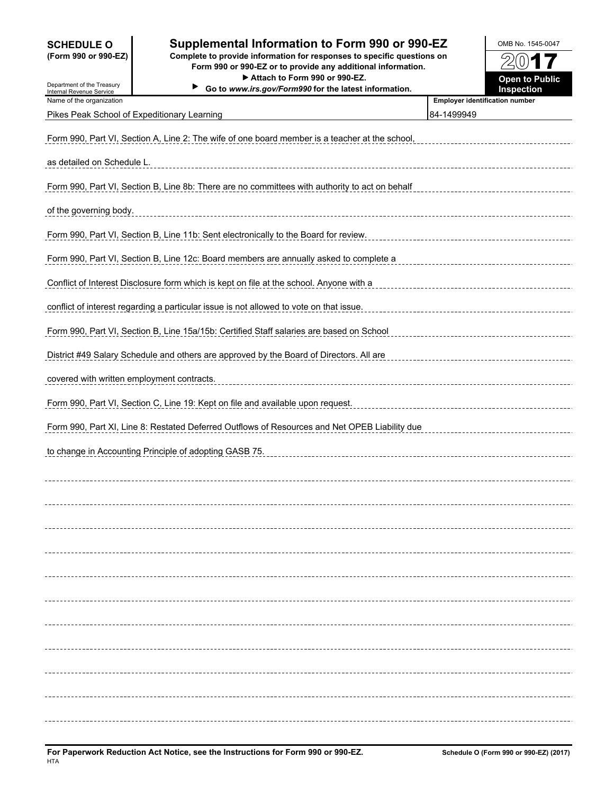Department of the Treasury

## **SCHEDULE O Supplemental Information to Form 990 or 990-EZ OMB No. 1545-0047**

**(Form 990 or 990-EZ) Complete to provide information for responses to specific questions on Form 990 or 990-EZ or to provide any additional information.** ▶ Attach to Form 990 or 990-EZ. **Open to Public** 

▶ Go to *www.irs.gov/Form990* for the latest information



| <b>Internal Revenue Service</b>            | 30 to www.irs.gov/Formaso for the latest imormation.                                           | mspecuon                                            |
|--------------------------------------------|------------------------------------------------------------------------------------------------|-----------------------------------------------------|
| Name of the organization                   | Pikes Peak School of Expeditionary Learning                                                    | <b>Employer identification number</b><br>84-1499949 |
|                                            | Form 990, Part VI, Section A, Line 2: The wife of one board member is a teacher at the school, |                                                     |
| as detailed on Schedule L.                 |                                                                                                |                                                     |
|                                            | Form 990, Part VI, Section B, Line 8b: There are no committees with authority to act on behalf |                                                     |
|                                            |                                                                                                |                                                     |
| of the governing body.                     |                                                                                                |                                                     |
|                                            | Form 990, Part VI, Section B, Line 11b: Sent electronically to the Board for review.           |                                                     |
|                                            | Form 990, Part VI, Section B, Line 12c: Board members are annually asked to complete a         |                                                     |
|                                            | Conflict of Interest Disclosure form which is kept on file at the school. Anyone with a        |                                                     |
|                                            | conflict of interest regarding a particular issue is not allowed to vote on that issue.        |                                                     |
|                                            | Form 990, Part VI, Section B, Line 15a/15b: Certified Staff salaries are based on School       |                                                     |
|                                            | District #49 Salary Schedule and others are approved by the Board of Directors. All are        |                                                     |
| covered with written employment contracts. |                                                                                                |                                                     |
|                                            | Form 990, Part VI, Section C, Line 19: Kept on file and available upon request.                |                                                     |
|                                            | Form 990, Part XI, Line 8: Restated Deferred Outflows of Resources and Net OPEB Liability due  |                                                     |
|                                            | to change in Accounting Principle of adopting GASB 75.                                         |                                                     |
|                                            |                                                                                                |                                                     |
|                                            |                                                                                                |                                                     |
|                                            |                                                                                                |                                                     |
|                                            |                                                                                                |                                                     |
|                                            |                                                                                                |                                                     |
|                                            |                                                                                                |                                                     |
|                                            |                                                                                                |                                                     |
|                                            |                                                                                                |                                                     |
|                                            |                                                                                                |                                                     |
|                                            |                                                                                                |                                                     |
|                                            |                                                                                                |                                                     |
|                                            |                                                                                                |                                                     |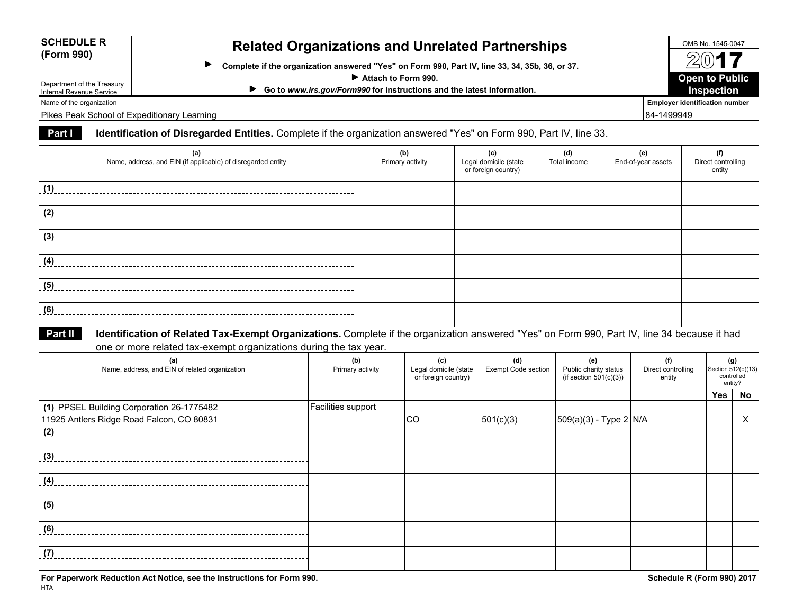| <b>SCHEDULE R</b> |
|-------------------|
| (Form 990)        |

# **Related Organizations and Unrelated Partnerships CHEDULE R OMB No. 1545-0047 (Form 990)**

 $\blacktriangleright$ **Complete if the organization answered "Yes" on Form 990, Part IV, line 33, 34, 35b, 36, or 37.**

**Attach to Form 990.**

| Go to www.irs.gov/Form990 for instructions and the latest information. |  | Inspection |  |
|------------------------------------------------------------------------|--|------------|--|
|------------------------------------------------------------------------|--|------------|--|

Department of the Treasury Internal Revenue Service

Pikes Peak School of Expeditionary Learning and the state of the state of the state of the state of the state of the state of the state of the state of the state of the state of the state of the state of the state of the s

### **Part IIdentification of Disregarded Entities.** Complete if the organization answered "Yes" on Form 990, Part IV, line 33.

| (a)<br>Name, address, and EIN (if applicable) of disregarded entity                                                                                     | (b)<br>Primary activity | (c)<br>Legal domicile (state<br>or foreign country) | (d)<br>Total income | (e)<br>End-of-year assets | (f)<br>Direct controlling<br>entity |
|---------------------------------------------------------------------------------------------------------------------------------------------------------|-------------------------|-----------------------------------------------------|---------------------|---------------------------|-------------------------------------|
| (1)                                                                                                                                                     |                         |                                                     |                     |                           |                                     |
| (2)                                                                                                                                                     |                         |                                                     |                     |                           |                                     |
| (3)                                                                                                                                                     |                         |                                                     |                     |                           |                                     |
| (4)                                                                                                                                                     |                         |                                                     |                     |                           |                                     |
| (5)                                                                                                                                                     |                         |                                                     |                     |                           |                                     |
| (6)                                                                                                                                                     |                         |                                                     |                     |                           |                                     |
| Identification of Related Tax-Exempt Organizations. Complete if the organization answered "Yes" on Form 990, Part IV, line 34 because it had<br>Part II |                         |                                                     |                     |                           |                                     |

one or more related tax-exempt organizations during the tax year.

| (a)<br>Name, address, and EIN of related organization | (b)<br>Primary activity | (c)<br>Legal domicile (state<br>or foreign country) | (d)<br><b>Exempt Code section</b> | (e)<br>Public charity status<br>(if section $501(c)(3)$ ) | (f)<br>Direct controlling<br>entity | (g)<br>Section 512(b)(13)<br>controlled<br>entity? |    |
|-------------------------------------------------------|-------------------------|-----------------------------------------------------|-----------------------------------|-----------------------------------------------------------|-------------------------------------|----------------------------------------------------|----|
|                                                       |                         |                                                     |                                   |                                                           |                                     | Yes                                                | No |
| (1) PPSEL Building Corporation 26-1775482             | Facilities support      |                                                     |                                   |                                                           |                                     |                                                    |    |
| 11925 Antlers Ridge Road Falcon, CO 80831             |                         | CO                                                  | 501(c)(3)                         | $ 509(a)(3) - Type 2 N/A$                                 |                                     |                                                    | X. |
| (2)                                                   |                         |                                                     |                                   |                                                           |                                     |                                                    |    |
| (3)                                                   |                         |                                                     |                                   |                                                           |                                     |                                                    |    |
| (4)                                                   |                         |                                                     |                                   |                                                           |                                     |                                                    |    |
| (5)                                                   |                         |                                                     |                                   |                                                           |                                     |                                                    |    |
| (6)                                                   |                         |                                                     |                                   |                                                           |                                     |                                                    |    |
| (7                                                    |                         |                                                     |                                   |                                                           |                                     |                                                    |    |

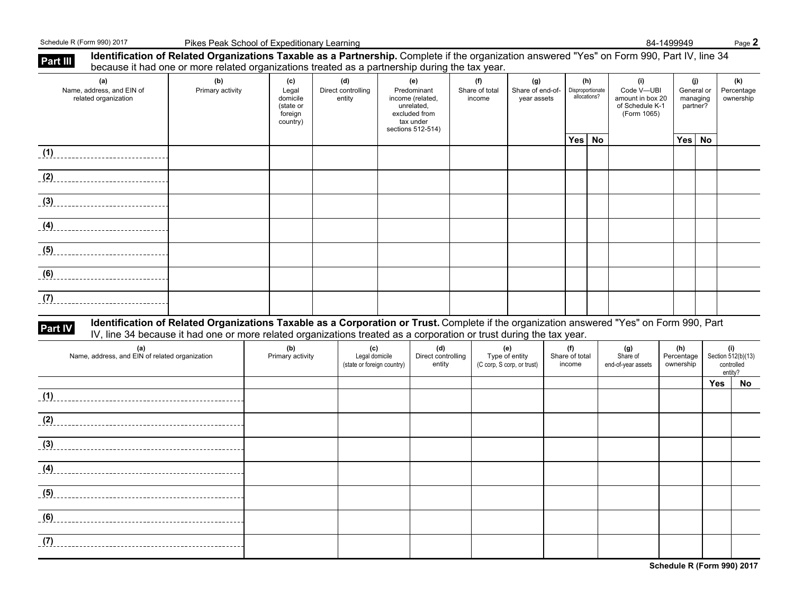Schedule R (Form 990) 2017 **Pikes Peak School of Expeditionary Learning** 84-1499949 84-1499949 Page 2

| Part III | <b>Identification of Related Organizations Taxable as a Partnership.</b> Complete if the organization answered "Yes" on Form 990, Part IV, line 34<br>because it had one or more related organizations treated as a partnership during the tax year.                                                                                                                                 |                         |                                                              |                                                     |                                                                                                         |                                 |                                                     |                                         |           |                                                                         |                                           |     |                                                    |
|----------|--------------------------------------------------------------------------------------------------------------------------------------------------------------------------------------------------------------------------------------------------------------------------------------------------------------------------------------------------------------------------------------|-------------------------|--------------------------------------------------------------|-----------------------------------------------------|---------------------------------------------------------------------------------------------------------|---------------------------------|-----------------------------------------------------|-----------------------------------------|-----------|-------------------------------------------------------------------------|-------------------------------------------|-----|----------------------------------------------------|
|          | (a)<br>Name, address, and EIN of<br>related organization                                                                                                                                                                                                                                                                                                                             | (b)<br>Primary activity | (c)<br>Legal<br>domicile<br>(state or<br>foreign<br>country) | (d)<br>Direct controlling<br>entity                 | (e)<br>Predominant<br>income (related.<br>unrelated,<br>excluded from<br>tax under<br>sections 512-514) | (f)<br>Share of total<br>income | (g)<br>Share of end-of-<br>year assets              | (h)<br>Disproportionate<br>allocations? |           | (i)<br>Code V-UBI<br>amount in box 20<br>of Schedule K-1<br>(Form 1065) | (j)<br>General or<br>managing<br>partner? |     | (k)<br>Percentage<br>ownership                     |
|          | (1)                                                                                                                                                                                                                                                                                                                                                                                  |                         |                                                              |                                                     |                                                                                                         |                                 |                                                     | Yes                                     | <b>No</b> |                                                                         | Yes No                                    |     |                                                    |
|          |                                                                                                                                                                                                                                                                                                                                                                                      |                         |                                                              |                                                     |                                                                                                         |                                 |                                                     |                                         |           |                                                                         |                                           |     |                                                    |
|          | (2)                                                                                                                                                                                                                                                                                                                                                                                  |                         |                                                              |                                                     |                                                                                                         |                                 |                                                     |                                         |           |                                                                         |                                           |     |                                                    |
|          | $\overline{3}$ $\overline{3}$ $\overline{3}$ $\overline{3}$ $\overline{3}$ $\overline{3}$ $\overline{3}$ $\overline{3}$ $\overline{3}$ $\overline{3}$ $\overline{3}$ $\overline{3}$ $\overline{3}$ $\overline{3}$ $\overline{3}$ $\overline{3}$ $\overline{3}$ $\overline{3}$ $\overline{3}$ $\overline{3}$ $\overline{3}$ $\overline{3}$ $\overline{3}$ $\overline{3}$ $\overline{$ |                         |                                                              |                                                     |                                                                                                         |                                 |                                                     |                                         |           |                                                                         |                                           |     |                                                    |
|          | $\left(4\right)$                                                                                                                                                                                                                                                                                                                                                                     |                         |                                                              |                                                     |                                                                                                         |                                 |                                                     |                                         |           |                                                                         |                                           |     |                                                    |
|          | $\overline{a}$ (5)                                                                                                                                                                                                                                                                                                                                                                   |                         |                                                              |                                                     |                                                                                                         |                                 |                                                     |                                         |           |                                                                         |                                           |     |                                                    |
|          | (6)                                                                                                                                                                                                                                                                                                                                                                                  |                         |                                                              |                                                     |                                                                                                         |                                 |                                                     |                                         |           |                                                                         |                                           |     |                                                    |
|          |                                                                                                                                                                                                                                                                                                                                                                                      |                         |                                                              |                                                     |                                                                                                         |                                 |                                                     |                                         |           |                                                                         |                                           |     |                                                    |
| Part IV  | Identification of Related Organizations Taxable as a Corporation or Trust. Complete if the organization answered "Yes" on Form 990, Part<br>IV, line 34 because it had one or more related organizations treated as a corporation or trust during the tax year.                                                                                                                      |                         |                                                              |                                                     |                                                                                                         |                                 |                                                     |                                         |           |                                                                         |                                           |     |                                                    |
|          | (a)<br>Name, address, and EIN of related organization                                                                                                                                                                                                                                                                                                                                |                         | (b)<br>Primary activity                                      | (c)<br>Legal domicile<br>(state or foreign country) | (d)<br>Direct controlling<br>entity                                                                     |                                 | (e)<br>Type of entity<br>(C corp, S corp, or trust) | (f)<br>Share of total<br>income         |           | (g)<br>Share of<br>end-of-year assets                                   | (h)<br>Percentage<br>ownership            |     | (i)<br>Section 512(b)(13)<br>controlled<br>entity? |
|          |                                                                                                                                                                                                                                                                                                                                                                                      |                         |                                                              |                                                     |                                                                                                         |                                 |                                                     |                                         |           |                                                                         |                                           | Yes | No                                                 |
|          |                                                                                                                                                                                                                                                                                                                                                                                      |                         |                                                              |                                                     |                                                                                                         |                                 |                                                     |                                         |           |                                                                         |                                           |     |                                                    |
|          | (2)                                                                                                                                                                                                                                                                                                                                                                                  |                         |                                                              |                                                     |                                                                                                         |                                 |                                                     |                                         |           |                                                                         |                                           |     |                                                    |
|          | $\overline{3}$                                                                                                                                                                                                                                                                                                                                                                       |                         |                                                              |                                                     |                                                                                                         |                                 |                                                     |                                         |           |                                                                         |                                           |     |                                                    |
|          | $\overline{a}$ (4)                                                                                                                                                                                                                                                                                                                                                                   |                         |                                                              |                                                     |                                                                                                         |                                 |                                                     |                                         |           |                                                                         |                                           |     |                                                    |
|          |                                                                                                                                                                                                                                                                                                                                                                                      |                         |                                                              |                                                     |                                                                                                         |                                 |                                                     |                                         |           |                                                                         |                                           |     |                                                    |
|          |                                                                                                                                                                                                                                                                                                                                                                                      |                         |                                                              |                                                     |                                                                                                         |                                 |                                                     |                                         |           |                                                                         |                                           |     |                                                    |
|          | (7)                                                                                                                                                                                                                                                                                                                                                                                  |                         |                                                              |                                                     |                                                                                                         |                                 |                                                     |                                         |           |                                                                         |                                           |     |                                                    |
|          |                                                                                                                                                                                                                                                                                                                                                                                      |                         |                                                              |                                                     |                                                                                                         |                                 |                                                     |                                         |           |                                                                         |                                           |     |                                                    |

**Schedule R (Form 990) 2017**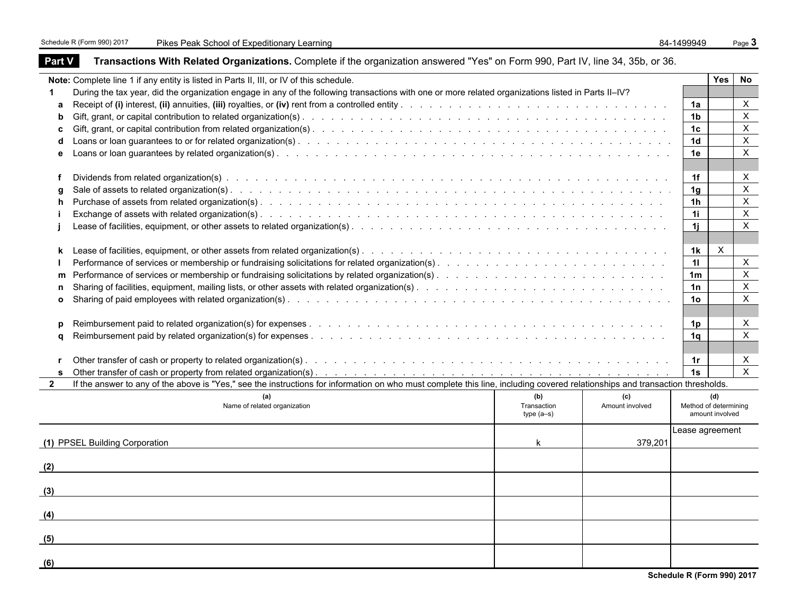٠

| <b>Part V</b> | <b>Transactions With Related Organizations.</b> Complete if the organization answered "Yes" on Form 990, Part IV, line 34, 35b, or 36.                                       |                            |                 |                       |                 |                           |
|---------------|------------------------------------------------------------------------------------------------------------------------------------------------------------------------------|----------------------------|-----------------|-----------------------|-----------------|---------------------------|
|               | Note: Complete line 1 if any entity is listed in Parts II, III, or IV of this schedule.                                                                                      |                            |                 |                       | <b>Yes</b>      | No                        |
| 1             | During the tax year, did the organization engage in any of the following transactions with one or more related organizations listed in Parts II-IV?                          |                            |                 |                       |                 |                           |
| a             |                                                                                                                                                                              |                            |                 | 1a                    |                 | X                         |
| b             |                                                                                                                                                                              |                            |                 | 1b                    |                 | X                         |
| c             |                                                                                                                                                                              |                            |                 | 1c                    |                 | X                         |
| d             |                                                                                                                                                                              |                            |                 | 1 <sub>d</sub>        |                 | X                         |
| е             |                                                                                                                                                                              |                            |                 | 1e                    |                 | X                         |
|               |                                                                                                                                                                              |                            |                 |                       |                 |                           |
|               |                                                                                                                                                                              |                            |                 | 1f                    |                 | X                         |
|               |                                                                                                                                                                              |                            |                 | 1g                    |                 | $\boldsymbol{\mathsf{X}}$ |
| h.            |                                                                                                                                                                              |                            |                 | 1 <sub>h</sub>        |                 | $\pmb{\times}$            |
|               |                                                                                                                                                                              |                            |                 | 1i                    |                 | X                         |
|               |                                                                                                                                                                              |                            |                 | 1j                    |                 | X                         |
|               |                                                                                                                                                                              |                            |                 |                       |                 |                           |
| k             |                                                                                                                                                                              |                            |                 | 1k                    | X               |                           |
|               |                                                                                                                                                                              |                            |                 | 11                    |                 | $\mathsf{X}$              |
| m             |                                                                                                                                                                              |                            |                 | 1m                    |                 | X                         |
| n             |                                                                                                                                                                              |                            |                 | 1n                    |                 | Χ                         |
| $\mathbf{o}$  |                                                                                                                                                                              |                            |                 | 1o                    |                 | X                         |
|               |                                                                                                                                                                              |                            |                 |                       |                 |                           |
| p             |                                                                                                                                                                              |                            |                 | 1p                    |                 | X                         |
| a             |                                                                                                                                                                              |                            |                 | 1q                    |                 | X                         |
|               |                                                                                                                                                                              |                            |                 |                       |                 |                           |
| r             |                                                                                                                                                                              |                            |                 | 1r                    |                 | X                         |
| s             |                                                                                                                                                                              |                            |                 | 1s                    |                 | $\mathsf{X}$              |
| $\mathbf{2}$  | If the answer to any of the above is "Yes," see the instructions for information on who must complete this line, including covered relationships and transaction thresholds. |                            |                 |                       |                 |                           |
|               | (a)                                                                                                                                                                          | (b)                        | (c)             |                       | (d)             |                           |
|               | Name of related organization                                                                                                                                                 | Transaction<br>$type(a-s)$ | Amount involved | Method of determining | amount involved |                           |
|               |                                                                                                                                                                              |                            |                 |                       |                 |                           |
|               |                                                                                                                                                                              |                            |                 | Lease agreement       |                 |                           |
|               | (1) PPSEL Building Corporation                                                                                                                                               | k                          | 379,201         |                       |                 |                           |
|               |                                                                                                                                                                              |                            |                 |                       |                 |                           |
| (2)           |                                                                                                                                                                              |                            |                 |                       |                 |                           |
|               |                                                                                                                                                                              |                            |                 |                       |                 |                           |
| (3)           |                                                                                                                                                                              |                            |                 |                       |                 |                           |
|               |                                                                                                                                                                              |                            |                 |                       |                 |                           |
| (4)           |                                                                                                                                                                              |                            |                 |                       |                 |                           |
|               |                                                                                                                                                                              |                            |                 |                       |                 |                           |
| (5)           |                                                                                                                                                                              |                            |                 |                       |                 |                           |
|               |                                                                                                                                                                              |                            |                 |                       |                 |                           |
| (6)           |                                                                                                                                                                              |                            |                 |                       |                 |                           |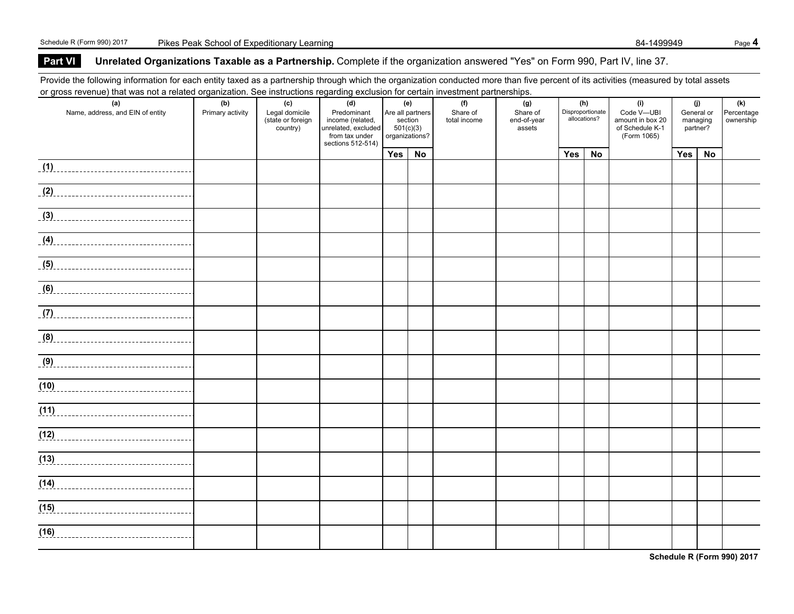### **Part VIUnrelated Organizations Taxable as a Partnership.** Complete if the organization answered "Yes" on Form 990, Part IV, line 37.

Provide the following information for each entity taxed as a partnership through which the organization conducted more than five percent of its activities (measured by total assets or gross revenue) that was not a related organization. See instructions regarding exclusion for certain investment partnerships.

| or gross revenue) that was not a related organization. Occ instructions regarding exclusion for certain investment partnerships. |                  |                               |                                         |     |                      |              |                       |     |                  |                                     |                      |     |            |
|----------------------------------------------------------------------------------------------------------------------------------|------------------|-------------------------------|-----------------------------------------|-----|----------------------|--------------|-----------------------|-----|------------------|-------------------------------------|----------------------|-----|------------|
| (a)                                                                                                                              | (b)              | (c)                           | (d)                                     |     | (e)                  | (f)          | (g)                   |     | (h)              | (i)                                 |                      | (j) | (k)        |
| Name, address, and EIN of entity                                                                                                 | Primary activity | Legal domicile                | Predominant                             |     | Are all partners     | Share of     | Share of              |     | Disproportionate | Code V-UBI                          | General or           |     | Percentage |
|                                                                                                                                  |                  | (state or foreign<br>country) | income (related,<br>unrelated, excluded |     | section<br>501(c)(3) | total income | end-of-year<br>assets |     | allocations?     | amount in box 20<br>of Schedule K-1 | managing<br>partner? |     | ownership  |
|                                                                                                                                  |                  |                               | from tax under                          |     | organizations?       |              |                       |     |                  | (Form 1065)                         |                      |     |            |
|                                                                                                                                  |                  |                               | sections 512-514)                       |     |                      |              |                       |     |                  |                                     |                      |     |            |
|                                                                                                                                  |                  |                               |                                         | Yes | No                   |              |                       | Yes | No               |                                     | Yes                  | No  |            |
| (1)                                                                                                                              |                  |                               |                                         |     |                      |              |                       |     |                  |                                     |                      |     |            |
|                                                                                                                                  |                  |                               |                                         |     |                      |              |                       |     |                  |                                     |                      |     |            |
|                                                                                                                                  |                  |                               |                                         |     |                      |              |                       |     |                  |                                     |                      |     |            |
| (2)                                                                                                                              |                  |                               |                                         |     |                      |              |                       |     |                  |                                     |                      |     |            |
|                                                                                                                                  |                  |                               |                                         |     |                      |              |                       |     |                  |                                     |                      |     |            |
| $\overline{3}$                                                                                                                   |                  |                               |                                         |     |                      |              |                       |     |                  |                                     |                      |     |            |
|                                                                                                                                  |                  |                               |                                         |     |                      |              |                       |     |                  |                                     |                      |     |            |
| $\overline{a}$ (4)                                                                                                               |                  |                               |                                         |     |                      |              |                       |     |                  |                                     |                      |     |            |
|                                                                                                                                  |                  |                               |                                         |     |                      |              |                       |     |                  |                                     |                      |     |            |
|                                                                                                                                  |                  |                               |                                         |     |                      |              |                       |     |                  |                                     |                      |     |            |
| (5)                                                                                                                              |                  |                               |                                         |     |                      |              |                       |     |                  |                                     |                      |     |            |
|                                                                                                                                  |                  |                               |                                         |     |                      |              |                       |     |                  |                                     |                      |     |            |
| (6)                                                                                                                              |                  |                               |                                         |     |                      |              |                       |     |                  |                                     |                      |     |            |
|                                                                                                                                  |                  |                               |                                         |     |                      |              |                       |     |                  |                                     |                      |     |            |
|                                                                                                                                  |                  |                               |                                         |     |                      |              |                       |     |                  |                                     |                      |     |            |
| (7)                                                                                                                              |                  |                               |                                         |     |                      |              |                       |     |                  |                                     |                      |     |            |
|                                                                                                                                  |                  |                               |                                         |     |                      |              |                       |     |                  |                                     |                      |     |            |
| $\frac{1}{2}$ (8)                                                                                                                |                  |                               |                                         |     |                      |              |                       |     |                  |                                     |                      |     |            |
|                                                                                                                                  |                  |                               |                                         |     |                      |              |                       |     |                  |                                     |                      |     |            |
| (9)                                                                                                                              |                  |                               |                                         |     |                      |              |                       |     |                  |                                     |                      |     |            |
|                                                                                                                                  |                  |                               |                                         |     |                      |              |                       |     |                  |                                     |                      |     |            |
| (10)                                                                                                                             |                  |                               |                                         |     |                      |              |                       |     |                  |                                     |                      |     |            |
|                                                                                                                                  |                  |                               |                                         |     |                      |              |                       |     |                  |                                     |                      |     |            |
|                                                                                                                                  |                  |                               |                                         |     |                      |              |                       |     |                  |                                     |                      |     |            |
| (11)                                                                                                                             |                  |                               |                                         |     |                      |              |                       |     |                  |                                     |                      |     |            |
|                                                                                                                                  |                  |                               |                                         |     |                      |              |                       |     |                  |                                     |                      |     |            |
| (12)                                                                                                                             |                  |                               |                                         |     |                      |              |                       |     |                  |                                     |                      |     |            |
|                                                                                                                                  |                  |                               |                                         |     |                      |              |                       |     |                  |                                     |                      |     |            |
| (13)                                                                                                                             |                  |                               |                                         |     |                      |              |                       |     |                  |                                     |                      |     |            |
|                                                                                                                                  |                  |                               |                                         |     |                      |              |                       |     |                  |                                     |                      |     |            |
|                                                                                                                                  |                  |                               |                                         |     |                      |              |                       |     |                  |                                     |                      |     |            |
| (14)                                                                                                                             |                  |                               |                                         |     |                      |              |                       |     |                  |                                     |                      |     |            |
|                                                                                                                                  |                  |                               |                                         |     |                      |              |                       |     |                  |                                     |                      |     |            |
| (15)                                                                                                                             |                  |                               |                                         |     |                      |              |                       |     |                  |                                     |                      |     |            |
|                                                                                                                                  |                  |                               |                                         |     |                      |              |                       |     |                  |                                     |                      |     |            |
|                                                                                                                                  |                  |                               |                                         |     |                      |              |                       |     |                  |                                     |                      |     |            |
| (16)                                                                                                                             |                  |                               |                                         |     |                      |              |                       |     |                  |                                     |                      |     |            |
|                                                                                                                                  |                  |                               |                                         |     |                      |              |                       |     |                  |                                     |                      |     |            |

**Schedule R (Form 990) 2017**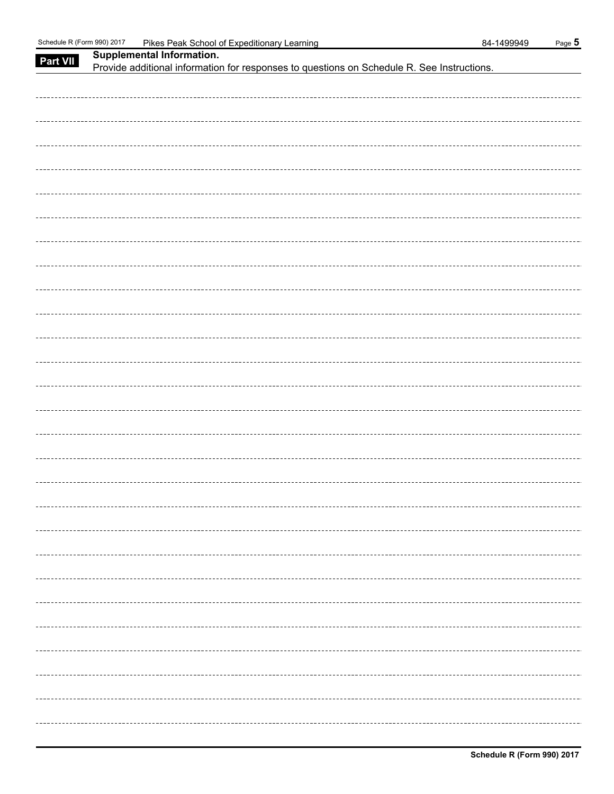| Part VII | Supplemental Information.<br>Provide additional information for responses to questions on Schedule R. See Instructions. |
|----------|-------------------------------------------------------------------------------------------------------------------------|
|          |                                                                                                                         |
|          |                                                                                                                         |
|          |                                                                                                                         |
|          |                                                                                                                         |
|          |                                                                                                                         |
|          |                                                                                                                         |
|          |                                                                                                                         |
|          |                                                                                                                         |
|          |                                                                                                                         |
|          |                                                                                                                         |
|          |                                                                                                                         |
|          |                                                                                                                         |
|          |                                                                                                                         |
|          |                                                                                                                         |
|          |                                                                                                                         |
|          |                                                                                                                         |
|          |                                                                                                                         |
|          |                                                                                                                         |
|          |                                                                                                                         |
|          |                                                                                                                         |
|          |                                                                                                                         |
|          |                                                                                                                         |
|          |                                                                                                                         |
|          |                                                                                                                         |
|          |                                                                                                                         |
|          |                                                                                                                         |
|          |                                                                                                                         |
|          |                                                                                                                         |
|          |                                                                                                                         |
|          |                                                                                                                         |
|          |                                                                                                                         |
|          |                                                                                                                         |
|          |                                                                                                                         |
|          |                                                                                                                         |
|          |                                                                                                                         |
|          |                                                                                                                         |
|          |                                                                                                                         |
|          |                                                                                                                         |
|          |                                                                                                                         |
|          |                                                                                                                         |
|          |                                                                                                                         |
|          |                                                                                                                         |
|          |                                                                                                                         |
|          |                                                                                                                         |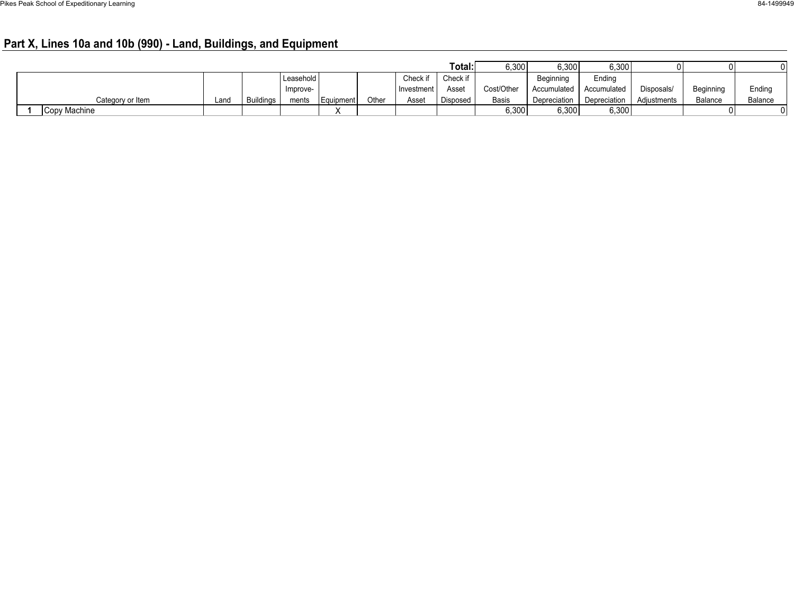# **Part X, Lines 10a and 10b (990) - Land, Buildings, and Equipment**

|                  |      |                  |           |           |       |              | Total:   | 6,300        | 6,300        | 6,300              | $\Omega$    | 01             |         |
|------------------|------|------------------|-----------|-----------|-------|--------------|----------|--------------|--------------|--------------------|-------------|----------------|---------|
|                  |      |                  | Leasehold |           |       | Check if     | Check if |              | Beainning    | Ending             |             |                |         |
|                  |      |                  | Improve-  |           |       | Investment I | Asset    | Cost/Other   | Accumulated  | <b>Accumulated</b> | Disposals/  | Beginning      | Ending  |
| Category or Item | Land | <b>Buildings</b> | ments     | Equipment | Other | Asset        | Disposed | <b>Basis</b> | Depreciation | Depreciation       | Adiustments | <b>Balance</b> | Balance |
| Copy Machine     |      |                  |           |           |       |              |          | 6,300        | 6,300        | 6,300              |             | 01             |         |